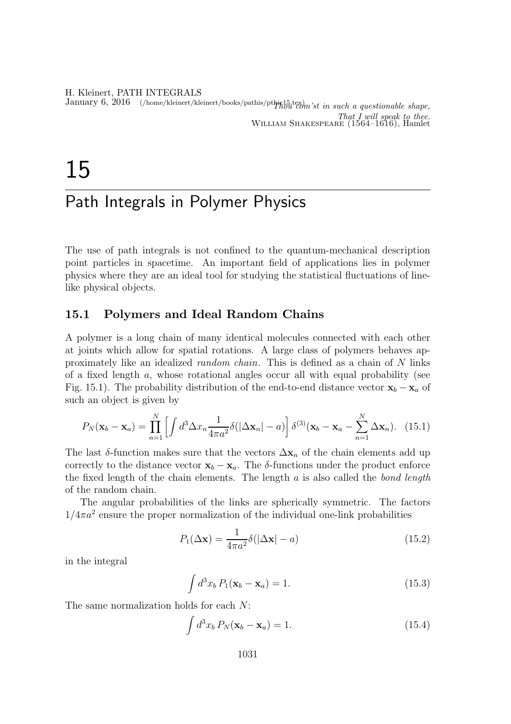H. Kleinert, PATH INTEGRALS January 6, 2016 (/home/kleinert/kleinert/books/pathis/pthic15.tex) is in such a questionable shape, That I will speak to thee. William Shakespeare (1564–1616), Hamlet

# 15

## Path Integrals in Polymer Physics

The use of path integrals is not confined to the quantum-mechanical description point particles in spacetime. An important field of applications lies in polymer physics where they are an ideal tool for studying the statistical fluctuations of linelike physical objects.

#### 15.1 Polymers and Ideal Random Chains

A polymer is a long chain of many identical molecules connected with each other at joints which allow for spatial rotations. A large class of polymers behaves approximately like an idealized random chain. This is defined as a chain of N links of a fixed length a, whose rotational angles occur all with equal probability (see Fig. 15.1). The probability distribution of the end-to-end distance vector  $\mathbf{x}_b - \mathbf{x}_a$  of such an object is given by

$$
P_N(\mathbf{x}_b - \mathbf{x}_a) = \prod_{n=1}^N \left[ \int d^3 \Delta x_n \frac{1}{4\pi a^2} \delta(|\Delta \mathbf{x}_n| - a) \right] \delta^{(3)}(\mathbf{x}_b - \mathbf{x}_a - \sum_{n=1}^N \Delta \mathbf{x}_n).
$$
 (15.1)

The last  $\delta$ -function makes sure that the vectors  $\Delta \mathbf{x}_n$  of the chain elements add up correctly to the distance vector  $\mathbf{x}_b - \mathbf{x}_a$ . The δ-functions under the product enforce the fixed length of the chain elements. The length  $a$  is also called the bond length of the random chain.

The angular probabilities of the links are spherically symmetric. The factors  $1/4\pi a^2$  ensure the proper normalization of the individual one-link probabilities

$$
P_1(\Delta \mathbf{x}) = \frac{1}{4\pi a^2} \delta(|\Delta \mathbf{x}| - a)
$$
\n(15.2)

in the integral

$$
\int d^3x_b P_1(\mathbf{x}_b - \mathbf{x}_a) = 1.
$$
\n(15.3)

The same normalization holds for each N:

$$
\int d^3x_b P_N(\mathbf{x}_b - \mathbf{x}_a) = 1.
$$
\n(15.4)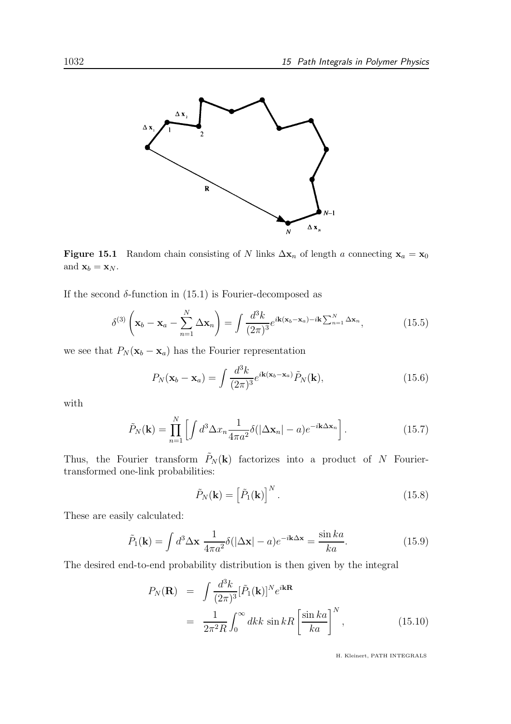

Figure 15.1 Random chain consisting of N links  $\Delta \mathbf{x}_n$  of length a connecting  $\mathbf{x}_a = \mathbf{x}_0$ and  $\mathbf{x}_b = \mathbf{x}_N$ .

If the second  $\delta$ -function in (15.1) is Fourier-decomposed as

$$
\delta^{(3)}\left(\mathbf{x}_b - \mathbf{x}_a - \sum_{n=1}^N \Delta \mathbf{x}_n\right) = \int \frac{d^3k}{(2\pi)^3} e^{i\mathbf{k}(\mathbf{x}_b - \mathbf{x}_a) - i\mathbf{k} \sum_{n=1}^N \Delta \mathbf{x}_n},\tag{15.5}
$$

we see that  $P_N(\mathbf{x}_b - \mathbf{x}_a)$  has the Fourier representation

$$
P_N(\mathbf{x}_b - \mathbf{x}_a) = \int \frac{d^3k}{(2\pi)^3} e^{i\mathbf{k}(\mathbf{x}_b - \mathbf{x}_a)} \tilde{P}_N(\mathbf{k}), \qquad (15.6)
$$

with

$$
\tilde{P}_N(\mathbf{k}) = \prod_{n=1}^N \left[ \int d^3 \Delta x_n \frac{1}{4\pi a^2} \delta(|\Delta \mathbf{x}_n| - a) e^{-i\mathbf{k}\Delta \mathbf{x}_n} \right].
$$
\n(15.7)

Thus, the Fourier transform  $\tilde{P}_N(\mathbf{k})$  factorizes into a product of N Fouriertransformed one-link probabilities:

$$
\tilde{P}_N(\mathbf{k}) = \left[\tilde{P}_1(\mathbf{k})\right]^N.
$$
\n(15.8)

These are easily calculated:

$$
\tilde{P}_1(\mathbf{k}) = \int d^3 \Delta \mathbf{x} \; \frac{1}{4\pi a^2} \delta(|\Delta \mathbf{x}| - a) e^{-i\mathbf{k}\Delta \mathbf{x}} = \frac{\sin ka}{ka}.
$$
\n(15.9)

The desired end-to-end probability distribution is then given by the integral

$$
P_N(\mathbf{R}) = \int \frac{d^3k}{(2\pi)^3} [\tilde{P}_1(\mathbf{k})]^{N} e^{i\mathbf{k}\mathbf{R}}
$$
  
= 
$$
\frac{1}{2\pi^2 R} \int_0^\infty dk k \sin kR \left[ \frac{\sin ka}{ka} \right]^{N}, \qquad (15.10)
$$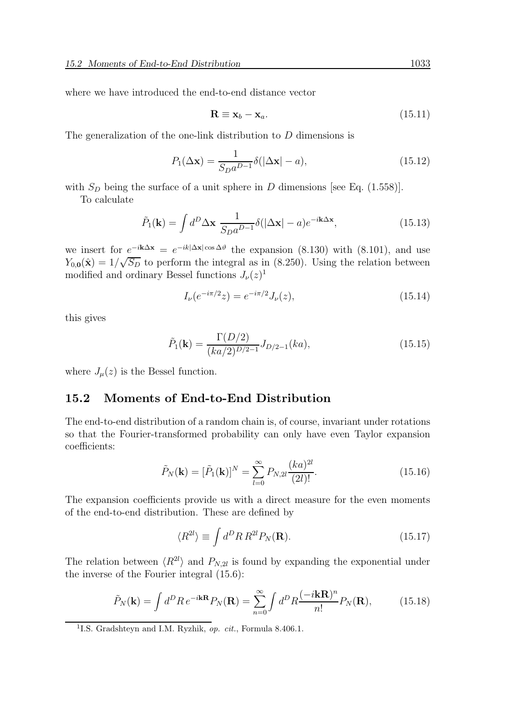where we have introduced the end-to-end distance vector

$$
\mathbf{R} \equiv \mathbf{x}_b - \mathbf{x}_a. \tag{15.11}
$$

The generalization of the one-link distribution to D dimensions is

$$
P_1(\Delta \mathbf{x}) = \frac{1}{S_D a^{D-1}} \delta(|\Delta \mathbf{x}| - a), \qquad (15.12)
$$

with  $S_D$  being the surface of a unit sphere in D dimensions [see Eq. (1.558)].

To calculate

$$
\tilde{P}_1(\mathbf{k}) = \int d^D \Delta \mathbf{x} \; \frac{1}{S_D a^{D-1}} \delta(|\Delta \mathbf{x}| - a) e^{-i\mathbf{k}\Delta \mathbf{x}}, \tag{15.13}
$$

we insert for  $e^{-i\mathbf{k}\Delta\mathbf{x}} = e^{-ik|\Delta\mathbf{x}| \cos \Delta\vartheta}$  the expansion (8.130) with (8.101), and use  $Y_{0,0}(\hat{\mathbf{x}}) = 1/\sqrt{S_D}$  to perform the integral as in (8.250). Using the relation between modified and ordinary Bessel functions  $J_{\nu}(z)^{1}$ 

$$
I_{\nu}(e^{-i\pi/2}z) = e^{-i\pi/2}J_{\nu}(z),
$$
\n(15.14)

this gives

$$
\tilde{P}_1(\mathbf{k}) = \frac{\Gamma(D/2)}{(ka/2)^{D/2 - 1}} J_{D/2 - 1}(ka),\tag{15.15}
$$

where  $J_{\mu}(z)$  is the Bessel function.

#### 15.2 Moments of End-to-End Distribution

The end-to-end distribution of a random chain is, of course, invariant under rotations so that the Fourier-transformed probability can only have even Taylor expansion coefficients:

$$
\tilde{P}_N(\mathbf{k}) = [\tilde{P}_1(\mathbf{k})]^N = \sum_{l=0}^{\infty} P_{N,2l} \frac{(ka)^{2l}}{(2l)!}.
$$
\n(15.16)

The expansion coefficients provide us with a direct measure for the even moments of the end-to-end distribution. These are defined by

$$
\langle R^{2l} \rangle \equiv \int d^D R \, R^{2l} P_N(\mathbf{R}). \tag{15.17}
$$

The relation between  $\langle R^{2l} \rangle$  and  $P_{N,2l}$  is found by expanding the exponential under the inverse of the Fourier integral (15.6):

$$
\tilde{P}_N(\mathbf{k}) = \int d^D R \, e^{-i\mathbf{k}\mathbf{R}} P_N(\mathbf{R}) = \sum_{n=0}^{\infty} \int d^D R \frac{(-i\mathbf{k}\mathbf{R})^n}{n!} P_N(\mathbf{R}),\tag{15.18}
$$

<sup>&</sup>lt;sup>1</sup>I.S. Gradshteyn and I.M. Ryzhik, op. cit., Formula 8.406.1.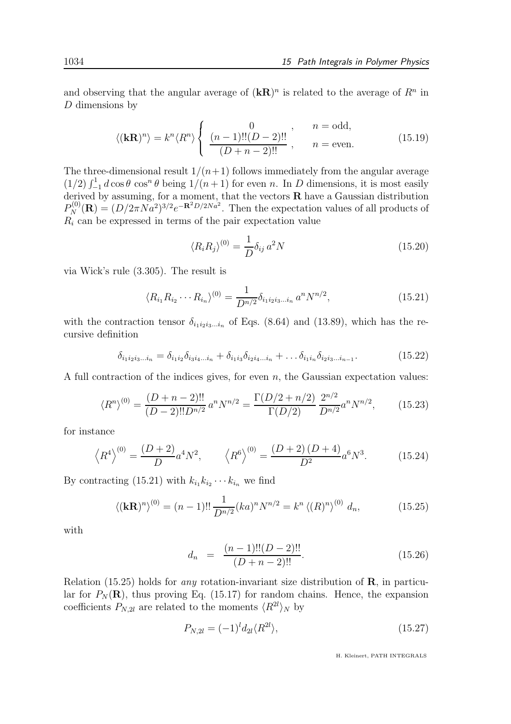and observing that the angular average of  $(kR)^n$  is related to the average of  $R^n$  in D dimensions by

$$
\langle (\mathbf{k}\mathbf{R})^n \rangle = k^n \langle R^n \rangle \begin{cases} 0 & n = \text{odd}, \\ \frac{(n-1)!!(D-2)!!}{(D+n-2)!!} & n = \text{even}. \end{cases}
$$
(15.19)

The three-dimensional result  $1/(n+1)$  follows immediately from the angular average  $(1/2)$   $\int_{-1}^{1} d \cos \theta \cos^{n} \theta$  being  $1/(n+1)$  for even n. In D dimensions, it is most easily derived by assuming, for a moment, that the vectors  $R$  have a Gaussian distribution  $P_N^{(0)}(\mathbf{R}) = (D/2\pi N a^2)^{3/2} e^{-\mathbf{R}^2 D/2N a^2}$ . Then the expectation values of all products of  $R_i$  can be expressed in terms of the pair expectation value

$$
\langle R_i R_j \rangle^{(0)} = \frac{1}{D} \delta_{ij} a^2 N \tag{15.20}
$$

via Wick's rule (3.305). The result is

$$
\langle R_{i_1} R_{i_2} \cdots R_{i_n} \rangle^{(0)} = \frac{1}{D^{n/2}} \delta_{i_1 i_2 i_3 \dots i_n} a^n N^{n/2}, \tag{15.21}
$$

with the contraction tensor  $\delta_{i_1 i_2 i_3 \dots i_n}$  of Eqs. (8.64) and (13.89), which has the recursive definition

$$
\delta_{i_1 i_2 i_3 \dots i_n} = \delta_{i_1 i_2} \delta_{i_3 i_4 \dots i_n} + \delta_{i_1 i_3} \delta_{i_2 i_4 \dots i_n} + \dots \delta_{i_1 i_n} \delta_{i_2 i_3 \dots i_{n-1}}.
$$
\n(15.22)

A full contraction of the indices gives, for even  $n$ , the Gaussian expectation values:

$$
\langle R^n \rangle^{(0)} = \frac{(D+n-2)!!}{(D-2)!! D^{n/2}} a^n N^{n/2} = \frac{\Gamma(D/2+n/2)}{\Gamma(D/2)} \frac{2^{n/2}}{D^{n/2}} a^n N^{n/2},\tag{15.23}
$$

for instance

$$
\langle R^4 \rangle^{(0)} = \frac{(D+2)}{D} a^4 N^2, \qquad \langle R^6 \rangle^{(0)} = \frac{(D+2)(D+4)}{D^2} a^6 N^3.
$$
 (15.24)

By contracting (15.21) with  $k_{i_1} k_{i_2} \cdots k_{i_n}$  we find

$$
\langle (\mathbf{k}\mathbf{R})^n \rangle^{(0)} = (n-1)!! \frac{1}{D^{n/2}} (ka)^n N^{n/2} = k^n \langle (R)^n \rangle^{(0)} d_n,
$$
 (15.25)

with

$$
d_n = \frac{(n-1)!!(D-2)!!}{(D+n-2)!!}.
$$
\n(15.26)

Relation (15.25) holds for *any* rotation-invariant size distribution of  $\bf{R}$ , in particular for  $P_N(\mathbf{R})$ , thus proving Eq. (15.17) for random chains. Hence, the expansion coefficients  $P_{N,2l}$  are related to the moments  $\langle R^{2l} \rangle_N$  by

$$
P_{N,2l} = (-1)^l d_{2l} \langle R^{2l} \rangle, \tag{15.27}
$$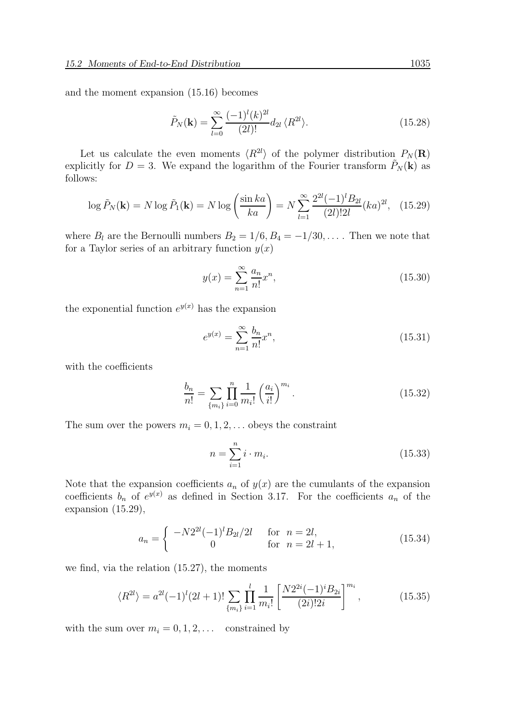and the moment expansion (15.16) becomes

$$
\tilde{P}_N(\mathbf{k}) = \sum_{l=0}^{\infty} \frac{(-1)^l (k)^{2l}}{(2l)!} d_{2l} \langle R^{2l} \rangle.
$$
\n(15.28)

Let us calculate the even moments  $\langle R^{2l} \rangle$  of the polymer distribution  $P_N(\mathbf{R})$ explicitly for  $D = 3$ . We expand the logarithm of the Fourier transform  $\hat{P}_N(\mathbf{k})$  as follows:

$$
\log \tilde{P}_N(\mathbf{k}) = N \log \tilde{P}_1(\mathbf{k}) = N \log \left(\frac{\sin ka}{ka}\right) = N \sum_{l=1}^{\infty} \frac{2^{2l}(-1)^l B_{2l}}{(2l)! 2l} (ka)^{2l}, \quad (15.29)
$$

where  $B_l$  are the Bernoulli numbers  $B_2 = 1/6$ ,  $B_4 = -1/30$ , ... Then we note that for a Taylor series of an arbitrary function  $y(x)$ 

$$
y(x) = \sum_{n=1}^{\infty} \frac{a_n}{n!} x^n,
$$
\n(15.30)

the exponential function  $e^{y(x)}$  has the expansion

$$
e^{y(x)} = \sum_{n=1}^{\infty} \frac{b_n}{n!} x^n,
$$
\n(15.31)

with the coefficients

$$
\frac{b_n}{n!} = \sum_{\{m_i\}} \prod_{i=0}^n \frac{1}{m_i!} \left(\frac{a_i}{i!}\right)^{m_i}.
$$
\n(15.32)

The sum over the powers  $m_i = 0, 1, 2, \ldots$  obeys the constraint

$$
n = \sum_{i=1}^{n} i \cdot m_i.
$$
 (15.33)

Note that the expansion coefficients  $a_n$  of  $y(x)$  are the cumulants of the expansion coefficients  $b_n$  of  $e^{y(x)}$  as defined in Section 3.17. For the coefficients  $a_n$  of the expansion (15.29),

$$
a_n = \begin{cases} -N2^{2l}(-1)^l B_{2l}/2l & \text{for } n = 2l, \\ 0 & \text{for } n = 2l + 1, \end{cases}
$$
 (15.34)

we find, via the relation (15.27), the moments

$$
\langle R^{2l} \rangle = a^{2l} (-1)^l (2l+1)! \sum_{\{m_i\}} \prod_{i=1}^l \frac{1}{m_i!} \left[ \frac{N 2^{2i} (-1)^i B_{2i}}{(2i)! 2i} \right]^{m_i},\tag{15.35}
$$

with the sum over  $m_i = 0, 1, 2, \ldots$  constrained by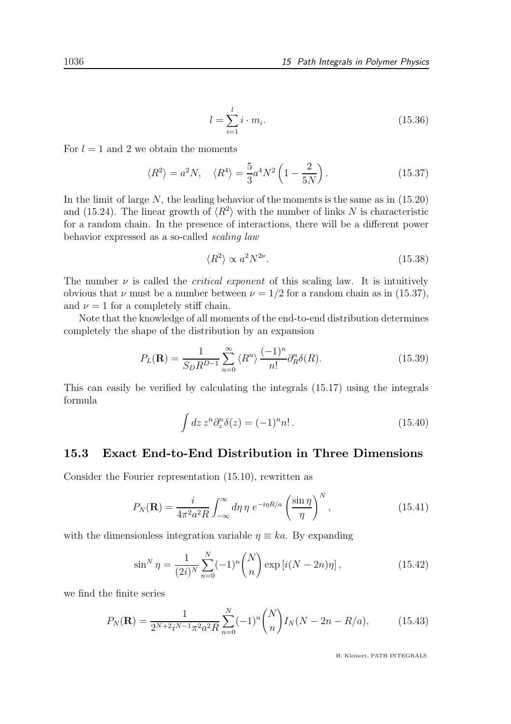$$
l = \sum_{i=1}^{l} i \cdot m_i.
$$
 (15.36)

For  $l = 1$  and 2 we obtain the moments

$$
\langle R^2 \rangle = a^2 N, \quad \langle R^4 \rangle = \frac{5}{3} a^4 N^2 \left( 1 - \frac{2}{5N} \right). \tag{15.37}
$$

In the limit of large  $N$ , the leading behavior of the moments is the same as in  $(15.20)$ and (15.24). The linear growth of  $\langle R^2 \rangle$  with the number of links N is characteristic for a random chain. In the presence of interactions, there will be a different power behavior expressed as a so-called scaling law

$$
\langle R^2 \rangle \propto a^2 N^{2\nu}.\tag{15.38}
$$

The number  $\nu$  is called the *critical exponent* of this scaling law. It is intuitively obvious that  $\nu$  must be a number between  $\nu = 1/2$  for a random chain as in (15.37), and  $\nu = 1$  for a completely stiff chain.

Note that the knowledge of all moments of the end-to-end distribution determines completely the shape of the distribution by an expansion

$$
P_L(\mathbf{R}) = \frac{1}{S_D R^{D-1}} \sum_{n=0}^{\infty} \langle R^n \rangle \frac{(-1)^n}{n!} \partial_R^n \delta(R). \tag{15.39}
$$

This can easily be verified by calculating the integrals (15.17) using the integrals formula

$$
\int dz \, z^n \partial_z^n \delta(z) = (-1)^n n! \,. \tag{15.40}
$$

#### 15.3 Exact End-to-End Distribution in Three Dimensions

Consider the Fourier representation (15.10), rewritten as

$$
P_N(\mathbf{R}) = \frac{i}{4\pi^2 a^2 R} \int_{-\infty}^{\infty} d\eta \, \eta \, e^{-i\eta R/a} \left(\frac{\sin \eta}{\eta}\right)^N,\tag{15.41}
$$

with the dimensionless integration variable  $\eta \equiv ka$ . By expanding

$$
\sin^N \eta = \frac{1}{(2i)^N} \sum_{n=0}^N (-1)^n \binom{N}{n} \exp\left[i(N-2n)\eta\right],\tag{15.42}
$$

we find the finite series

$$
P_N(\mathbf{R}) = \frac{1}{2^{N+2}i^{N-1}\pi^2 a^2 R} \sum_{n=0}^{N} (-1)^n \binom{N}{n} I_N(N - 2n - R/a),\tag{15.43}
$$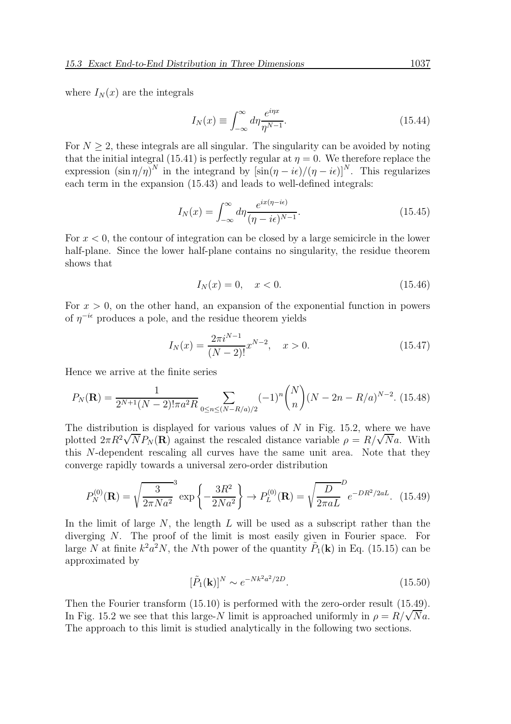where  $I_N(x)$  are the integrals

$$
I_N(x) \equiv \int_{-\infty}^{\infty} d\eta \frac{e^{i\eta x}}{\eta^{N-1}}.
$$
\n(15.44)

For  $N \geq 2$ , these integrals are all singular. The singularity can be avoided by noting that the initial integral (15.41) is perfectly regular at  $\eta = 0$ . We therefore replace the expression  $(\sin \eta/\eta)^N$  in the integrand by  $[\sin(\eta - i\epsilon)/(\eta - i\epsilon)]^N$ . This regularizes each term in the expansion (15.43) and leads to well-defined integrals:

$$
I_N(x) = \int_{-\infty}^{\infty} d\eta \frac{e^{ix(\eta - i\epsilon)}}{(\eta - i\epsilon)^{N-1}}.
$$
\n(15.45)

For  $x < 0$ , the contour of integration can be closed by a large semicircle in the lower half-plane. Since the lower half-plane contains no singularity, the residue theorem shows that

$$
I_N(x) = 0, \quad x < 0. \tag{15.46}
$$

For  $x > 0$ , on the other hand, an expansion of the exponential function in powers of  $\eta^{-i\epsilon}$  produces a pole, and the residue theorem yields

$$
I_N(x) = \frac{2\pi i^{N-1}}{(N-2)!} x^{N-2}, \quad x > 0.
$$
 (15.47)

Hence we arrive at the finite series

$$
P_N(\mathbf{R}) = \frac{1}{2^{N+1}(N-2)! \pi a^2 R} \sum_{0 \le n \le (N-R/a)/2} (-1)^n \binom{N}{n} (N-2n-R/a)^{N-2}.
$$
 (15.48)

The distribution is displayed for various values of  $N$  in Fig. 15.2, where we have plotted  $2\pi R^2 \sqrt{N} P_N(\mathbf{R})$  against the rescaled distance variable  $\rho = R/\sqrt{N}a$ . With this N-dependent rescaling all curves have the same unit area. Note that they converge rapidly towards a universal zero-order distribution

$$
P_N^{(0)}(\mathbf{R}) = \sqrt{\frac{3}{2\pi Na^2}}^3 \exp\left\{-\frac{3R^2}{2Na^2}\right\} \to P_L^{(0)}(\mathbf{R}) = \sqrt{\frac{D}{2\pi aL}}^D e^{-DR^2/2aL}.
$$
 (15.49)

In the limit of large  $N$ , the length  $L$  will be used as a subscript rather than the diverging N. The proof of the limit is most easily given in Fourier space. For large N at finite  $k^2 a^2 N$ , the Nth power of the quantity  $\tilde{P}_1(\mathbf{k})$  in Eq. (15.15) can be approximated by

$$
[\tilde{P}_1(\mathbf{k})]^N \sim e^{-Nk^2 a^2/2D}.
$$
\n(15.50)

Then the Fourier transform (15.10) is performed with the zero-order result (15.49). In Fig. 15.2 we see that this large-N limit is approached uniformly in  $\rho = R/\sqrt{N}a$ . The approach to this limit is studied analytically in the following two sections.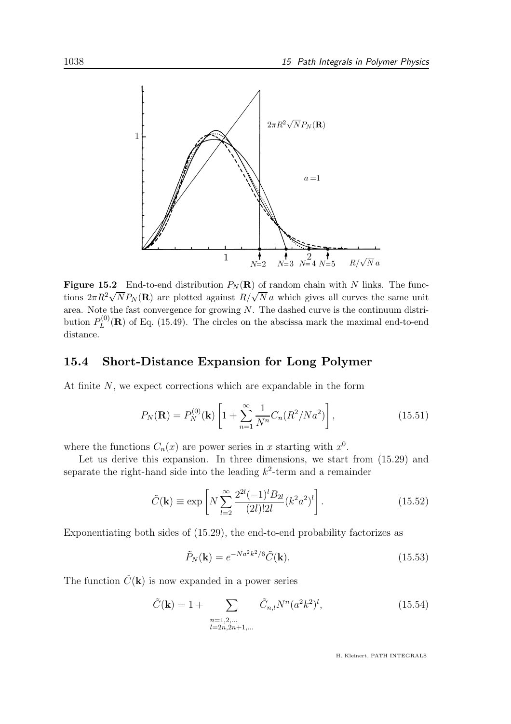

**Figure 15.2** End-to-end distribution  $P_N(\mathbf{R})$  of random chain with N links. The functions  $2\pi R^2 \sqrt{N} P_N(\mathbf{R})$  are plotted against  $R/\sqrt{N} a$  which gives all curves the same unit area. Note the fast convergence for growing  $N$ . The dashed curve is the continuum distribution  $P_L^{(0)}$  $L^{(0)}(R)$  of Eq. (15.49). The circles on the abscissa mark the maximal end-to-end distance.

#### 15.4 Short-Distance Expansion for Long Polymer

At finite N, we expect corrections which are expandable in the form

$$
P_N(\mathbf{R}) = P_N^{(0)}(\mathbf{k}) \left[ 1 + \sum_{n=1}^{\infty} \frac{1}{N^n} C_n (R^2 / N a^2) \right],
$$
 (15.51)

where the functions  $C_n(x)$  are power series in x starting with  $x^0$ .

Let us derive this expansion. In three dimensions, we start from  $(15.29)$  and separate the right-hand side into the leading  $k^2$ -term and a remainder

$$
\tilde{C}(\mathbf{k}) \equiv \exp\left[N \sum_{l=2}^{\infty} \frac{2^{2l} (-1)^l B_{2l}}{(2l)! 2l} (k^2 a^2)^l\right].
$$
\n(15.52)

Exponentiating both sides of (15.29), the end-to-end probability factorizes as

$$
\tilde{P}_N(\mathbf{k}) = e^{-Na^2k^2/6}\tilde{C}(\mathbf{k}).
$$
\n(15.53)

The function  $\tilde{C}(\mathbf{k})$  is now expanded in a power series

$$
\tilde{C}(\mathbf{k}) = 1 + \sum_{\substack{n=1,2,\dots\\l=2n,2n+1,\dots}} \tilde{C}_{n,l} N^n (a^2 k^2)^l,
$$
\n(15.54)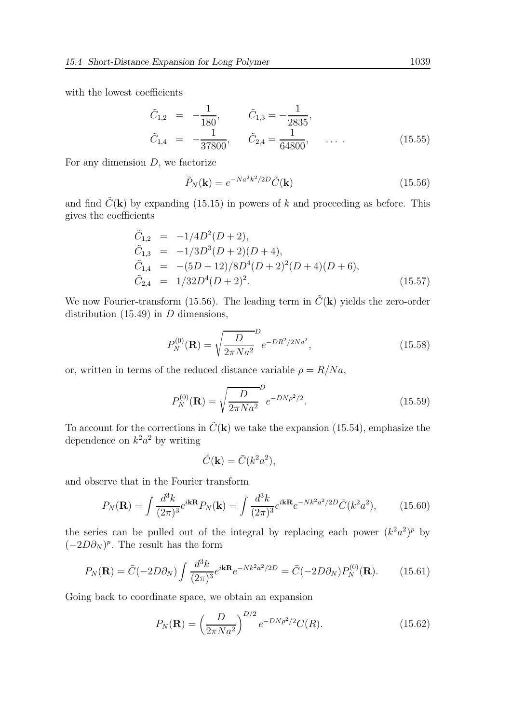with the lowest coefficients

$$
\tilde{C}_{1,2} = -\frac{1}{180}, \qquad \tilde{C}_{1,3} = -\frac{1}{2835}, \n\tilde{C}_{1,4} = -\frac{1}{37800}, \qquad \tilde{C}_{2,4} = \frac{1}{64800}, \qquad \dots \qquad (15.55)
$$

For any dimension  $D$ , we factorize

$$
\tilde{P}_N(\mathbf{k}) = e^{-Na^2k^2/2D}\tilde{C}(\mathbf{k})\tag{15.56}
$$

and find  $\tilde{C}(\mathbf{k})$  by expanding (15.15) in powers of k and proceeding as before. This gives the coefficients

$$
\tilde{C}_{1,2} = -1/4D^2(D+2), \n\tilde{C}_{1,3} = -1/3D^3(D+2)(D+4), \n\tilde{C}_{1,4} = -(5D+12)/8D^4(D+2)^2(D+4)(D+6), \n\tilde{C}_{2,4} = 1/32D^4(D+2)^2.
$$
\n(15.57)

We now Fourier-transform (15.56). The leading term in  $\tilde{C}(\mathbf{k})$  yields the zero-order distribution  $(15.49)$  in D dimensions,

$$
P_N^{(0)}(\mathbf{R}) = \sqrt{\frac{D}{2\pi Na^2}} e^{-DR^2/2Na^2},\tag{15.58}
$$

or, written in terms of the reduced distance variable  $\rho = R/Na$ ,

$$
P_N^{(0)}(\mathbf{R}) = \sqrt{\frac{D}{2\pi Na^2}} e^{-DN\rho^2/2}.
$$
 (15.59)

To account for the corrections in  $\tilde{C}(\mathbf{k})$  we take the expansion (15.54), emphasize the dependence on  $k^2 a^2$  by writing

$$
\tilde{C}(\mathbf{k}) = \bar{C}(k^2 a^2),
$$

and observe that in the Fourier transform

$$
P_N(\mathbf{R}) = \int \frac{d^3k}{(2\pi)^3} e^{i\mathbf{k}\mathbf{R}} P_N(\mathbf{k}) = \int \frac{d^3k}{(2\pi)^3} e^{i\mathbf{k}\mathbf{R}} e^{-Nk^2 a^2/2D} \bar{C}(k^2 a^2), \quad (15.60)
$$

the series can be pulled out of the integral by replacing each power  $(k^2a^2)^p$  by  $(-2D\partial_N)^p$ . The result has the form

$$
P_N(\mathbf{R}) = \bar{C}(-2D\partial_N) \int \frac{d^3k}{(2\pi)^3} e^{i\mathbf{k}\mathbf{R}} e^{-Nk^2 a^2/2D} = \bar{C}(-2D\partial_N) P_N^{(0)}(\mathbf{R}). \tag{15.61}
$$

Going back to coordinate space, we obtain an expansion

$$
P_N(\mathbf{R}) = \left(\frac{D}{2\pi Na^2}\right)^{D/2} e^{-DN\rho^2/2} C(R). \tag{15.62}
$$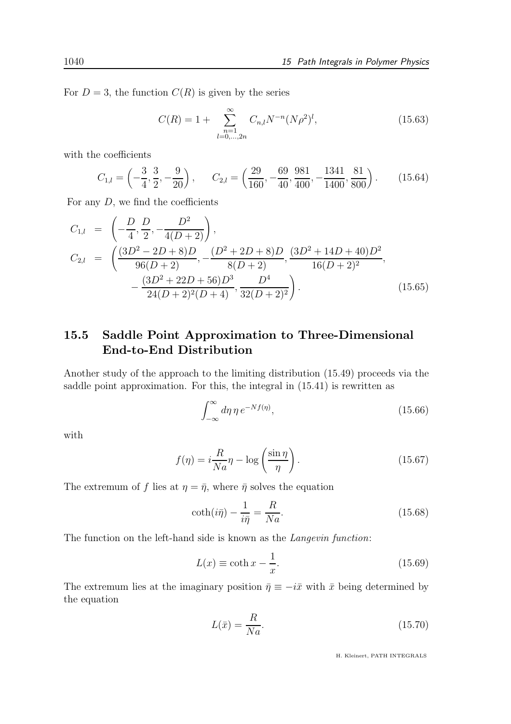For  $D = 3$ , the function  $C(R)$  is given by the series

$$
C(R) = 1 + \sum_{\substack{n=1 \ l=0,\ldots,2n}}^{\infty} C_{n,l} N^{-n} (N \rho^2)^l,
$$
 (15.63)

with the coefficients

$$
C_{1,l} = \left(-\frac{3}{4}, \frac{3}{2}, -\frac{9}{20}\right), \qquad C_{2,l} = \left(\frac{29}{160}, -\frac{69}{40}, \frac{981}{400}, -\frac{1341}{1400}, \frac{81}{800}\right). \tag{15.64}
$$

For any  $D$ , we find the coefficients

$$
C_{1,l} = \left(-\frac{D}{4}, \frac{D}{2}, -\frac{D^2}{4(D+2)}\right),
$$
  
\n
$$
C_{2,l} = \left(\frac{(3D^2 - 2D + 8)D}{96(D+2)}, -\frac{(D^2 + 2D + 8)D}{8(D+2)}, \frac{(3D^2 + 14D + 40)D^2}{16(D+2)^2}, -\frac{(3D^2 + 22D + 56)D^3}{24(D+2)^2(D+4)}, \frac{D^4}{32(D+2)^2}\right).
$$
\n(15.65)

## 15.5 Saddle Point Approximation to Three-Dimensional End-to-End Distribution

Another study of the approach to the limiting distribution (15.49) proceeds via the saddle point approximation. For this, the integral in (15.41) is rewritten as

$$
\int_{-\infty}^{\infty} d\eta \, \eta \, e^{-Nf(\eta)},\tag{15.66}
$$

with

$$
f(\eta) = i\frac{R}{Na}\eta - \log\left(\frac{\sin\eta}{\eta}\right). \tag{15.67}
$$

The extremum of f lies at  $\eta = \bar{\eta}$ , where  $\bar{\eta}$  solves the equation

$$
\coth(i\bar{\eta}) - \frac{1}{i\bar{\eta}} = \frac{R}{Na}.
$$
\n(15.68)

The function on the left-hand side is known as the *Langevin function*:

$$
L(x) \equiv \coth x - \frac{1}{x}.\tag{15.69}
$$

The extremum lies at the imaginary position  $\bar{\eta} \equiv -i\bar{x}$  with  $\bar{x}$  being determined by the equation

$$
L(\bar{x}) = \frac{R}{Na}.\tag{15.70}
$$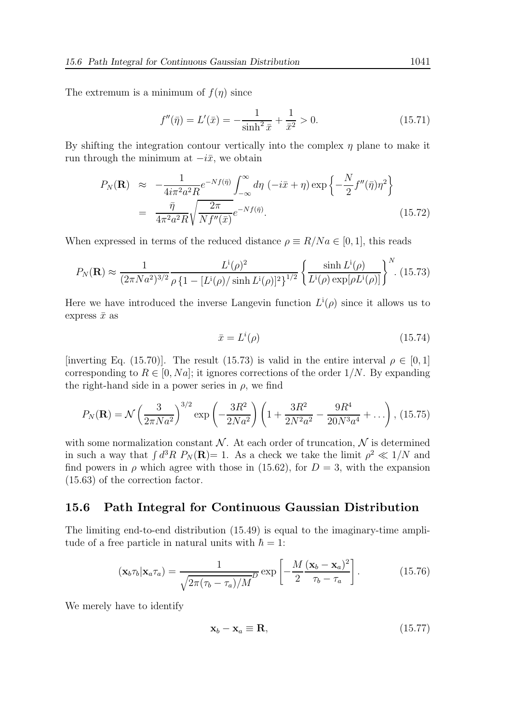The extremum is a minimum of  $f(\eta)$  since

$$
f''(\bar{\eta}) = L'(\bar{x}) = -\frac{1}{\sinh^2 \bar{x}} + \frac{1}{\bar{x}^2} > 0.
$$
 (15.71)

By shifting the integration contour vertically into the complex  $\eta$  plane to make it run through the minimum at  $-i\bar{x}$ , we obtain

$$
P_N(\mathbf{R}) \approx -\frac{1}{4i\pi^2 a^2 R} e^{-Nf(\bar{\eta})} \int_{-\infty}^{\infty} d\eta \, (-i\bar{x} + \eta) \exp\left\{-\frac{N}{2} f''(\bar{\eta}) \eta^2\right\}
$$

$$
= \frac{\bar{\eta}}{4\pi^2 a^2 R} \sqrt{\frac{2\pi}{N f''(\bar{x})}} e^{-Nf(\bar{\eta})}.
$$
(15.72)

When expressed in terms of the reduced distance  $\rho \equiv R/N a \in [0, 1]$ , this reads

$$
P_N(\mathbf{R}) \approx \frac{1}{(2\pi Na^2)^{3/2}} \frac{L^i(\rho)^2}{\rho \left\{1 - [L^i(\rho)/\sinh L^i(\rho)]^2\right\}^{1/2}} \left\{ \frac{\sinh L^i(\rho)}{L^i(\rho)\exp[\rho L^i(\rho)]} \right\}^N. (15.73)
$$

Here we have introduced the inverse Langevin function  $L^{i}(\rho)$  since it allows us to express  $\bar{x}$  as

$$
\bar{x} = L^i(\rho) \tag{15.74}
$$

[inverting Eq. (15.70)]. The result (15.73) is valid in the entire interval  $\rho \in [0,1]$ corresponding to  $R \in [0, Na]$ ; it ignores corrections of the order  $1/N$ . By expanding the right-hand side in a power series in  $\rho$ , we find

$$
P_N(\mathbf{R}) = \mathcal{N}\left(\frac{3}{2\pi Na^2}\right)^{3/2} \exp\left(-\frac{3R^2}{2Na^2}\right) \left(1 + \frac{3R^2}{2N^2a^2} - \frac{9R^4}{20N^3a^4} + \ldots\right), (15.75)
$$

with some normalization constant  $\mathcal N$ . At each order of truncation,  $\mathcal N$  is determined in such a way that  $\int d^3R P_N(\mathbf{R}) = 1$ . As a check we take the limit  $\rho^2 \ll 1/N$  and find powers in  $\rho$  which agree with those in (15.62), for  $D = 3$ , with the expansion (15.63) of the correction factor.

#### 15.6 Path Integral for Continuous Gaussian Distribution

The limiting end-to-end distribution (15.49) is equal to the imaginary-time amplitude of a free particle in natural units with  $\hbar = 1$ :

$$
(\mathbf{x}_b \tau_b | \mathbf{x}_a \tau_a) = \frac{1}{\sqrt{2\pi(\tau_b - \tau_a)/M}} \exp\left[-\frac{M}{2} \frac{(\mathbf{x}_b - \mathbf{x}_a)^2}{\tau_b - \tau_a}\right].
$$
 (15.76)

We merely have to identify

$$
\mathbf{x}_b - \mathbf{x}_a \equiv \mathbf{R},\tag{15.77}
$$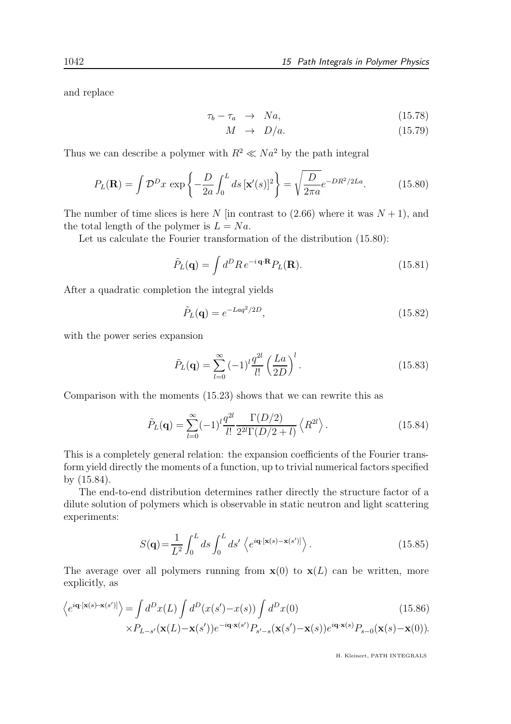and replace

$$
\tau_b - \tau_a \quad \rightarrow \quad Na, \tag{15.78}
$$

$$
M \rightarrow D/a. \tag{15.79}
$$

Thus we can describe a polymer with  $R^2 \ll Na^2$  by the path integral

$$
P_L(\mathbf{R}) = \int \mathcal{D}^D x \, \exp\left\{-\frac{D}{2a} \int_0^L ds \, [\mathbf{x}'(s)]^2\right\} = \sqrt{\frac{D}{2\pi a}} e^{-DR^2/2La}.\tag{15.80}
$$

The number of time slices is here N [in contrast to  $(2.66)$  where it was  $N + 1$ ], and the total length of the polymer is  $L = Na$ .

Let us calculate the Fourier transformation of the distribution (15.80):

$$
\tilde{P}_L(\mathbf{q}) = \int d^D R \, e^{-i \mathbf{q} \cdot \mathbf{R}} P_L(\mathbf{R}). \tag{15.81}
$$

After a quadratic completion the integral yields

$$
\tilde{P}_L(\mathbf{q}) = e^{-Laq^2/2D},\tag{15.82}
$$

with the power series expansion

$$
\tilde{P}_L(\mathbf{q}) = \sum_{l=0}^{\infty} (-1)^l \frac{q^{2l}}{l!} \left(\frac{La}{2D}\right)^l.
$$
\n(15.83)

Comparison with the moments (15.23) shows that we can rewrite this as

$$
\tilde{P}_L(\mathbf{q}) = \sum_{l=0}^{\infty} (-1)^l \frac{q^{2l}}{l!} \frac{\Gamma(D/2)}{2^{2l} \Gamma(D/2 + l)} \left\langle R^{2l} \right\rangle.
$$
\n(15.84)

This is a completely general relation: the expansion coefficients of the Fourier transform yield directly the moments of a function, up to trivial numerical factors specified by (15.84).

The end-to-end distribution determines rather directly the structure factor of a dilute solution of polymers which is observable in static neutron and light scattering experiments:

$$
S(\mathbf{q}) = \frac{1}{L^2} \int_0^L ds \int_0^L ds' \left\langle e^{i\mathbf{q} \cdot [\mathbf{x}(s) - \mathbf{x}(s')]}\right\rangle.
$$
 (15.85)

The average over all polymers running from  $\mathbf{x}(0)$  to  $\mathbf{x}(L)$  can be written, more explicitly, as

$$
\left\langle e^{i\mathbf{q}\cdot[\mathbf{x}(s)-\mathbf{x}(s')]}\right\rangle = \int d^D x(L) \int d^D (x(s') - x(s)) \int d^D x(0)
$$
\n
$$
\times P_{L-s'}(\mathbf{x}(L)-\mathbf{x}(s'))e^{-i\mathbf{q}\cdot\mathbf{x}(s')}P_{s'-s}(\mathbf{x}(s')-\mathbf{x}(s))e^{i\mathbf{q}\cdot\mathbf{x}(s)}P_{s-0}(\mathbf{x}(s)-\mathbf{x}(0)).
$$
\n(15.86)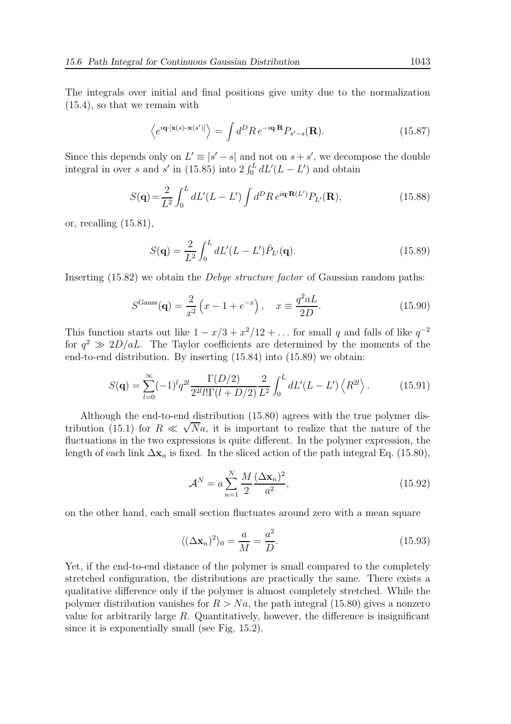The integrals over initial and final positions give unity due to the normalization (15.4), so that we remain with

$$
\left\langle e^{i\mathbf{q}\cdot[\mathbf{x}(s)-\mathbf{x}(s')]}\right\rangle = \int d^D R \, e^{-i\mathbf{q}\cdot\mathbf{R}} P_{s'-s}(\mathbf{R}).\tag{15.87}
$$

Since this depends only on  $L' \equiv |s'-s|$  and not on  $s+s'$ , we decompose the double integral in over s and s' in (15.85) into  $2 \int_0^L dL' (L - L')$  and obtain

$$
S(\mathbf{q}) = \frac{2}{L^2} \int_0^L dL'(L - L') \int d^D R \, e^{i\mathbf{q} \cdot \mathbf{R}(L')} P_{L'}(\mathbf{R}), \tag{15.88}
$$

or, recalling (15.81),

$$
S(\mathbf{q}) = \frac{2}{L^2} \int_0^L dL'(L - L') \tilde{P}_{L'}(\mathbf{q}).
$$
\n(15.89)

Inserting (15.82) we obtain the Debye structure factor of Gaussian random paths:

$$
SGauss(q) = \frac{2}{x^2} (x - 1 + e^{-x}), \quad x \equiv \frac{q^2 aL}{2D}.
$$
 (15.90)

This function starts out like  $1 - x/3 + x^2/12 + \ldots$  for small q and falls of like  $q^{-2}$ for  $q^2 \gg 2D/aL$ . The Taylor coefficients are determined by the moments of the end-to-end distribution. By inserting (15.84) into (15.89) we obtain:

$$
S(\mathbf{q}) = \sum_{l=0}^{\infty} (-1)^l q^{2l} \frac{\Gamma(D/2)}{2^{2l} l! \Gamma(l+D/2)} \frac{2}{L^2} \int_0^L dL'(L-L') \left\langle R^{2l} \right\rangle.
$$
 (15.91)

Although the end-to-end distribution (15.80) agrees with the true polymer distribution (15.1) for  $R \ll \sqrt{N}a$ , it is important to realize that the nature of the fluctuations in the two expressions is quite different. In the polymer expression, the length of each link  $\Delta x_n$  is fixed. In the sliced action of the path integral Eq. (15.80),

$$
\mathcal{A}^{N} = a \sum_{n=1}^{N} \frac{M}{2} \frac{(\Delta \mathbf{x}_{n})^{2}}{a^{2}},
$$
\n(15.92)

on the other hand, each small section fluctuates around zero with a mean square

$$
\langle (\Delta \mathbf{x}_n)^2 \rangle_0 = \frac{a}{M} = \frac{a^2}{D}.
$$
 (15.93)

Yet, if the end-to-end distance of the polymer is small compared to the completely stretched configuration, the distributions are practically the same. There exists a qualitative difference only if the polymer is almost completely stretched. While the polymer distribution vanishes for  $R > Na$ , the path integral (15.80) gives a nonzero value for arbitrarily large  $R$ . Quantitatively, however, the difference is insignificant since it is exponentially small (see Fig. 15.2).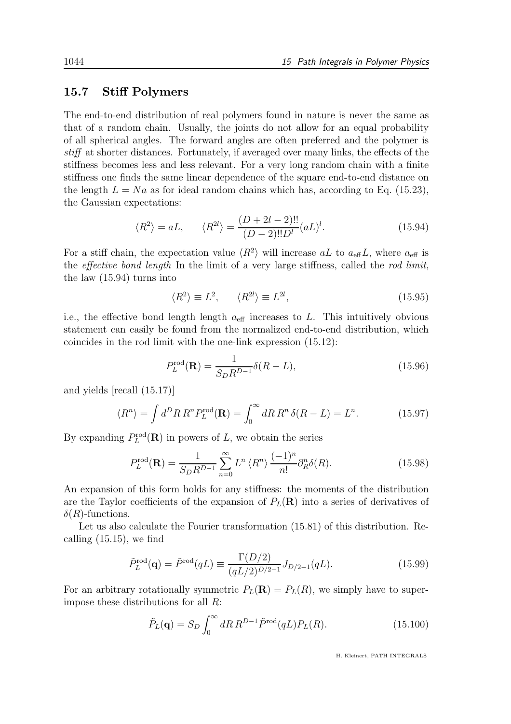#### 15.7 Stiff Polymers

The end-to-end distribution of real polymers found in nature is never the same as that of a random chain. Usually, the joints do not allow for an equal probability of all spherical angles. The forward angles are often preferred and the polymer is stiff at shorter distances. Fortunately, if averaged over many links, the effects of the stiffness becomes less and less relevant. For a very long random chain with a finite stiffness one finds the same linear dependence of the square end-to-end distance on the length  $L = Na$  as for ideal random chains which has, according to Eq. (15.23), the Gaussian expectations:

$$
\langle R^2 \rangle = aL, \qquad \langle R^{2l} \rangle = \frac{(D+2l-2)!!}{(D-2)!!D^l} (aL)^l. \tag{15.94}
$$

For a stiff chain, the expectation value  $\langle R^2 \rangle$  will increase aL to  $a_{\text{eff}}L$ , where  $a_{\text{eff}}$  is the effective bond length In the limit of a very large stiffness, called the rod limit, the law (15.94) turns into

$$
\langle R^2 \rangle \equiv L^2, \qquad \langle R^{2l} \rangle \equiv L^{2l}, \tag{15.95}
$$

i.e., the effective bond length length  $a_{\text{eff}}$  increases to L. This intuitively obvious statement can easily be found from the normalized end-to-end distribution, which coincides in the rod limit with the one-link expression (15.12):

$$
P_L^{\text{rod}}(\mathbf{R}) = \frac{1}{S_D R^{D-1}} \delta(R - L),
$$
\n(15.96)

and yields [recall (15.17)]

$$
\langle R^n \rangle = \int d^D R \, R^n P_L^{\text{rod}}(\mathbf{R}) = \int_0^\infty dR \, R^n \, \delta(R - L) = L^n. \tag{15.97}
$$

By expanding  $P_L^{\text{rod}}(\mathbf{R})$  in powers of L, we obtain the series

$$
P_L^{\text{rod}}(\mathbf{R}) = \frac{1}{S_D R^{D-1}} \sum_{n=0}^{\infty} L^n \langle R^n \rangle \frac{(-1)^n}{n!} \partial_R^n \delta(R). \tag{15.98}
$$

An expansion of this form holds for any stiffness: the moments of the distribution are the Taylor coefficients of the expansion of  $P_L(\mathbf{R})$  into a series of derivatives of  $\delta(R)$ -functions.

Let us also calculate the Fourier transformation  $(15.81)$  of this distribution. Recalling (15.15), we find

$$
\tilde{P}_L^{\text{rod}}(\mathbf{q}) = \tilde{P}^{\text{rod}}(qL) \equiv \frac{\Gamma(D/2)}{(qL/2)^{D/2-1}} J_{D/2-1}(qL). \tag{15.99}
$$

For an arbitrary rotationally symmetric  $P_L(\mathbf{R}) = P_L(R)$ , we simply have to superimpose these distributions for all R:

$$
\tilde{P}_L(\mathbf{q}) = S_D \int_0^\infty dR \, R^{D-1} \tilde{P}^{\text{rod}}(qL) P_L(R). \tag{15.100}
$$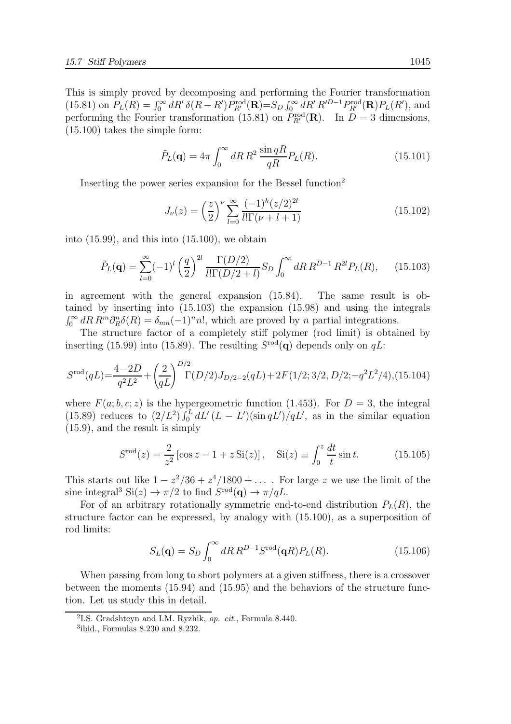This is simply proved by decomposing and performing the Fourier transformation (15.81) on  $P_L(R) = \int_0^\infty dR' \, \delta(R - R') P_{R'}^{\text{rod}}(\mathbf{R}) = S_D \int_0^\infty dR' R'^{D-1} P_{R'}^{\text{rod}}(\mathbf{R}) P_L(R')$ , and performing the Fourier transformation (15.81) on  $P_{R'}^{\text{rod}}(\mathbf{R})$ . In  $D=3$  dimensions, (15.100) takes the simple form:

$$
\tilde{P}_L(\mathbf{q}) = 4\pi \int_0^\infty dR \, R^2 \, \frac{\sin qR}{qR} P_L(R). \tag{15.101}
$$

Inserting the power series expansion for the Bessel function<sup>2</sup>

$$
J_{\nu}(z) = \left(\frac{z}{2}\right)^{\nu} \sum_{l=0}^{\infty} \frac{(-1)^{k} (z/2)^{2l}}{l! \Gamma(\nu + l + 1)}
$$
(15.102)

into  $(15.99)$ , and this into  $(15.100)$ , we obtain

$$
\tilde{P}_L(\mathbf{q}) = \sum_{l=0}^{\infty} (-1)^l \left(\frac{q}{2}\right)^{2l} \frac{\Gamma(D/2)}{l! \Gamma(D/2 + l)} S_D \int_0^{\infty} dR \, R^{D-1} \, R^{2l} P_L(R), \qquad (15.103)
$$

in agreement with the general expansion (15.84). The same result is obtained by inserting into (15.103) the expansion (15.98) and using the integrals  $\int_0^\infty dR R^m \partial_R^n \delta(R) = \delta_{mn} (-1)^n n!$ , which are proved by n partial integrations.

The structure factor of a completely stiff polymer (rod limit) is obtained by inserting (15.99) into (15.89). The resulting  $S^{rod}(\mathbf{q})$  depends only on  $qL$ :

$$
S^{\text{rod}}(qL) = \frac{4-2D}{q^2L^2} + \left(\frac{2}{qL}\right)^{D/2} \Gamma(D/2) J_{D/2-2}(qL) + 2F(1/2; 3/2, D/2; -q^2L^2/4), (15.104)
$$

where  $F(a; b, c; z)$  is the hypergeometric function (1.453). For  $D = 3$ , the integral (15.89) reduces to  $(2/L^2) \int_0^L dL' (L - L') (\sin qL')/qL'$ , as in the similar equation (15.9), and the result is simply

$$
S^{\text{rod}}(z) = \frac{2}{z^2} [\cos z - 1 + z \operatorname{Si}(z)], \quad \operatorname{Si}(z) \equiv \int_0^z \frac{dt}{t} \sin t.
$$
 (15.105)

This starts out like  $1 - z^2/36 + z^4/1800 + \ldots$ . For large z we use the limit of the sine integral<sup>3</sup> Si(z)  $\rightarrow \pi/2$  to find  $S^{\text{rod}}(\mathbf{q}) \rightarrow \pi/qL$ .

For of an arbitrary rotationally symmetric end-to-end distribution  $P<sub>L</sub>(R)$ , the structure factor can be expressed, by analogy with (15.100), as a superposition of rod limits:

$$
S_L(\mathbf{q}) = S_D \int_0^\infty dR \, R^{D-1} S^{\text{rod}}(\mathbf{q}R) P_L(R). \tag{15.106}
$$

When passing from long to short polymers at a given stiffness, there is a crossover between the moments (15.94) and (15.95) and the behaviors of the structure function. Let us study this in detail.

<sup>&</sup>lt;sup>2</sup>I.S. Gradshteyn and I.M. Ryzhik, op. cit., Formula 8.440.

<sup>3</sup> ibid., Formulas 8.230 and 8.232.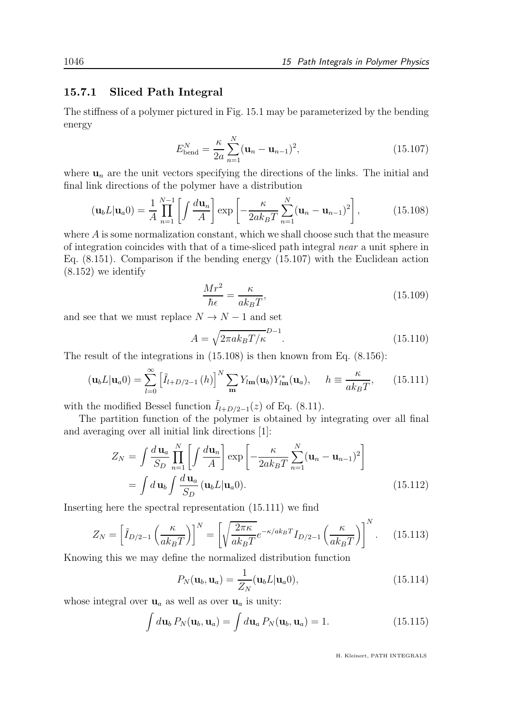#### 15.7.1 Sliced Path Integral

The stiffness of a polymer pictured in Fig. 15.1 may be parameterized by the bending energy

$$
E_{\text{bend}}^{N} = \frac{\kappa}{2a} \sum_{n=1}^{N} (\mathbf{u}_{n} - \mathbf{u}_{n-1})^{2},
$$
 (15.107)

where  $\mathbf{u}_n$  are the unit vectors specifying the directions of the links. The initial and final link directions of the polymer have a distribution

$$
(\mathbf{u}_b L | \mathbf{u}_a 0) = \frac{1}{A} \prod_{n=1}^{N-1} \left[ \int \frac{d\mathbf{u}_n}{A} \right] \exp\left[ -\frac{\kappa}{2ak_B T} \sum_{n=1}^{N} (\mathbf{u}_n - \mathbf{u}_{n-1})^2 \right],\tag{15.108}
$$

where A is some normalization constant, which we shall choose such that the measure of integration coincides with that of a time-sliced path integral near a unit sphere in Eq. (8.151). Comparison if the bending energy (15.107) with the Euclidean action (8.152) we identify

$$
\frac{Mr^2}{\hbar\epsilon} = \frac{\kappa}{ak_BT},\tag{15.109}
$$

and see that we must replace  $N \to N-1$  and set

$$
A = \sqrt{2\pi ak_B T/\kappa}^{D-1}.
$$
\n(15.110)

The result of the integrations in  $(15.108)$  is then known from Eq.  $(8.156)$ :

$$
(\mathbf{u}_b L | \mathbf{u}_a 0) = \sum_{l=0}^{\infty} \left[ \tilde{I}_{l+D/2-1}(h) \right]^N \sum_{\mathbf{m}} Y_{l\mathbf{m}}(\mathbf{u}_b) Y_{l\mathbf{m}}^*(\mathbf{u}_a), \quad h \equiv \frac{\kappa}{ak_B T}, \qquad (15.111)
$$

with the modified Bessel function  $I_{l+D/2-1}(z)$  of Eq. (8.11).

The partition function of the polymer is obtained by integrating over all final and averaging over all initial link directions [1]:

$$
Z_N = \int \frac{d\,\mathbf{u}_a}{S_D} \prod_{n=1}^N \left[ \int \frac{d\mathbf{u}_n}{A} \right] \exp\left[ -\frac{\kappa}{2ak_B T} \sum_{n=1}^N (\mathbf{u}_n - \mathbf{u}_{n-1})^2 \right]
$$
  
= 
$$
\int d\,\mathbf{u}_b \int \frac{d\,\mathbf{u}_a}{S_D} (\mathbf{u}_b L | \mathbf{u}_a 0).
$$
 (15.112)

Inserting here the spectral representation (15.111) we find

$$
Z_N = \left[\tilde{I}_{D/2-1}\left(\frac{\kappa}{ak_BT}\right)\right]^N = \left[\sqrt{\frac{2\pi\kappa}{ak_BT}}e^{-\kappa/ak_BT}I_{D/2-1}\left(\frac{\kappa}{ak_BT}\right)\right]^N.
$$
 (15.113)

Knowing this we may define the normalized distribution function

$$
P_N(\mathbf{u}_b, \mathbf{u}_a) = \frac{1}{Z_N}(\mathbf{u}_b L | \mathbf{u}_a 0), \qquad (15.114)
$$

whose integral over  $\mathbf{u}_a$  as well as over  $\mathbf{u}_a$  is unity:

$$
\int d\mathbf{u}_b P_N(\mathbf{u}_b, \mathbf{u}_a) = \int d\mathbf{u}_a P_N(\mathbf{u}_b, \mathbf{u}_a) = 1.
$$
 (15.115)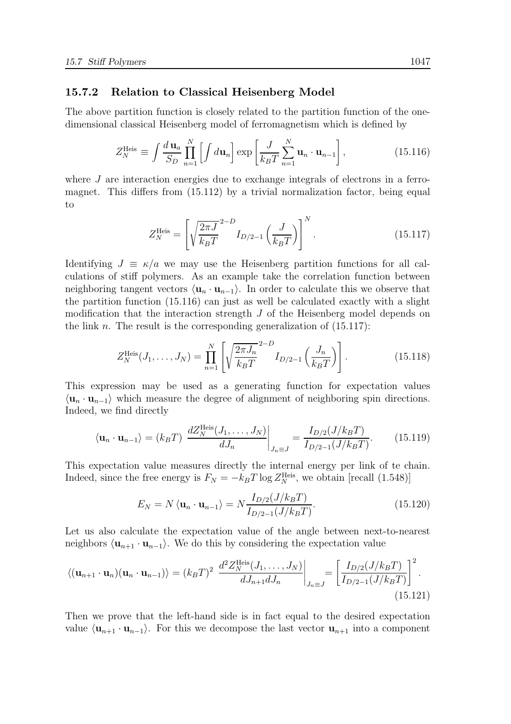#### 15.7.2 Relation to Classical Heisenberg Model

The above partition function is closely related to the partition function of the onedimensional classical Heisenberg model of ferromagnetism which is defined by

$$
Z_N^{\text{Heis}} \equiv \int \frac{d\,\mathbf{u}_a}{S_D} \prod_{n=1}^N \left[ \int d\mathbf{u}_n \right] \exp\left[ \frac{J}{k_B T} \sum_{n=1}^N \mathbf{u}_n \cdot \mathbf{u}_{n-1} \right],\tag{15.116}
$$

where J are interaction energies due to exchange integrals of electrons in a ferromagnet. This differs from  $(15.112)$  by a trivial normalization factor, being equal to

$$
Z_N^{\text{Heis}} = \left[ \sqrt{\frac{2\pi J}{k_B T}}^{2-D} I_{D/2-1} \left( \frac{J}{k_B T} \right) \right]^N.
$$
 (15.117)

Identifying  $J \equiv \kappa/a$  we may use the Heisenberg partition functions for all calculations of stiff polymers. As an example take the correlation function between neighboring tangent vectors  $\langle \mathbf{u}_n \cdot \mathbf{u}_{n-1} \rangle$ . In order to calculate this we observe that the partition function (15.116) can just as well be calculated exactly with a slight modification that the interaction strength  $J$  of the Heisenberg model depends on the link n. The result is the corresponding generalization of  $(15.117)$ :

$$
Z_N^{\text{Heis}}(J_1, \dots, J_N) = \prod_{n=1}^N \left[ \sqrt{\frac{2\pi J_n}{k_B T}}^{2-D} I_{D/2-1} \left( \frac{J_n}{k_B T} \right) \right].
$$
 (15.118)

This expression may be used as a generating function for expectation values  $\langle \mathbf{u}_n \cdot \mathbf{u}_{n-1} \rangle$  which measure the degree of alignment of neighboring spin directions. Indeed, we find directly

$$
\langle \mathbf{u}_n \cdot \mathbf{u}_{n-1} \rangle = (k_B T) \left. \frac{dZ_N^{\text{Heis}}(J_1, \dots, J_N)}{dJ_n} \right|_{J_n \equiv J} = \frac{I_{D/2}(J/k_B T)}{I_{D/2-1}(J/k_B T)}.
$$
 (15.119)

This expectation value measures directly the internal energy per link of te chain. Indeed, since the free energy is  $F_N = -k_B T \log Z_N^{\text{Heis}}$ , we obtain [recall (1.548)]

$$
E_N = N \langle \mathbf{u}_n \cdot \mathbf{u}_{n-1} \rangle = N \frac{I_{D/2}(J/k_B T)}{I_{D/2-1}(J/k_B T)}.
$$
 (15.120)

Let us also calculate the expectation value of the angle between next-to-nearest neighbors  $\langle \mathbf{u}_{n+1} \cdot \mathbf{u}_{n-1} \rangle$ . We do this by considering the expectation value

$$
\langle (\mathbf{u}_{n+1} \cdot \mathbf{u}_n)(\mathbf{u}_n \cdot \mathbf{u}_{n-1}) \rangle = (k_B T)^2 \left. \frac{d^2 Z_N^{\text{Heis}}(J_1, \dots, J_N)}{d J_{n+1} d J_n} \right|_{J_n \equiv J} = \left[ \frac{I_{D/2}(J/k_B T)}{I_{D/2-1}(J/k_B T)} \right]^2.
$$
\n(15.121)

Then we prove that the left-hand side is in fact equal to the desired expectation value  $\langle \mathbf{u}_{n+1} \cdot \mathbf{u}_{n-1} \rangle$ . For this we decompose the last vector  $\mathbf{u}_{n+1}$  into a component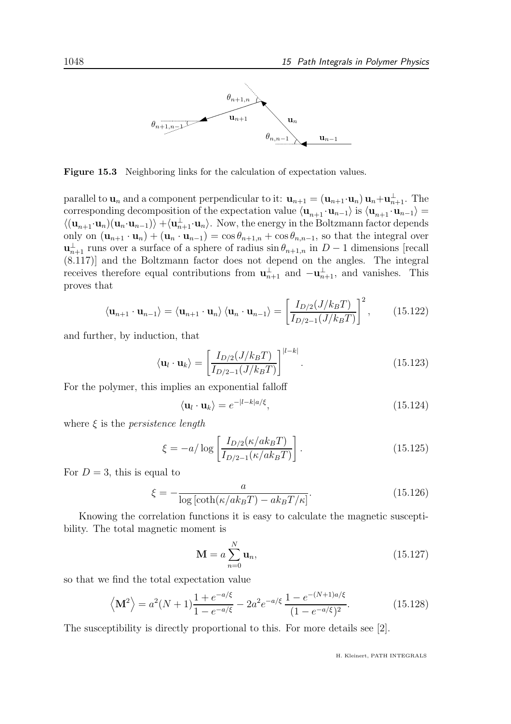

Figure 15.3 Neighboring links for the calculation of expectation values.

parallel to  $\mathbf{u}_n$  and a component perpendicular to it:  $\mathbf{u}_{n+1} = (\mathbf{u}_{n+1} \cdot \mathbf{u}_n) \mathbf{u}_n + \mathbf{u}_{n+1}^{\perp}$ . The corresponding decomposition of the expectation value  $\langle \mathbf{u}_{n+1} \cdot \mathbf{u}_{n-1} \rangle$  is  $\langle \mathbf{u}_{n+1} \cdot \mathbf{u}_{n-1} \rangle$  $\langle (\mathbf{u}_{n+1}\cdot \mathbf{u}_n)(\mathbf{u}_n\cdot \mathbf{u}_{n-1})\rangle + \langle \mathbf{u}_{n+1}^{\perp}\cdot \mathbf{u}_n \rangle$ . Now, the energy in the Boltzmann factor depends only on  $(\mathbf{u}_{n+1} \cdot \mathbf{u}_n) + (\mathbf{u}_n \cdot \mathbf{u}_{n-1}) = \cos \theta_{n+1,n} + \cos \theta_{n,n-1}$ , so that the integral over  $\mathbf{u}_{n+1}^{\perp}$  runs over a surface of a sphere of radius  $\sin \theta_{n+1,n}$  in  $D-1$  dimensions [recall (8.117)] and the Boltzmann factor does not depend on the angles. The integral receives therefore equal contributions from  $\mathbf{u}_{n+1}^{\perp}$  and  $-\mathbf{u}_{n+1}^{\perp}$ , and vanishes. This proves that

$$
\langle \mathbf{u}_{n+1} \cdot \mathbf{u}_{n-1} \rangle = \langle \mathbf{u}_{n+1} \cdot \mathbf{u}_n \rangle \langle \mathbf{u}_n \cdot \mathbf{u}_{n-1} \rangle = \left[ \frac{I_{D/2}(J/k_B T)}{I_{D/2-1}(J/k_B T)} \right]^2, \quad (15.122)
$$

and further, by induction, that

$$
\langle \mathbf{u}_l \cdot \mathbf{u}_k \rangle = \left[ \frac{I_{D/2}(J/k_B T)}{I_{D/2-1}(J/k_B T)} \right]^{|l-k|}.
$$
 (15.123)

For the polymer, this implies an exponential falloff

 $\langle$ 

$$
\langle \mathbf{u}_l \cdot \mathbf{u}_k \rangle = e^{-|l-k|a/\xi},\tag{15.124}
$$

where  $\xi$  is the *persistence length* 

$$
\xi = -a/\log\left[\frac{I_{D/2}(\kappa/ak_BT)}{I_{D/2-1}(\kappa/ak_BT)}\right].
$$
\n(15.125)

For  $D=3$ , this is equal to

$$
\xi = -\frac{a}{\log\left[\coth(\kappa/ak_BT) - ak_BT/\kappa\right]}.\tag{15.126}
$$

Knowing the correlation functions it is easy to calculate the magnetic susceptibility. The total magnetic moment is

$$
\mathbf{M} = a \sum_{n=0}^{N} \mathbf{u}_n, \tag{15.127}
$$

so that we find the total expectation value

$$
\left\langle \mathbf{M}^2 \right\rangle = a^2(N+1)\frac{1+e^{-a/\xi}}{1-e^{-a/\xi}} - 2a^2 e^{-a/\xi} \frac{1-e^{-(N+1)a/\xi}}{(1-e^{-a/\xi})^2}.
$$
 (15.128)

The susceptibility is directly proportional to this. For more details see [2].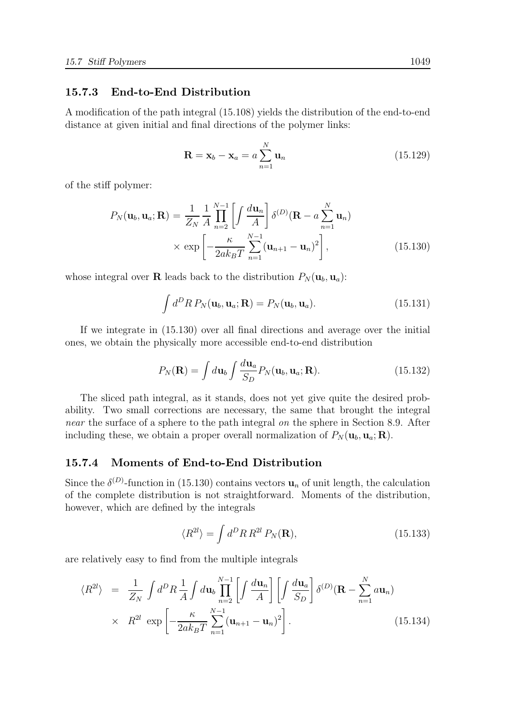#### 15.7.3 End-to-End Distribution

A modification of the path integral (15.108) yields the distribution of the end-to-end distance at given initial and final directions of the polymer links:

$$
\mathbf{R} = \mathbf{x}_b - \mathbf{x}_a = a \sum_{n=1}^{N} \mathbf{u}_n
$$
 (15.129)

of the stiff polymer:

$$
P_N(\mathbf{u}_b, \mathbf{u}_a; \mathbf{R}) = \frac{1}{Z_N} \frac{1}{A} \prod_{n=2}^{N-1} \left[ \int \frac{d\mathbf{u}_n}{A} \right] \delta^{(D)}(\mathbf{R} - a \sum_{n=1}^{N} \mathbf{u}_n)
$$

$$
\times \exp\left[ -\frac{\kappa}{2ak_BT} \sum_{n=1}^{N-1} (\mathbf{u}_{n+1} - \mathbf{u}_n)^2 \right],
$$
(15.130)

whose integral over **R** leads back to the distribution  $P_N(\mathbf{u}_b, \mathbf{u}_a)$ :

$$
\int d^D R P_N(\mathbf{u}_b, \mathbf{u}_a; \mathbf{R}) = P_N(\mathbf{u}_b, \mathbf{u}_a).
$$
 (15.131)

If we integrate in (15.130) over all final directions and average over the initial ones, we obtain the physically more accessible end-to-end distribution

$$
P_N(\mathbf{R}) = \int d\mathbf{u}_b \int \frac{d\mathbf{u}_a}{S_D} P_N(\mathbf{u}_b, \mathbf{u}_a; \mathbf{R}).
$$
 (15.132)

The sliced path integral, as it stands, does not yet give quite the desired probability. Two small corrections are necessary, the same that brought the integral near the surface of a sphere to the path integral on the sphere in Section 8.9. After including these, we obtain a proper overall normalization of  $P_N(\mathbf{u}_b, \mathbf{u}_a; \mathbf{R})$ .

#### 15.7.4 Moments of End-to-End Distribution

Since the  $\delta^{(D)}$ -function in (15.130) contains vectors  $\mathbf{u}_n$  of unit length, the calculation of the complete distribution is not straightforward. Moments of the distribution, however, which are defined by the integrals

$$
\langle R^{2l} \rangle = \int d^D R \, R^{2l} \, P_N(\mathbf{R}), \tag{15.133}
$$

are relatively easy to find from the multiple integrals

$$
\langle R^{2l} \rangle = \frac{1}{Z_N} \int d^D R \frac{1}{A} \int d\mathbf{u}_b \prod_{n=2}^{N-1} \left[ \int \frac{d\mathbf{u}_n}{A} \right] \left[ \int \frac{d\mathbf{u}_a}{S_D} \right] \delta^{(D)}(\mathbf{R} - \sum_{n=1}^N a \mathbf{u}_n)
$$
  
 
$$
\times R^{2l} \exp \left[ -\frac{\kappa}{2ak_B T} \sum_{n=1}^{N-1} (\mathbf{u}_{n+1} - \mathbf{u}_n)^2 \right].
$$
 (15.134)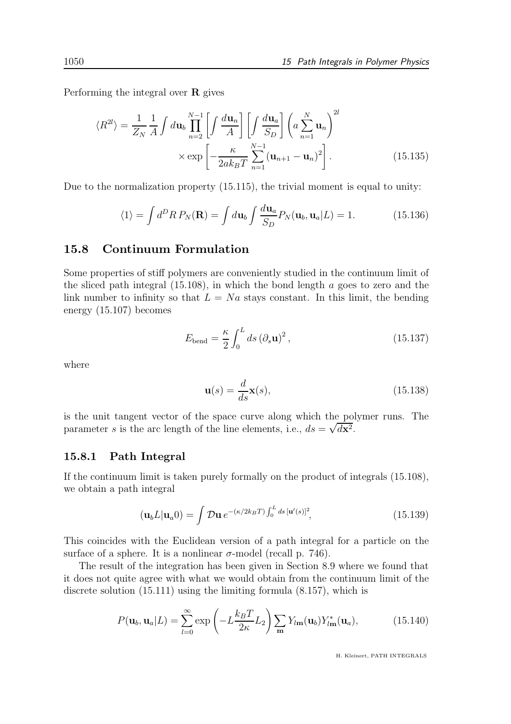Performing the integral over  $\bf{R}$  gives

$$
\langle R^{2l} \rangle = \frac{1}{Z_N} \frac{1}{A} \int d\mathbf{u}_b \prod_{n=2}^{N-1} \left[ \int \frac{d\mathbf{u}_n}{A} \right] \left[ \int \frac{d\mathbf{u}_a}{S_D} \right] \left( a \sum_{n=1}^N \mathbf{u}_n \right)^{2l} \times \exp \left[ -\frac{\kappa}{2ak_B T} \sum_{n=1}^{N-1} (\mathbf{u}_{n+1} - \mathbf{u}_n)^2 \right]. \tag{15.135}
$$

Due to the normalization property (15.115), the trivial moment is equal to unity:

$$
\langle 1 \rangle = \int d^D R \, P_N(\mathbf{R}) = \int d\mathbf{u}_b \int \frac{d\mathbf{u}_a}{S_D} P_N(\mathbf{u}_b, \mathbf{u}_a | L) = 1. \tag{15.136}
$$

#### 15.8 Continuum Formulation

Some properties of stiff polymers are conveniently studied in the continuum limit of the sliced path integral (15.108), in which the bond length a goes to zero and the link number to infinity so that  $L = Na$  stays constant. In this limit, the bending energy (15.107) becomes

$$
E_{\text{bend}} = \frac{\kappa}{2} \int_0^L ds \, (\partial_s \mathbf{u})^2 \,, \tag{15.137}
$$

where

$$
\mathbf{u}(s) = \frac{d}{ds}\mathbf{x}(s),\tag{15.138}
$$

is the unit tangent vector of the space curve along which the polymer runs. The parameter s is the arc length of the line elements, i.e.,  $ds = \sqrt{dx^2}$ .

#### 15.8.1 Path Integral

If the continuum limit is taken purely formally on the product of integrals (15.108), we obtain a path integral

$$
\left(\mathbf{u}_b L|\mathbf{u}_a 0\right) = \int \mathcal{D}\mathbf{u} \, e^{-(\kappa/2k_B T) \int_0^L ds \, [\mathbf{u}'(s)]^2},\tag{15.139}
$$

This coincides with the Euclidean version of a path integral for a particle on the surface of a sphere. It is a nonlinear  $\sigma$ -model (recall p. 746).

The result of the integration has been given in Section 8.9 where we found that it does not quite agree with what we would obtain from the continuum limit of the discrete solution (15.111) using the limiting formula (8.157), which is

$$
P(\mathbf{u}_b, \mathbf{u}_a | L) = \sum_{l=0}^{\infty} \exp\left(-L\frac{k_B T}{2\kappa} L_2\right) \sum_{\mathbf{m}} Y_{l\mathbf{m}}(\mathbf{u}_b) Y_{l\mathbf{m}}^*(\mathbf{u}_a),\tag{15.140}
$$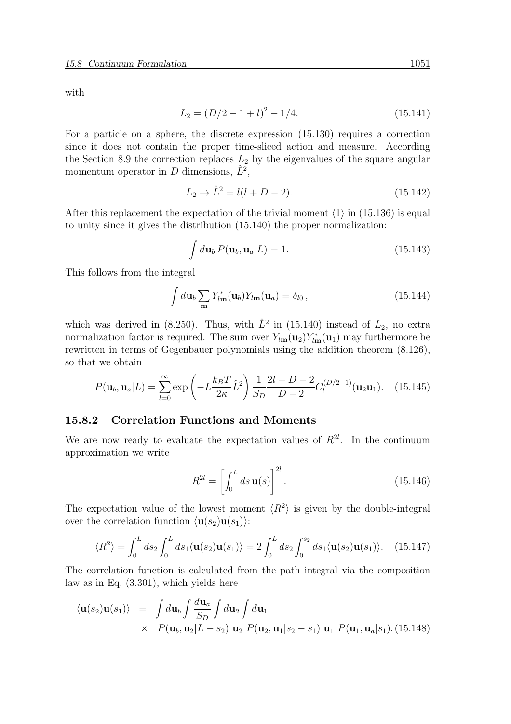with

$$
L_2 = (D/2 - 1 + l)^2 - 1/4.
$$
\n(15.141)

For a particle on a sphere, the discrete expression (15.130) requires a correction since it does not contain the proper time-sliced action and measure. According the Section 8.9 the correction replaces  $L_2$  by the eigenvalues of the square angular momentum operator in D dimensions,  $\hat{L}^2$ ,

$$
L_2 \to \hat{L}^2 = l(l+D-2). \tag{15.142}
$$

After this replacement the expectation of the trivial moment  $\langle 1 \rangle$  in (15.136) is equal to unity since it gives the distribution (15.140) the proper normalization:

$$
\int d\mathbf{u}_b P(\mathbf{u}_b, \mathbf{u}_a | L) = 1.
$$
\n(15.143)

This follows from the integral

$$
\int d\mathbf{u}_b \sum_{\mathbf{m}} Y_{l\mathbf{m}}^*(\mathbf{u}_b) Y_{l\mathbf{m}}(\mathbf{u}_a) = \delta_{l0}, \qquad (15.144)
$$

which was derived in (8.250). Thus, with  $\hat{L}^2$  in (15.140) instead of  $L_2$ , no extra normalization factor is required. The sum over  $Y_{l\mathbf{m}}(\mathbf{u}_2)Y_{l\mathbf{m}}^*(\mathbf{u}_1)$  may furthermore be rewritten in terms of Gegenbauer polynomials using the addition theorem (8.126), so that we obtain

$$
P(\mathbf{u}_b, \mathbf{u}_a | L) = \sum_{l=0}^{\infty} \exp\left(-L\frac{k_B T}{2\kappa}\hat{L}^2\right) \frac{1}{S_D} \frac{2l + D - 2}{D - 2} C_l^{(D/2 - 1)}(\mathbf{u}_2 \mathbf{u}_1).
$$
 (15.145)

#### 15.8.2 Correlation Functions and Moments

We are now ready to evaluate the expectation values of  $R^{2l}$ . In the continuum approximation we write

$$
R^{2l} = \left[ \int_0^L ds \, \mathbf{u}(s) \right]^{2l} . \tag{15.146}
$$

The expectation value of the lowest moment  $\langle R^2 \rangle$  is given by the double-integral over the correlation function  $\langle \mathbf{u}(s_2)\mathbf{u}(s_1)\rangle$ :

$$
\langle R^2 \rangle = \int_0^L ds_2 \int_0^L ds_1 \langle \mathbf{u}(s_2) \mathbf{u}(s_1) \rangle = 2 \int_0^L ds_2 \int_0^{s_2} ds_1 \langle \mathbf{u}(s_2) \mathbf{u}(s_1) \rangle.
$$
 (15.147)

The correlation function is calculated from the path integral via the composition law as in Eq. (3.301), which yields here

$$
\langle \mathbf{u}(s_2) \mathbf{u}(s_1) \rangle = \int d\mathbf{u}_b \int \frac{d\mathbf{u}_a}{S_D} \int d\mathbf{u}_2 \int d\mathbf{u}_1
$$
  
 
$$
\times \quad P(\mathbf{u}_b, \mathbf{u}_2 | L - s_2) \mathbf{u}_2 \ P(\mathbf{u}_2, \mathbf{u}_1 | s_2 - s_1) \mathbf{u}_1 \ P(\mathbf{u}_1, \mathbf{u}_a | s_1). (15.148)
$$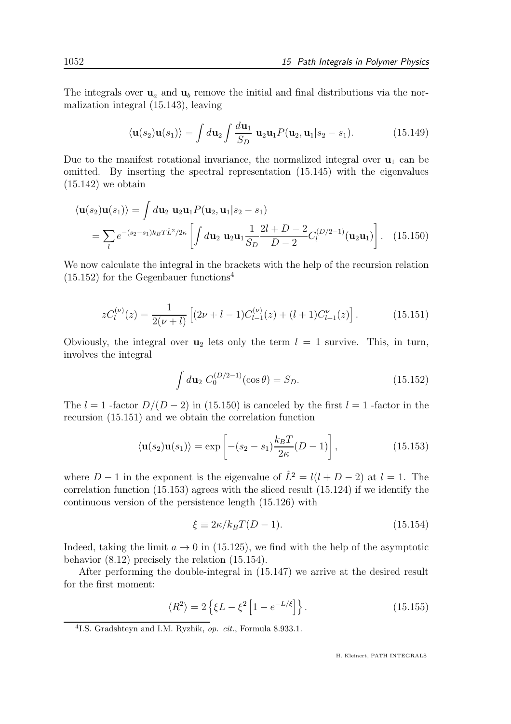The integrals over  $\mathbf{u}_a$  and  $\mathbf{u}_b$  remove the initial and final distributions via the normalization integral (15.143), leaving

$$
\langle \mathbf{u}(s_2)\mathbf{u}(s_1)\rangle = \int d\mathbf{u}_2 \int \frac{d\mathbf{u}_1}{S_D} \mathbf{u}_2 \mathbf{u}_1 P(\mathbf{u}_2, \mathbf{u}_1 | s_2 - s_1). \tag{15.149}
$$

Due to the manifest rotational invariance, the normalized integral over  $\mathbf{u}_1$  can be omitted. By inserting the spectral representation (15.145) with the eigenvalues  $(15.142)$  we obtain

$$
\langle \mathbf{u}(s_2) \mathbf{u}(s_1) \rangle = \int d\mathbf{u}_2 \, \mathbf{u}_2 \mathbf{u}_1 P(\mathbf{u}_2, \mathbf{u}_1 | s_2 - s_1)
$$
  
=  $\sum_l e^{-(s_2 - s_1)k_B T \hat{L}^2/2\kappa} \left[ \int d\mathbf{u}_2 \, \mathbf{u}_2 \mathbf{u}_1 \frac{1}{S_D} \frac{2l + D - 2}{D - 2} C_l^{(D/2 - 1)}(\mathbf{u}_2 \mathbf{u}_1) \right].$  (15.150)

We now calculate the integral in the brackets with the help of the recursion relation  $(15.152)$  for the Gegenbauer functions<sup>4</sup>

$$
zC_l^{(\nu)}(z) = \frac{1}{2(\nu+l)} \left[ (2\nu + l - 1)C_{l-1}^{(\nu)}(z) + (l+1)C_{l+1}^{(\nu)}(z) \right].
$$
 (15.151)

Obviously, the integral over  $u_2$  lets only the term  $l = 1$  survive. This, in turn, involves the integral

$$
\int d\mathbf{u}_2 \ C_0^{(D/2-1)}(\cos \theta) = S_D. \tag{15.152}
$$

The  $l = 1$  -factor  $D/(D-2)$  in (15.150) is canceled by the first  $l = 1$  -factor in the recursion (15.151) and we obtain the correlation function

$$
\langle \mathbf{u}(s_2)\mathbf{u}(s_1)\rangle = \exp\left[-(s_2 - s_1)\frac{k_B T}{2\kappa}(D - 1)\right],\tag{15.153}
$$

where  $D-1$  in the exponent is the eigenvalue of  $\hat{L}^2 = l(l+D-2)$  at  $l = 1$ . The correlation function (15.153) agrees with the sliced result (15.124) if we identify the continuous version of the persistence length (15.126) with

$$
\xi \equiv 2\kappa/k_B T(D-1). \tag{15.154}
$$

Indeed, taking the limit  $a \to 0$  in (15.125), we find with the help of the asymptotic behavior (8.12) precisely the relation (15.154).

After performing the double-integral in (15.147) we arrive at the desired result for the first moment:

$$
\langle R^2 \rangle = 2 \left\{ \xi L - \xi^2 \left[ 1 - e^{-L/\xi} \right] \right\}.
$$
 (15.155)

<sup>&</sup>lt;sup>4</sup>I.S. Gradshteyn and I.M. Ryzhik, op. cit., Formula 8.933.1.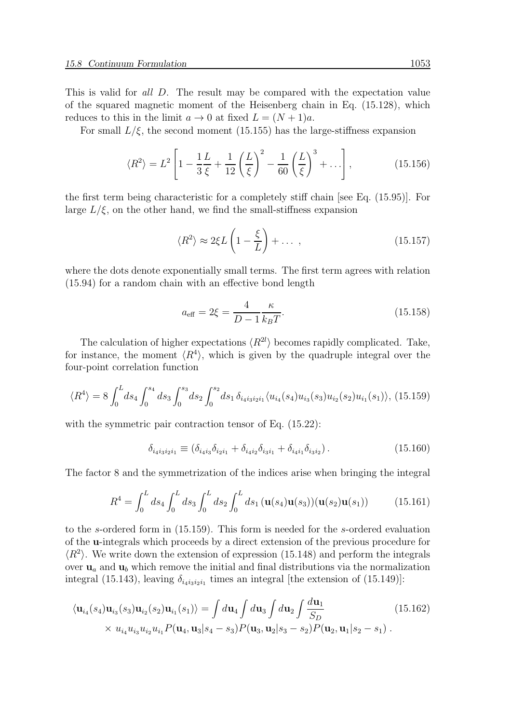This is valid for all D. The result may be compared with the expectation value of the squared magnetic moment of the Heisenberg chain in Eq. (15.128), which reduces to this in the limit  $a \to 0$  at fixed  $L = (N + 1)a$ .

For small  $L/\xi$ , the second moment (15.155) has the large-stiffness expansion

$$
\langle R^2 \rangle = L^2 \left[ 1 - \frac{1}{3} \frac{L}{\xi} + \frac{1}{12} \left( \frac{L}{\xi} \right)^2 - \frac{1}{60} \left( \frac{L}{\xi} \right)^3 + \dots \right],\tag{15.156}
$$

the first term being characteristic for a completely stiff chain [see Eq. (15.95)]. For large  $L/\xi$ , on the other hand, we find the small-stiffness expansion

$$
\langle R^2 \rangle \approx 2\xi L \left( 1 - \frac{\xi}{L} \right) + \dots \,, \tag{15.157}
$$

where the dots denote exponentially small terms. The first term agrees with relation (15.94) for a random chain with an effective bond length

$$
a_{\text{eff}} = 2\xi = \frac{4}{D - 1} \frac{\kappa}{k_B T}.
$$
\n(15.158)

The calculation of higher expectations  $\langle R^{2l} \rangle$  becomes rapidly complicated. Take, for instance, the moment  $\langle R^4 \rangle$ , which is given by the quadruple integral over the four-point correlation function

$$
\langle R^4 \rangle = 8 \int_0^L ds_4 \int_0^{s_4} ds_3 \int_0^{s_3} ds_2 \int_0^{s_2} ds_1 \, \delta_{i_4 i_3 i_2 i_1} \langle u_{i_4}(s_4) u_{i_3}(s_3) u_{i_2}(s_2) u_{i_1}(s_1) \rangle, \tag{15.159}
$$

with the symmetric pair contraction tensor of Eq.  $(15.22)$ :

$$
\delta_{i_4 i_3 i_2 i_1} \equiv (\delta_{i_4 i_3} \delta_{i_2 i_1} + \delta_{i_4 i_2} \delta_{i_3 i_1} + \delta_{i_4 i_1} \delta_{i_3 i_2}). \tag{15.160}
$$

The factor 8 and the symmetrization of the indices arise when bringing the integral

$$
R^{4} = \int_{0}^{L} ds_{4} \int_{0}^{L} ds_{3} \int_{0}^{L} ds_{2} \int_{0}^{L} ds_{1} (\mathbf{u}(s_{4})\mathbf{u}(s_{3}))(\mathbf{u}(s_{2})\mathbf{u}(s_{1})) \tag{15.161}
$$

to the s-ordered form in (15.159). This form is needed for the s-ordered evaluation of the u-integrals which proceeds by a direct extension of the previous procedure for  $\langle R^2 \rangle$ . We write down the extension of expression (15.148) and perform the integrals over  $\mathbf{u}_a$  and  $\mathbf{u}_b$  which remove the initial and final distributions via the normalization integral (15.143), leaving  $\delta_{i_4 i_3 i_2 i_1}$  times an integral [the extension of (15.149)]:

$$
\langle \mathbf{u}_{i_4}(s_4) \mathbf{u}_{i_3}(s_3) \mathbf{u}_{i_2}(s_2) \mathbf{u}_{i_1}(s_1) \rangle = \int d\mathbf{u}_4 \int d\mathbf{u}_3 \int d\mathbf{u}_2 \int \frac{d\mathbf{u}_1}{S_D}
$$
(15.162)  
×  $u_{i_4} u_{i_3} u_{i_2} u_{i_1} P(\mathbf{u}_4, \mathbf{u}_3 | s_4 - s_3) P(\mathbf{u}_3, \mathbf{u}_2 | s_3 - s_2) P(\mathbf{u}_2, \mathbf{u}_1 | s_2 - s_1)$ .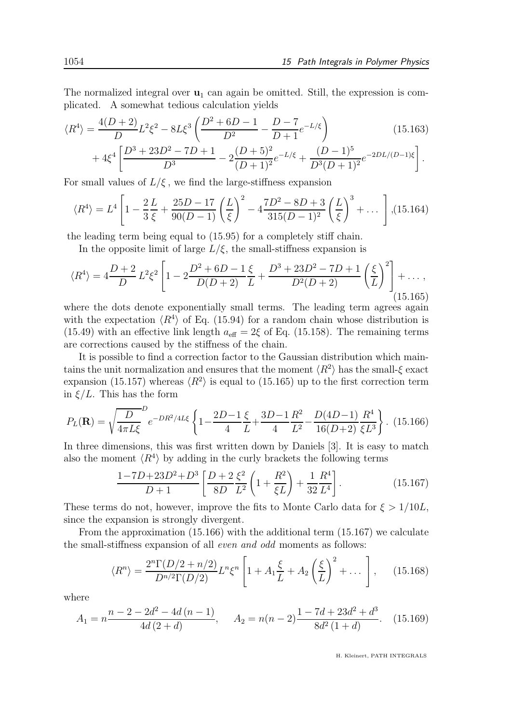The normalized integral over  $\mathbf{u}_1$  can again be omitted. Still, the expression is complicated. A somewhat tedious calculation yields

$$
\langle R^4 \rangle = \frac{4(D+2)}{D} L^2 \xi^2 - 8L \xi^3 \left( \frac{D^2 + 6D - 1}{D^2} - \frac{D - 7}{D + 1} e^{-L/\xi} \right) \tag{15.163}
$$

$$
+ 4\xi^4 \left[ \frac{D^3 + 23D^2 - 7D + 1}{D^3} - 2\frac{(D+5)^2}{(D+1)^2} e^{-L/\xi} + \frac{(D-1)^5}{D^3 (D+1)^2} e^{-2DL/(D-1)\xi} \right].
$$

For small values of  $L/\xi$ , we find the large-stiffness expansion

$$
\langle R^4 \rangle = L^4 \left[ 1 - \frac{2L}{3\,\xi} + \frac{25D - 17}{90(D-1)} \left( \frac{L}{\xi} \right)^2 - 4 \frac{7D^2 - 8D + 3}{315(D-1)^2} \left( \frac{L}{\xi} \right)^3 + \dots \right], (15.164)
$$

the leading term being equal to (15.95) for a completely stiff chain.

In the opposite limit of large  $L/\xi$ , the small-stiffness expansion is

$$
\langle R^4 \rangle = 4 \frac{D+2}{D} L^2 \xi^2 \left[ 1 - 2 \frac{D^2 + 6D - 1}{D(D+2)} \frac{\xi}{L} + \frac{D^3 + 23D^2 - 7D + 1}{D^2(D+2)} \left( \frac{\xi}{L} \right)^2 \right] + \dots,
$$
\n(15.165)

where the dots denote exponentially small terms. The leading term agrees again with the expectation  $\langle R^4 \rangle$  of Eq. (15.94) for a random chain whose distribution is (15.49) with an effective link length  $a_{\text{eff}} = 2\xi$  of Eq. (15.158). The remaining terms are corrections caused by the stiffness of the chain.

It is possible to find a correction factor to the Gaussian distribution which maintains the unit normalization and ensures that the moment  $\langle R^2 \rangle$  has the small- $\xi$  exact expansion (15.157) whereas  $\langle R^2 \rangle$  is equal to (15.165) up to the first correction term in  $\xi/L$ . This has the form

$$
P_L(\mathbf{R}) = \sqrt{\frac{D}{4\pi L\xi}}^D e^{-DR^2/4L\xi} \left\{ 1 - \frac{2D - 1}{4} \frac{\xi}{L} + \frac{3D - 1}{4} \frac{R^2}{L^2} - \frac{D(4D - 1)}{16(D + 2)} \frac{R^4}{\xi L^3} \right\}.
$$
 (15.166)

In three dimensions, this was first written down by Daniels [3]. It is easy to match also the moment  $\langle R^4 \rangle$  by adding in the curly brackets the following terms

$$
\frac{1-7D+23D^2+D^3}{D+1}\left[\frac{D+2\,\xi^2}{8D\,L^2}\left(1+\frac{R^2}{\xi L}\right)+\frac{1}{32}\frac{R^4}{L^4}\right].\tag{15.167}
$$

These terms do not, however, improve the fits to Monte Carlo data for  $\xi > 1/10L$ , since the expansion is strongly divergent.

From the approximation (15.166) with the additional term (15.167) we calculate the small-stiffness expansion of all even and odd moments as follows:

$$
\langle R^n \rangle = \frac{2^n \Gamma(D/2 + n/2)}{D^{n/2} \Gamma(D/2)} L^n \xi^n \left[ 1 + A_1 \frac{\xi}{L} + A_2 \left( \frac{\xi}{L} \right)^2 + \dots \right], \quad (15.168)
$$

where

$$
A_1 = n \frac{n - 2 - 2d^2 - 4d(n - 1)}{4d(2 + d)}, \quad A_2 = n(n - 2) \frac{1 - 7d + 23d^2 + d^3}{8d^2(1 + d)}.
$$
 (15.169)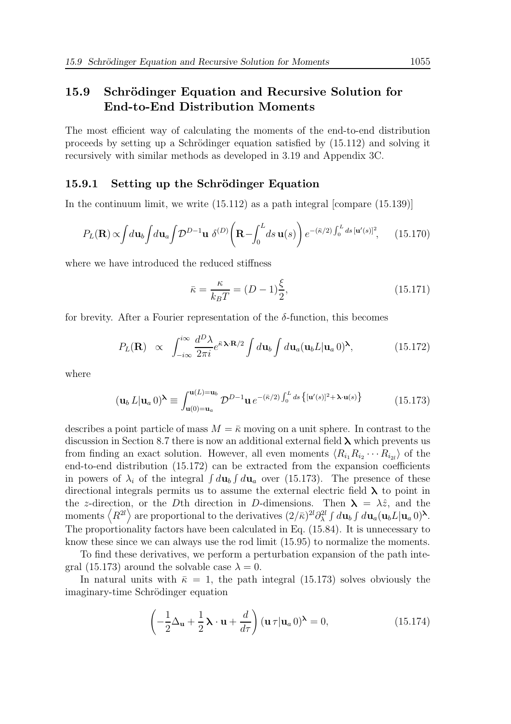## 15.9 Schrödinger Equation and Recursive Solution for End-to-End Distribution Moments

The most efficient way of calculating the moments of the end-to-end distribution proceeds by setting up a Schrödinger equation satisfied by  $(15.112)$  and solving it recursively with similar methods as developed in 3.19 and Appendix 3C.

#### 15.9.1 Setting up the Schrödinger Equation

In the continuum limit, we write (15.112) as a path integral [compare (15.139)]

$$
P_L(\mathbf{R}) \propto \int d\mathbf{u}_b \int d\mathbf{u}_a \int \mathcal{D}^{D-1} \mathbf{u} \ \delta^{(D)} \left( \mathbf{R} - \int_0^L ds \ \mathbf{u}(s) \right) e^{-(\bar{\kappa}/2) \int_0^L ds \ [\mathbf{u}'(s)]^2}, \tag{15.170}
$$

where we have introduced the reduced stiffness

$$
\bar{\kappa} = \frac{\kappa}{k_B T} = (D - 1)\frac{\xi}{2},\tag{15.171}
$$

for brevity. After a Fourier representation of the  $\delta$ -function, this becomes

$$
P_L(\mathbf{R}) \propto \int_{-i\infty}^{i\infty} \frac{d^D \lambda}{2\pi i} e^{\bar{\kappa} \lambda \cdot \mathbf{R}/2} \int d\mathbf{u}_b \int d\mathbf{u}_a (\mathbf{u}_b L | \mathbf{u}_a 0)^\lambda, \tag{15.172}
$$

where

$$
(\mathbf{u}_b L|\mathbf{u}_a 0)^\lambda \equiv \int_{\mathbf{u}(0)=\mathbf{u}_a}^{\mathbf{u}(L)=\mathbf{u}_b} \mathcal{D}^{D-1}\mathbf{u} e^{-(\bar{\kappa}/2) \int_0^L ds \left\{ [\mathbf{u}'(s)]^2 + \lambda \cdot \mathbf{u}(s) \right\}} \tag{15.173}
$$

describes a point particle of mass  $M = \bar{k}$  moving on a unit sphere. In contrast to the discussion in Section 8.7 there is now an additional external field  $\lambda$  which prevents us from finding an exact solution. However, all even moments  $\langle R_{i_1} R_{i_2} \cdots R_{i_{2l}} \rangle$  of the end-to-end distribution (15.172) can be extracted from the expansion coefficients in powers of  $\lambda_i$  of the integral  $\int d\mathbf{u}_b \int d\mathbf{u}_a$  over (15.173). The presence of these directional integrals permits us to assume the external electric field  $\lambda$  to point in the z-direction, or the Dth direction in D-dimensions. Then  $\lambda = \lambda \hat{z}$ , and the moments  $\langle R^{2l} \rangle$  are proportional to the derivatives  $(2/\bar{\kappa})^{2l} \partial_{\lambda}^{2l} \int d\mathbf{u}_b \int d\mathbf{u}_a (\mathbf{u}_b L | \mathbf{u}_a 0)^{\lambda}$ . The proportionality factors have been calculated in Eq. (15.84). It is unnecessary to know these since we can always use the rod limit (15.95) to normalize the moments.

To find these derivatives, we perform a perturbation expansion of the path integral (15.173) around the solvable case  $\lambda = 0$ .

In natural units with  $\bar{\kappa} = 1$ , the path integral (15.173) solves obviously the imaginary-time Schrödinger equation

$$
\left(-\frac{1}{2}\Delta_{\mathbf{u}} + \frac{1}{2}\mathbf{\lambda} \cdot \mathbf{u} + \frac{d}{d\tau}\right) (\mathbf{u}\,\tau|\mathbf{u}_a\,0)^\lambda = 0,\tag{15.174}
$$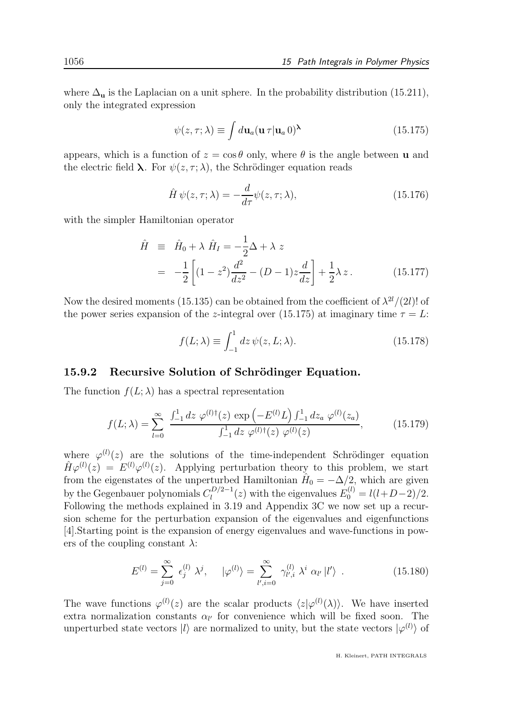where  $\Delta_{\mathbf{u}}$  is the Laplacian on a unit sphere. In the probability distribution (15.211), only the integrated expression

$$
\psi(z,\tau;\lambda) \equiv \int d\mathbf{u}_a (\mathbf{u}\,\tau|\mathbf{u}_a\,0)^\lambda \tag{15.175}
$$

appears, which is a function of  $z = \cos \theta$  only, where  $\theta$  is the angle between **u** and the electric field  $\lambda$ . For  $\psi(z, \tau; \lambda)$ , the Schrödinger equation reads

$$
\hat{H}\,\psi(z,\tau;\lambda) = -\frac{d}{d\tau}\psi(z,\tau;\lambda),\tag{15.176}
$$

with the simpler Hamiltonian operator

$$
\hat{H} \equiv \hat{H}_0 + \lambda \hat{H}_I = -\frac{1}{2}\Delta + \lambda z \n= -\frac{1}{2} \left[ (1 - z^2) \frac{d^2}{dz^2} - (D - 1)z \frac{d}{dz} \right] + \frac{1}{2}\lambda z.
$$
\n(15.177)

Now the desired moments (15.135) can be obtained from the coefficient of  $\lambda^{2l}/(2l)!$  of the power series expansion of the z-integral over (15.175) at imaginary time  $\tau = L$ :

$$
f(L; \lambda) \equiv \int_{-1}^{1} dz \, \psi(z, L; \lambda). \tag{15.178}
$$

#### 15.9.2 Recursive Solution of Schrödinger Equation.

The function  $f(L; \lambda)$  has a spectral representation

$$
f(L; \lambda) = \sum_{l=0}^{\infty} \frac{\int_{-1}^{1} dz \, \varphi^{(l)\dagger}(z) \, \exp\left(-E^{(l)} L\right) \int_{-1}^{1} dz_a \, \varphi^{(l)}(z_a)}{\int_{-1}^{1} dz \, \varphi^{(l)\dagger}(z) \, \varphi^{(l)}(z)},\tag{15.179}
$$

where  $\varphi^{(l)}(z)$  are the solutions of the time-independent Schrödinger equation  $\hat{H}\varphi^{(l)}(z) = E^{(l)}\varphi^{(l)}(z)$ . Applying perturbation theory to this problem, we start from the eigenstates of the unperturbed Hamiltonian  $\hat{H}_0 = -\Delta/2$ , which are given by the Gegenbauer polynomials  $C_l^{D/2-1}$  $l_0^{D/2-1}(z)$  with the eigenvalues  $E_0^{(l)} = l(l+D-2)/2$ . Following the methods explained in 3.19 and Appendix 3C we now set up a recursion scheme for the perturbation expansion of the eigenvalues and eigenfunctions [4].Starting point is the expansion of energy eigenvalues and wave-functions in powers of the coupling constant  $\lambda$ :

$$
E^{(l)} = \sum_{j=0}^{\infty} \epsilon_j^{(l)} \lambda^j, \quad |\varphi^{(l)}\rangle = \sum_{l',i=0}^{\infty} \gamma_{l',i}^{(l)} \lambda^i \alpha_{l'} |l'\rangle . \tag{15.180}
$$

The wave functions  $\varphi^{(l)}(z)$  are the scalar products  $\langle z|\varphi^{(l)}(\lambda)\rangle$ . We have inserted extra normalization constants  $\alpha_{l'}$  for convenience which will be fixed soon. The unperturbed state vectors  $|l\rangle$  are normalized to unity, but the state vectors  $|\varphi^{(l)}\rangle$  of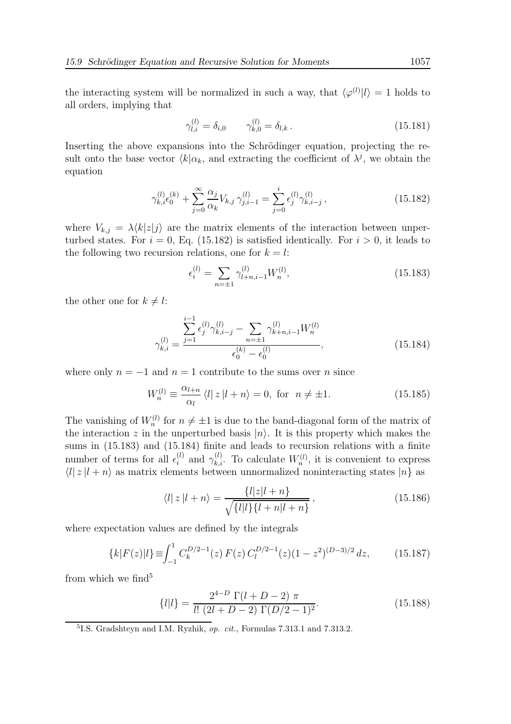the interacting system will be normalized in such a way, that  $\langle \varphi^{(l)} | l \rangle = 1$  holds to all orders, implying that

$$
\gamma_{l,i}^{(l)} = \delta_{i,0} \qquad \gamma_{k,0}^{(l)} = \delta_{l,k} \,. \tag{15.181}
$$

Inserting the above expansions into the Schrödinger equation, projecting the result onto the base vector  $\langle k | \alpha_k$ , and extracting the coefficient of  $\lambda^j$ , we obtain the equation

$$
\gamma_{k,i}^{(l)} \epsilon_0^{(k)} + \sum_{j=0}^{\infty} \frac{\alpha_j}{\alpha_k} V_{k,j} \gamma_{j,i-1}^{(l)} = \sum_{j=0}^{i} \epsilon_j^{(l)} \gamma_{k,i-j}^{(l)}, \qquad (15.182)
$$

where  $V_{k,j} = \lambda \langle k|z|j \rangle$  are the matrix elements of the interaction between unperturbed states. For  $i = 0$ , Eq. (15.182) is satisfied identically. For  $i > 0$ , it leads to the following two recursion relations, one for  $k = l$ :

$$
\epsilon_i^{(l)} = \sum_{n=\pm 1} \gamma_{l+n,i-1}^{(l)} W_n^{(l)},\tag{15.183}
$$

the other one for  $k \neq l$ :

$$
\gamma_{k,i}^{(l)} = \frac{\sum_{j=1}^{i-1} \epsilon_j^{(l)} \gamma_{k,i-j}^{(l)} - \sum_{n=\pm 1} \gamma_{k+n,i-1}^{(l)} W_n^{(l)}}{\epsilon_0^{(k)} - \epsilon_0^{(l)}},
$$
\n(15.184)

where only  $n = -1$  and  $n = 1$  contribute to the sums over n since

$$
W_n^{(l)} \equiv \frac{\alpha_{l+n}}{\alpha_l} \langle l|z|l+n\rangle = 0, \text{ for } n \neq \pm 1. \tag{15.185}
$$

The vanishing of  $W_n^{(l)}$  for  $n \neq \pm 1$  is due to the band-diagonal form of the matrix of the interaction z in the unperturbed basis  $|n\rangle$ . It is this property which makes the sums in (15.183) and (15.184) finite and leads to recursion relations with a finite number of terms for all  $\epsilon_i^{(l)}$  and  $\gamma_{k,i}^{(l)}$ . To calculate  $W_n^{(l)}$ , it is convenient to express  $\langle l | z | l + n \rangle$  as matrix elements between unnormalized noninteracting states  $|n\rangle$  as

$$
\langle l|z|l+n\rangle = \frac{\{l|z|l+n\}}{\sqrt{\{l|l\}\{l+n|l+n\}}},\tag{15.186}
$$

where expectation values are defined by the integrals

$$
\{k|F(z)|l\} \equiv \int_{-1}^{1} C_k^{D/2-1}(z) F(z) C_l^{D/2-1}(z) (1-z^2)^{(D-3)/2} dz, \qquad (15.187)
$$

from which we find<sup>5</sup>

$$
\{l|l\} = \frac{2^{4-D} \Gamma(l+D-2) \pi}{l! (2l+D-2) \Gamma(D/2-1)^2}.
$$
\n(15.188)

<sup>&</sup>lt;sup>5</sup>I.S. Gradshteyn and I.M. Ryzhik, op. cit., Formulas 7.313.1 and 7.313.2.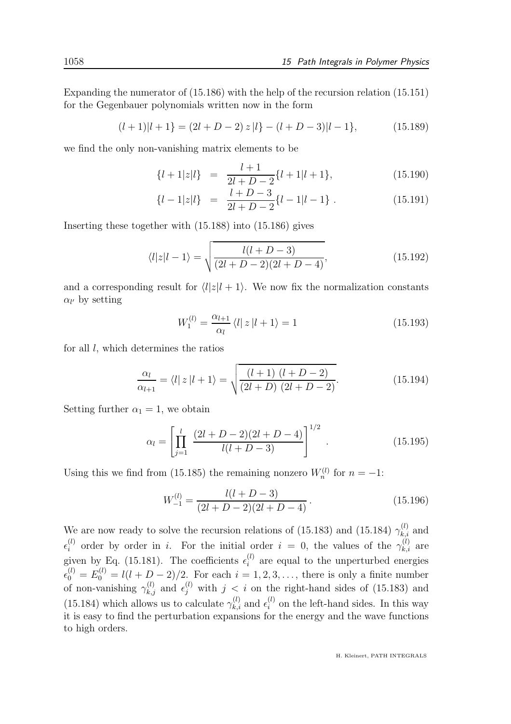Expanding the numerator of (15.186) with the help of the recursion relation (15.151) for the Gegenbauer polynomials written now in the form

$$
(l+1)|l+1\rangle = (2l+D-2) z |l\rangle - (l+D-3)|l-1\rangle, \qquad (15.189)
$$

we find the only non-vanishing matrix elements to be

$$
\{l+1|z|l\} = \frac{l+1}{2l+D-2}\{l+1|l+1\},\tag{15.190}
$$

$$
\{l-1|z|l\} = \frac{l+D-3}{2l+D-2}\{l-1|l-1\} . \tag{15.191}
$$

Inserting these together with (15.188) into (15.186) gives

$$
\langle l|z|l-1\rangle = \sqrt{\frac{l(l+D-3)}{(2l+D-2)(2l+D-4)}},\tag{15.192}
$$

and a corresponding result for  $\langle l|z|l + 1\rangle$ . We now fix the normalization constants  $\alpha_{l'}$  by setting

$$
W_1^{(l)} = \frac{\alpha_{l+1}}{\alpha_l} \langle l | z | l+1 \rangle = 1 \tag{15.193}
$$

for all  $l$ , which determines the ratios

$$
\frac{\alpha_l}{\alpha_{l+1}} = \langle l | z | l + 1 \rangle = \sqrt{\frac{(l+1)(l+D-2)}{(2l+D)(2l+D-2)}}.
$$
\n(15.194)

Setting further  $\alpha_1 = 1$ , we obtain

$$
\alpha_l = \left[ \prod_{j=1}^l \frac{(2l+D-2)(2l+D-4)}{l(l+D-3)} \right]^{1/2} . \tag{15.195}
$$

Using this we find from (15.185) the remaining nonzero  $W_n^{(l)}$  for  $n = -1$ :

$$
W_{-1}^{(l)} = \frac{l(l+D-3)}{(2l+D-2)(2l+D-4)}.
$$
\n(15.196)

We are now ready to solve the recursion relations of (15.183) and (15.184)  $\gamma_{k,i}^{(l)}$  and  $\epsilon_i^{(l)}$  order by order in i. For the initial order  $i = 0$ , the values of the  $\gamma_{k,i}^{(l)}$  are given by Eq. (15.181). The coefficients  $\epsilon_i^{(l)}$  are equal to the unperturbed energies  $\epsilon_0^{(l)} = E_0^{(l)} = l(l + D - 2)/2$ . For each  $i = 1, 2, 3, \ldots$ , there is only a finite number of non-vanishing  $\gamma_{k,j}^{(l)}$  and  $\epsilon_j^{(l)}$  with  $j < i$  on the right-hand sides of (15.183) and (15.184) which allows us to calculate  $\gamma_{k,i}^{(l)}$  and  $\epsilon_i^{(l)}$  on the left-hand sides. In this way it is easy to find the perturbation expansions for the energy and the wave functions to high orders.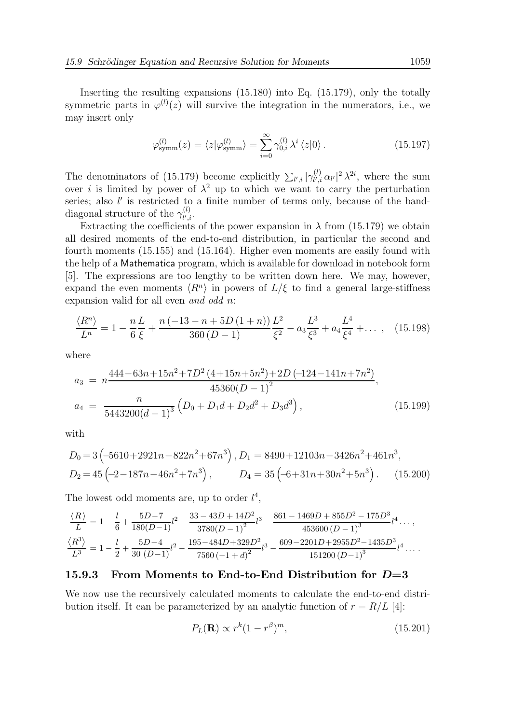Inserting the resulting expansions (15.180) into Eq. (15.179), only the totally symmetric parts in  $\varphi^{(l)}(z)$  will survive the integration in the numerators, i.e., we may insert only

$$
\varphi_{\text{symm}}^{(l)}(z) = \langle z | \varphi_{\text{symm}}^{(l)} \rangle = \sum_{i=0}^{\infty} \gamma_{0,i}^{(l)} \lambda^i \langle z | 0 \rangle. \tag{15.197}
$$

The denominators of (15.179) become explicitly  $\sum_{l',i} |\gamma_{l',i}^{(l)}|$  $\int_{l',i}^{(l)} \alpha_{l'}|^2 \lambda^{2i}$ , where the sum over i is limited by power of  $\lambda^2$  up to which we want to carry the perturbation series; also l' is restricted to a finite number of terms only, because of the banddiagonal structure of the  $\gamma_{l',i}^{(l)}$  $_{l^{\prime },i}^{(\iota )}$ .

Extracting the coefficients of the power expansion in  $\lambda$  from (15.179) we obtain all desired moments of the end-to-end distribution, in particular the second and fourth moments (15.155) and (15.164). Higher even moments are easily found with the help of a Mathematica program, which is available for download in notebook form [5]. The expressions are too lengthy to be written down here. We may, however, expand the even moments  $\langle R^n \rangle$  in powers of  $L/\xi$  to find a general large-stiffness expansion valid for all even and odd n:

$$
\frac{\langle R^n \rangle}{L^n} = 1 - \frac{n L}{6 \xi} + \frac{n (-13 - n + 5D (1 + n)) L^2}{360 (D - 1)} - a_3 \frac{L^3}{\xi^2} - a_3 \frac{L^4}{\xi^3} + a_4 \frac{L^4}{\xi^4} + \dots \,, \tag{15.198}
$$

where

$$
a_3 = n \frac{444 - 63n + 15n^2 + 7D^2 (4 + 15n + 5n^2) + 2D (-124 - 141n + 7n^2)}{45360(D - 1)^2},
$$
  
\n
$$
a_4 = \frac{n}{5443200(d - 1)^3} (D_0 + D_1d + D_2d^2 + D_3d^3),
$$
\n(15.199)

with

$$
D_0 = 3 \left( -5610 + 2921n - 822n^2 + 67n^3 \right), D_1 = 8490 + 12103n - 3426n^2 + 461n^3,
$$
  
\n
$$
D_2 = 45 \left( -2 - 187n - 46n^2 + 7n^3 \right), \qquad D_4 = 35 \left( -6 + 31n + 30n^2 + 5n^3 \right). \tag{15.200}
$$

The lowest odd moments are, up to order  $l^4$ ,

$$
\frac{\langle R \rangle}{L} = 1 - \frac{l}{6} + \frac{5D-7}{180(D-1)}l^2 - \frac{33-43D+14D^2}{3780(D-1)^2}l^3 - \frac{861-1469D+855D^2-175D^3}{453600(D-1)^3}l^4 \dots,
$$
  

$$
\frac{\langle R^3 \rangle}{L^3} = 1 - \frac{l}{2} + \frac{5D-4}{30(D-1)}l^2 - \frac{195-484D+329D^2}{7560(-1+d)^2}l^3 - \frac{609-2201D+2955D^2-1435D^3}{151200(D-1)^3}l^4 \dots.
$$

#### 15.9.3 From Moments to End-to-End Distribution for  $D=3$

We now use the recursively calculated moments to calculate the end-to-end distribution itself. It can be parameterized by an analytic function of  $r = R/L$  [4]:

$$
P_L(\mathbf{R}) \propto r^k (1 - r^\beta)^m, \tag{15.201}
$$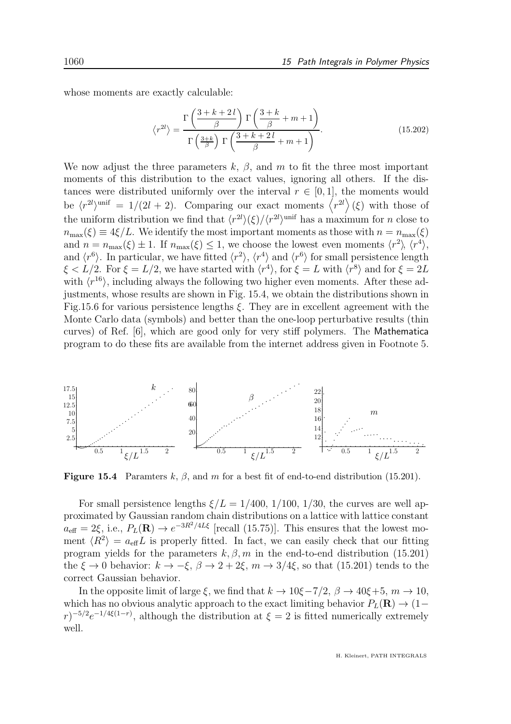whose moments are exactly calculable:

$$
\langle r^{2l} \rangle = \frac{\Gamma\left(\frac{3+k+2l}{\beta}\right) \Gamma\left(\frac{3+k}{\beta}+m+1\right)}{\Gamma\left(\frac{3+k}{\beta}\right) \Gamma\left(\frac{3+k+2l}{\beta}+m+1\right)}.
$$
\n(15.202)

We now adjust the three parameters k,  $\beta$ , and m to fit the three most important moments of this distribution to the exact values, ignoring all others. If the distances were distributed uniformly over the interval  $r \in [0, 1]$ , the moments would be  $\langle r^{2l} \rangle^{\text{unif}} = 1/(2l+2)$ . Comparing our exact moments  $\langle r^{2l} \rangle(\xi)$  with those of the uniform distribution we find that  $\langle r^{2l}\rangle(\xi)/\langle r^{2l}\rangle^{\text{unif}}$  has a maximum for n close to  $n_{\max}(\xi) \equiv 4\xi/L$ . We identify the most important moments as those with  $n = n_{\max}(\xi)$ and  $n = n_{\max}(\xi) \pm 1$ . If  $n_{\max}(\xi) \leq 1$ , we choose the lowest even moments  $\langle r^2 \rangle$ ,  $\langle r^4 \rangle$ , and  $\langle r^6 \rangle$ . In particular, we have fitted  $\langle r^2 \rangle$ ,  $\langle r^4 \rangle$  and  $\langle r^6 \rangle$  for small persistence length  $\xi < L/2$ . For  $\xi = L/2$ , we have started with  $\langle r^4 \rangle$ , for  $\xi = L$  with  $\langle r^8 \rangle$  and for  $\xi = 2L$ with  $\langle r^{16} \rangle$ , including always the following two higher even moments. After these adjustments, whose results are shown in Fig. 15.4, we obtain the distributions shown in Fig.15.6 for various persistence lengths  $\xi$ . They are in excellent agreement with the Monte Carlo data (symbols) and better than the one-loop perturbative results (thin curves) of Ref. [6], which are good only for very stiff polymers. The Mathematica program to do these fits are available from the internet address given in Footnote 5.



Figure 15.4 Paramters k,  $\beta$ , and m for a best fit of end-to-end distribution (15.201).

For small persistence lengths  $\xi/L = 1/400$ ,  $1/100$ ,  $1/30$ , the curves are well approximated by Gaussian random chain distributions on a lattice with lattice constant  $a_{\text{eff}} = 2\xi$ , i.e.,  $P_L(\mathbf{R}) \to e^{-3R^2/4L\xi}$  [recall (15.75)]. This ensures that the lowest moment  $\langle R^2 \rangle = a_{\text{eff}}L$  is properly fitted. In fact, we can easily check that our fitting program yields for the parameters  $k, \beta, m$  in the end-to-end distribution (15.201) the  $\xi \to 0$  behavior:  $k \to -\xi$ ,  $\beta \to 2 + 2\xi$ ,  $m \to 3/4\xi$ , so that (15.201) tends to the correct Gaussian behavior.

In the opposite limit of large  $\xi$ , we find that  $k \to 10\xi - 7/2$ ,  $\beta \to 40\xi + 5$ ,  $m \to 10$ , which has no obvious analytic approach to the exact limiting behavior  $P_L(\mathbf{R}) \to (1-\mathbf{R})$  $(r)^{-5/2}e^{-1/4\xi(1-r)}$ , although the distribution at  $\xi = 2$  is fitted numerically extremely well.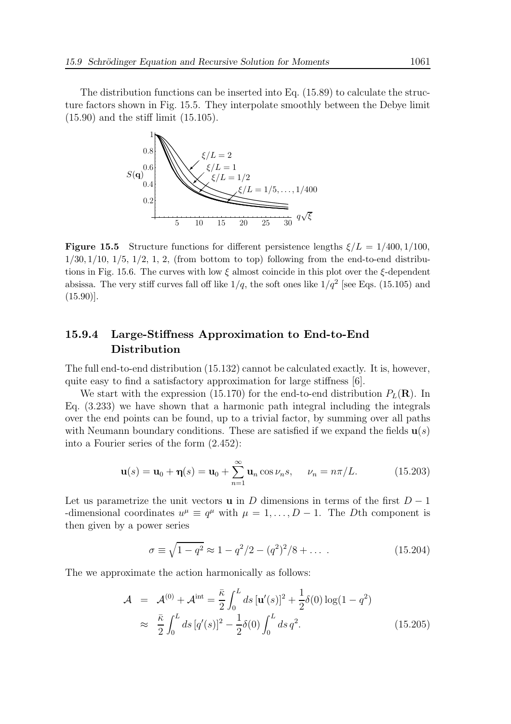The distribution functions can be inserted into Eq. (15.89) to calculate the structure factors shown in Fig. 15.5. They interpolate smoothly between the Debye limit (15.90) and the stiff limit (15.105).



**Figure 15.5** Structure functions for different persistence lengths  $\xi/L = 1/400, 1/100$ ,  $1/30$ ,  $1/10$ ,  $1/5$ ,  $1/2$ ,  $1$ ,  $2$ , (from bottom to top) following from the end-to-end distributions in Fig. 15.6. The curves with low  $\xi$  almost coincide in this plot over the  $\xi$ -dependent absissa. The very stiff curves fall off like  $1/q$ , the soft ones like  $1/q^2$  [see Eqs. (15.105) and (15.90)].

### 15.9.4 Large-Stiffness Approximation to End-to-End Distribution

The full end-to-end distribution (15.132) cannot be calculated exactly. It is, however, quite easy to find a satisfactory approximation for large stiffness [6].

We start with the expression (15.170) for the end-to-end distribution  $P_L(\mathbf{R})$ . In Eq. (3.233) we have shown that a harmonic path integral including the integrals over the end points can be found, up to a trivial factor, by summing over all paths with Neumann boundary conditions. These are satisfied if we expand the fields  $\mathbf{u}(s)$ into a Fourier series of the form (2.452):

$$
\mathbf{u}(s) = \mathbf{u}_0 + \mathbf{\eta}(s) = \mathbf{u}_0 + \sum_{n=1}^{\infty} \mathbf{u}_n \cos \nu_n s, \quad \nu_n = n\pi/L. \tag{15.203}
$$

Let us parametrize the unit vectors **u** in D dimensions in terms of the first  $D-1$ -dimensional coordinates  $u^{\mu} \equiv q^{\mu}$  with  $\mu = 1, ..., D - 1$ . The *Dth* component is then given by a power series

$$
\sigma \equiv \sqrt{1 - q^2} \approx 1 - q^2/2 - (q^2)^2/8 + \dots
$$
 (15.204)

The we approximate the action harmonically as follows:

$$
\mathcal{A} = \mathcal{A}^{(0)} + \mathcal{A}^{\text{int}} = \frac{\bar{\kappa}}{2} \int_0^L ds \, [\mathbf{u}'(s)]^2 + \frac{1}{2} \delta(0) \log(1 - q^2) \n\approx \frac{\bar{\kappa}}{2} \int_0^L ds \, [q'(s)]^2 - \frac{1}{2} \delta(0) \int_0^L ds \, q^2.
$$
\n(15.205)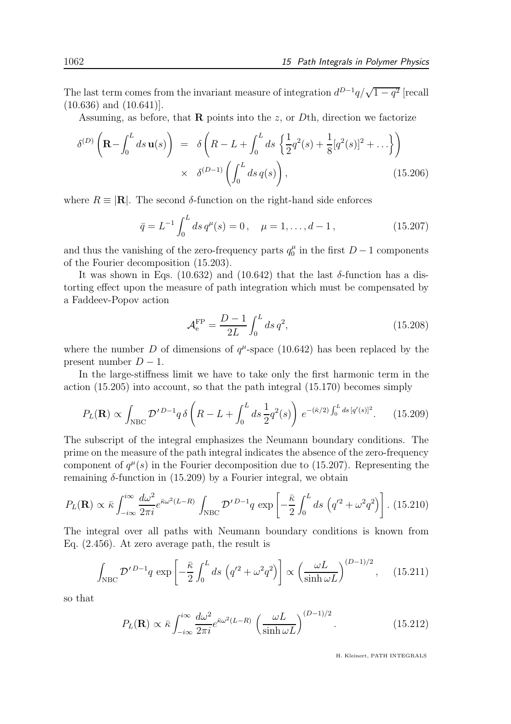The last term comes from the invariant measure of integration  $d^{D-1}q/\sqrt{1-q^2}$  [recall (10.636) and (10.641)].

Assuming, as before, that **R** points into the z, or Dth, direction we factorize

$$
\delta^{(D)}\left(\mathbf{R} - \int_0^L ds \, \mathbf{u}(s)\right) = \delta\left(R - L + \int_0^L ds \left\{\frac{1}{2}q^2(s) + \frac{1}{8}[q^2(s)]^2 + \dots\right\}\right) \times \delta^{(D-1)}\left(\int_0^L ds \, q(s)\right),\tag{15.206}
$$

where  $R \equiv |\mathbf{R}|$ . The second  $\delta$ -function on the right-hand side enforces

$$
\bar{q} = L^{-1} \int_0^L ds \, q^\mu(s) = 0 \,, \quad \mu = 1, \dots, d - 1 \,, \tag{15.207}
$$

and thus the vanishing of the zero-frequency parts  $q_0^{\mu}$  $\frac{\mu}{0}$  in the first  $D-1$  components of the Fourier decomposition (15.203).

It was shown in Eqs. (10.632) and (10.642) that the last  $\delta$ -function has a distorting effect upon the measure of path integration which must be compensated by a Faddeev-Popov action

$$
\mathcal{A}_e^{\rm FP} = \frac{D-1}{2L} \int_0^L ds \, q^2,\tag{15.208}
$$

where the number D of dimensions of  $q^{\mu}$ -space (10.642) has been replaced by the present number  $D-1$ .

In the large-stiffness limit we have to take only the first harmonic term in the action (15.205) into account, so that the path integral (15.170) becomes simply

$$
P_L(\mathbf{R}) \propto \int_{\text{NBC}} \mathcal{D}'^{D-1} q \,\delta \left( R - L + \int_0^L ds \, \frac{1}{2} q^2(s) \right) \, e^{-(\bar{\kappa}/2) \int_0^L ds \, [q'(s)]^2}.\tag{15.209}
$$

The subscript of the integral emphasizes the Neumann boundary conditions. The prime on the measure of the path integral indicates the absence of the zero-frequency component of  $q^{\mu}(s)$  in the Fourier decomposition due to (15.207). Representing the remaining  $\delta$ -function in (15.209) by a Fourier integral, we obtain

$$
P_L(\mathbf{R}) \propto \bar{\kappa} \int_{-i\infty}^{i\infty} \frac{d\omega^2}{2\pi i} e^{\bar{\kappa}\omega^2 (L-R)} \int_{\text{NBC}} \mathcal{D}'^{D-1} q \, \exp\left[ -\frac{\bar{\kappa}}{2} \int_0^L ds \, \left( q'^2 + \omega^2 q^2 \right) \right]. \tag{15.210}
$$

The integral over all paths with Neumann boundary conditions is known from Eq. (2.456). At zero average path, the result is

$$
\int_{\text{NBC}} \mathcal{D}'^{D-1} q \, \exp\left[-\frac{\bar{\kappa}}{2} \int_0^L ds \, \left(q'^2 + \omega^2 q^2\right)\right] \propto \left(\frac{\omega L}{\sinh \omega L}\right)^{(D-1)/2}, \quad (15.211)
$$

so that

$$
P_L(\mathbf{R}) \propto \bar{\kappa} \int_{-i\infty}^{i\infty} \frac{d\omega^2}{2\pi i} e^{\bar{\kappa}\omega^2 (L-R)} \left(\frac{\omega L}{\sinh \omega L}\right)^{(D-1)/2}.
$$
 (15.212)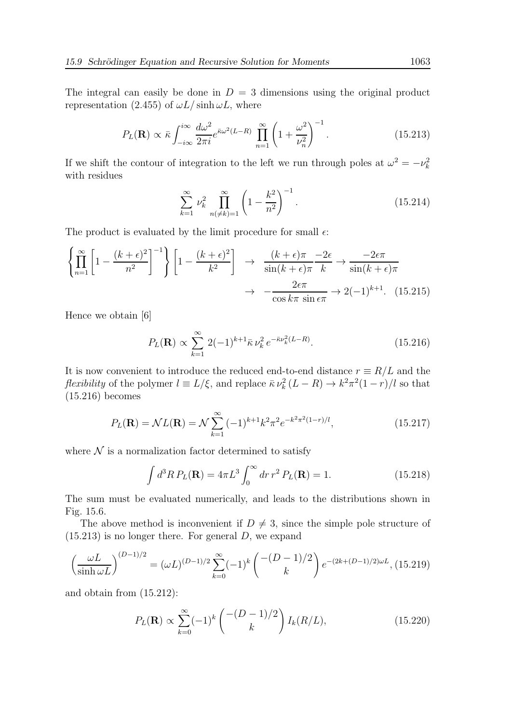The integral can easily be done in  $D = 3$  dimensions using the original product representation (2.455) of  $\omega L/\sinh \omega L$ , where

$$
P_L(\mathbf{R}) \propto \bar{\kappa} \int_{-i\infty}^{i\infty} \frac{d\omega^2}{2\pi i} e^{\bar{\kappa}\omega^2 (L-R)} \prod_{n=1}^{\infty} \left(1 + \frac{\omega^2}{\nu_n^2}\right)^{-1}.
$$
 (15.213)

If we shift the contour of integration to the left we run through poles at  $\omega^2 = -\nu_k^2$ with residues

$$
\sum_{k=1}^{\infty} \nu_k^2 \prod_{n(\neq k)=1}^{\infty} \left(1 - \frac{k^2}{n^2}\right)^{-1}.
$$
 (15.214)

The product is evaluated by the limit procedure for small  $\epsilon$ :

$$
\left\{\prod_{n=1}^{\infty} \left[1 - \frac{(k+\epsilon)^2}{n^2}\right]^{-1}\right\} \left[1 - \frac{(k+\epsilon)^2}{k^2}\right] \rightarrow \frac{(k+\epsilon)\pi}{\sin(k+\epsilon)\pi} \frac{-2\epsilon}{k} \rightarrow \frac{-2\epsilon\pi}{\sin(k+\epsilon)\pi} \rightarrow \frac{2\epsilon\pi}{\cos k\pi \sin \epsilon\pi} \rightarrow 2(-1)^{k+1}.\tag{15.215}
$$

Hence we obtain [6]

$$
P_L(\mathbf{R}) \propto \sum_{k=1}^{\infty} 2(-1)^{k+1} \bar{\kappa} \nu_k^2 e^{-\bar{\kappa}\nu_k^2 (L-R)}.
$$
 (15.216)

It is now convenient to introduce the reduced end-to-end distance  $r \equiv R/L$  and the *flexibility* of the polymer  $l \equiv L/\xi$ , and replace  $\bar{\kappa} \nu_k^2 (L - R) \rightarrow k^2 \pi^2 (1 - r)/l$  so that (15.216) becomes

$$
P_L(\mathbf{R}) = \mathcal{N}L(\mathbf{R}) = \mathcal{N} \sum_{k=1}^{\infty} (-1)^{k+1} k^2 \pi^2 e^{-k^2 \pi^2 (1-r)/l}, \qquad (15.217)
$$

where  $\mathcal N$  is a normalization factor determined to satisfy

$$
\int d^3R P_L(\mathbf{R}) = 4\pi L^3 \int_0^\infty dr r^2 P_L(\mathbf{R}) = 1.
$$
 (15.218)

The sum must be evaluated numerically, and leads to the distributions shown in Fig. 15.6.

The above method is inconvenient if  $D \neq 3$ , since the simple pole structure of  $(15.213)$  is no longer there. For general D, we expand

$$
\left(\frac{\omega L}{\sinh \omega L}\right)^{(D-1)/2} = (\omega L)^{(D-1)/2} \sum_{k=0}^{\infty} (-1)^k \binom{-(D-1)/2}{k} e^{-(2k + (D-1)/2)\omega L}, (15.219)
$$

and obtain from (15.212):

$$
P_L(\mathbf{R}) \propto \sum_{k=0}^{\infty} (-1)^k \binom{-(D-1)/2}{k} I_k(R/L), \tag{15.220}
$$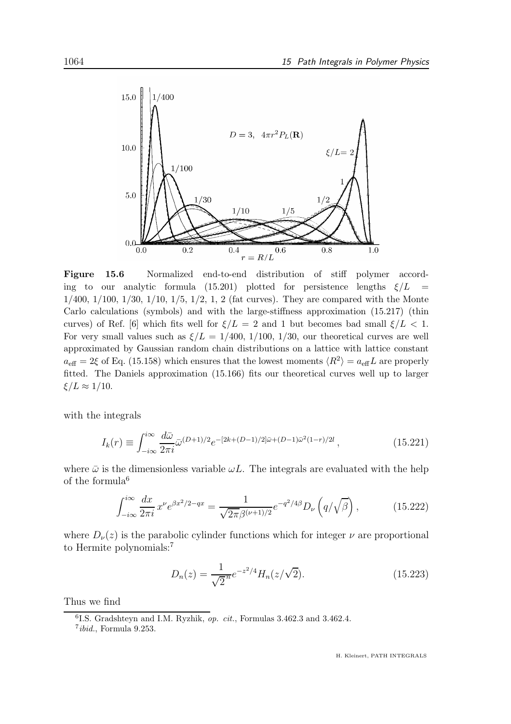

Figure 15.6 Normalized end-to-end distribution of stiff polymer according to our analytic formula (15.201) plotted for persistence lengths  $\xi/L =$  $1/400$ ,  $1/100$ ,  $1/30$ ,  $1/10$ ,  $1/5$ ,  $1/2$ ,  $1$ ,  $2$  (fat curves). They are compared with the Monte Carlo calculations (symbols) and with the large-stiffness approximation (15.217) (thin curves) of Ref. [6] which fits well for  $\xi/L = 2$  and 1 but becomes bad small  $\xi/L < 1$ . For very small values such as  $\xi/L = 1/400, 1/100, 1/30$ , our theoretical curves are well approximated by Gaussian random chain distributions on a lattice with lattice constant  $a_{\text{eff}} = 2\xi$  of Eq. (15.158) which ensures that the lowest moments  $\langle R^2 \rangle = a_{\text{eff}}L$  are properly fitted. The Daniels approximation (15.166) fits our theoretical curves well up to larger  $\xi/L \approx 1/10$ .

with the integrals

$$
I_k(r) \equiv \int_{-i\infty}^{i\infty} \frac{d\bar{\omega}}{2\pi i} \bar{\omega}^{(D+1)/2} e^{-[2k + (D-1)/2]\bar{\omega} + (D-1)\bar{\omega}^2(1-r)/2l} , \qquad (15.221)
$$

where  $\bar{\omega}$  is the dimensionless variable  $\omega L$ . The integrals are evaluated with the help of the formula $6$ 

$$
\int_{-i\infty}^{i\infty} \frac{dx}{2\pi i} x^{\nu} e^{\beta x^2/2 - qx} = \frac{1}{\sqrt{2\pi} \beta^{(\nu+1)/2}} e^{-q^2/4\beta} D_{\nu} \left( q/\sqrt{\beta} \right), \tag{15.222}
$$

where  $D_{\nu}(z)$  is the parabolic cylinder functions which for integer  $\nu$  are proportional to Hermite polynomials:<sup>7</sup>

$$
D_n(z) = \frac{1}{\sqrt{2}^n} e^{-z^2/4} H_n(z/\sqrt{2}).
$$
\n(15.223)

Thus we find

<sup>&</sup>lt;sup>6</sup>I.S. Gradshteyn and I.M. Ryzhik, op. cit., Formulas 3.462.3 and 3.462.4.

 $7ibid.,$  Formula 9.253.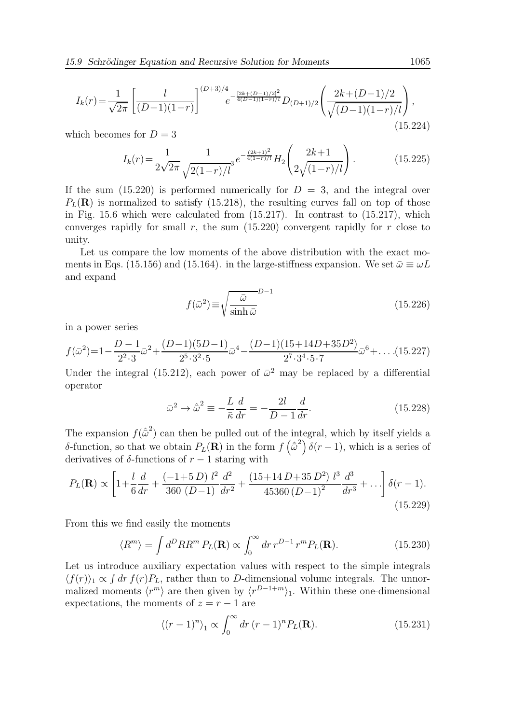$$
I_k(r) = \frac{1}{\sqrt{2\pi}} \left[ \frac{l}{(D-1)(1-r)} \right]^{(D+3)/4} e^{-\frac{[2k+(D-1)/2]^2}{4(D-1)(1-r)/l}} D_{(D+1)/2} \left( \frac{2k+(D-1)/2}{\sqrt{(D-1)(1-r)/l}} \right),
$$
\n(15.224)

which becomes for  $D = 3$ 

$$
I_k(r) = \frac{1}{2\sqrt{2\pi}} \frac{1}{\sqrt{2(1-r)/l}} e^{-\frac{(2k+1)^2}{4(1-r)/l}} H_2\left(\frac{2k+1}{2\sqrt{(1-r)/l}}\right).
$$
 (15.225)

If the sum  $(15.220)$  is performed numerically for  $D = 3$ , and the integral over  $P_L(\mathbf{R})$  is normalized to satisfy (15.218), the resulting curves fall on top of those in Fig.  $15.6$  which were calculated from  $(15.217)$ . In contrast to  $(15.217)$ , which converges rapidly for small r, the sum  $(15.220)$  convergent rapidly for r close to unity.

Let us compare the low moments of the above distribution with the exact moments in Eqs. (15.156) and (15.164). in the large-stiffness expansion. We set  $\bar{\omega} \equiv \omega L$ and expand

$$
f(\bar{\omega}^2) \equiv \sqrt{\frac{\bar{\omega}}{\sinh \bar{\omega}}}^{D-1}
$$
 (15.226)

in a power series

$$
f(\bar{\omega}^2) = 1 - \frac{D-1}{2^2 \cdot 3} \bar{\omega}^2 + \frac{(D-1)(5D-1)}{2^5 \cdot 3^2 \cdot 5} \bar{\omega}^4 - \frac{(D-1)(15+14D+35D^2)}{2^7 \cdot 3^4 \cdot 5 \cdot 7} \bar{\omega}^6 + \dots (15.227)
$$

Under the integral (15.212), each power of  $\bar{\omega}^2$  may be replaced by a differential operator

$$
\bar{\omega}^2 \to \hat{\omega}^2 \equiv -\frac{L}{\bar{\kappa}} \frac{d}{dr} = -\frac{2l}{D-1} \frac{d}{dr}.
$$
\n(15.228)

The expansion  $f(\hat{\vec{\omega}}^2)$  can then be pulled out of the integral, which by itself yields a δ-function, so that we obtain  $P<sub>L</sub>(**R**)$  in the form  $f(\hat{\omega}^2) \delta(r-1)$ , which is a series of derivatives of  $\delta$ -functions of  $r-1$  staring with

$$
P_L(\mathbf{R}) \propto \left[1 + \frac{l}{6} \frac{d}{dr} + \frac{(-1+5D) l^2}{360 (D-1)} \frac{d^2}{dr^2} + \frac{(15+14D+35D^2) l^3}{45360 (D-1)^2} \frac{d^3}{dr^3} + \dots\right] \delta(r-1).
$$
\n(15.229)

From this we find easily the moments

$$
\langle R^m \rangle = \int d^D R R^m P_L(\mathbf{R}) \propto \int_0^\infty dr \, r^{D-1} \, r^m P_L(\mathbf{R}). \tag{15.230}
$$

Let us introduce auxiliary expectation values with respect to the simple integrals  $\langle f(r) \rangle_1 \propto \int dr f(r) P_L$ , rather than to D-dimensional volume integrals. The unnormalized moments  $\langle r^m \rangle$  are then given by  $\langle r^{D-1+m} \rangle_1$ . Within these one-dimensional expectations, the moments of  $z = r - 1$  are

$$
\langle (r-1)^n \rangle_1 \propto \int_0^\infty dr \, (r-1)^n P_L(\mathbf{R}). \tag{15.231}
$$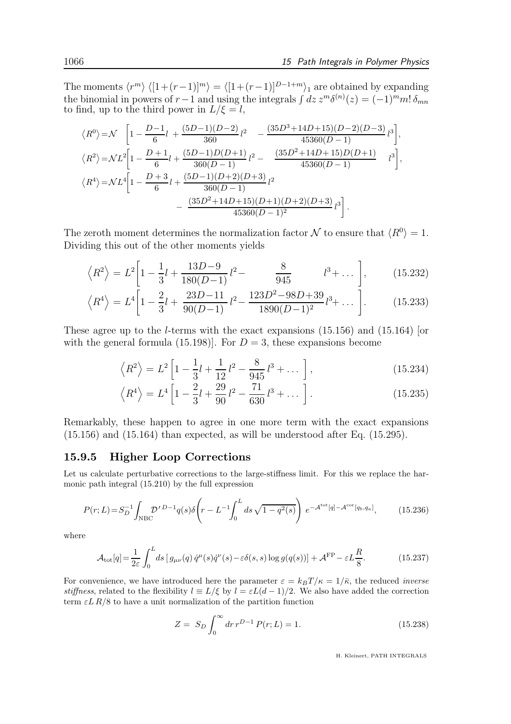The moments  $\langle r^m \rangle \langle [1+(r-1)]^m \rangle = \langle [1+(r-1)]^{D-1+m} \rangle_1$  are obtained by expanding the binomial in powers of  $r-1$  and using the integrals  $\int dz z^m \delta^{(n)}(z) = (-1)^m m! \delta_{mn}$ to find, up to the third power in  $L/\xi = l$ ,

$$
\langle R^{0} \rangle = \mathcal{N} \left[ 1 - \frac{D-1}{6} l + \frac{(5D-1)(D-2)}{360} l^{2} - \frac{(35D^{3}+14D+15)(D-2)(D-3)}{45360(D-1)} l^{3} \right],
$$
  
\n
$$
\langle R^{2} \rangle = \mathcal{N}L^{2} \left[ 1 - \frac{D+1}{6} l + \frac{(5D-1)D(D+1)}{360(D-1)} l^{2} - \frac{(35D^{2}+14D+15)D(D+1)}{45360(D-1)} l^{3} \right],
$$
  
\n
$$
\langle R^{4} \rangle = \mathcal{N}L^{4} \left[ 1 - \frac{D+3}{6} l + \frac{(5D-1)(D+2)(D+3)}{360(D-1)} l^{2} - \frac{(35D^{2}+14D+15)(D+1)(D+2)(D+3)}{45360(D-1)^{2}} l^{3} \right].
$$

The zeroth moment determines the normalization factor  $\mathcal N$  to ensure that  $\langle R^0 \rangle = 1$ . Dividing this out of the other moments yields

$$
\left\langle R^2 \right\rangle = L^2 \left[ 1 - \frac{1}{3}l + \frac{13D - 9}{180(D - 1)}l^2 - \frac{8}{945} \qquad l^3 + \dots \right], \quad (15.232)
$$

$$
\left\langle R^4 \right\rangle = L^4 \left[ 1 - \frac{2}{3}l + \frac{23D - 11}{90(D - 1)} l^2 - \frac{123D^2 - 98D + 39}{1890(D - 1)^2} l^3 + \dots \right].
$$
 (15.233)

These agree up to the l-terms with the exact expansions (15.156) and (15.164) [or with the general formula (15.198). For  $D = 3$ , these expansions become

$$
\left\langle R^{2}\right\rangle = L^{2}\left[1 - \frac{1}{3}l + \frac{1}{12}l^{2} - \frac{8}{945}l^{3} + \dots\right],
$$
 (15.234)

$$
\left\langle R^4 \right\rangle = L^4 \left[ 1 - \frac{2}{3}l + \frac{29}{90}l^2 - \frac{71}{630}l^3 + \dots \right].
$$
 (15.235)

Remarkably, these happen to agree in one more term with the exact expansions  $(15.156)$  and  $(15.164)$  than expected, as will be understood after Eq.  $(15.295)$ .

#### 15.9.5 Higher Loop Corrections

Let us calculate perturbative corrections to the large-stiffness limit. For this we replace the harmonic path integral (15.210) by the full expression

$$
P(r;L) = S_D^{-1} \int_{\text{NBC}} \mathcal{D}'^{D-1} q(s) \delta \left( r - L^{-1} \int_0^L ds \sqrt{1 - q^2(s)} \right) e^{-\mathcal{A}^{\text{tot}}[q] - \mathcal{A}^{\text{cor}}[q_b, q_a]},\tag{15.236}
$$

where

$$
\mathcal{A}_{\text{tot}}[q] = \frac{1}{2\varepsilon} \int_0^L ds \left[ g_{\mu\nu}(q) \dot{q}^\mu(s) \dot{q}^\nu(s) - \varepsilon \delta(s, s) \log g(q(s)) \right] + \mathcal{A}^{\text{FP}} - \varepsilon L \frac{R}{8}.
$$
 (15.237)

For convenience, we have introduced here the parameter  $\varepsilon = k_BT/\kappa = 1/\bar{\kappa}$ , the reduced *inverse* stiffness, related to the flexibility  $l \equiv L/\xi$  by  $l = \varepsilon L(d-1)/2$ . We also have added the correction term  $\epsilon$ L R/8 to have a unit normalization of the partition function

$$
Z = S_D \int_0^\infty dr \, r^{D-1} \, P(r; L) = 1. \tag{15.238}
$$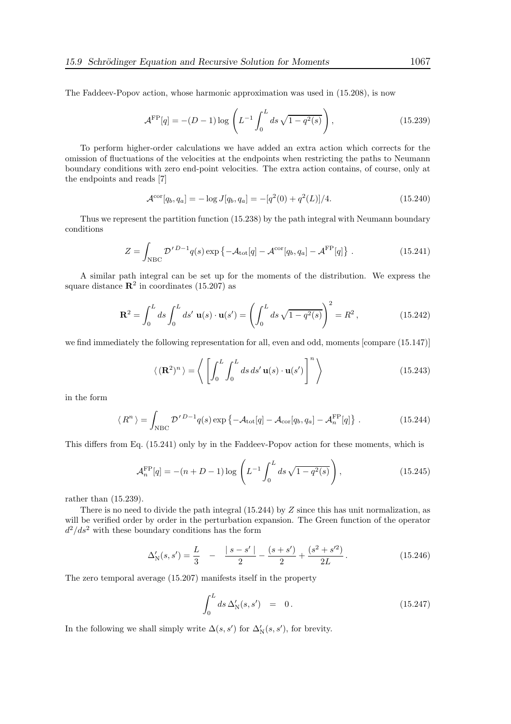The Faddeev-Popov action, whose harmonic approximation was used in (15.208), is now

$$
\mathcal{A}^{\rm FP}[q] = -(D-1)\log\left(L^{-1}\int_0^L ds\sqrt{1-q^2(s)}\right),\tag{15.239}
$$

To perform higher-order calculations we have added an extra action which corrects for the omission of fluctuations of the velocities at the endpoints when restricting the paths to Neumann boundary conditions with zero end-point velocities. The extra action contains, of course, only at the endpoints and reads [7]

$$
\mathcal{A}^{\text{cor}}[q_b, q_a] = -\log J[q_b, q_a] = -[q^2(0) + q^2(L)]/4.
$$
 (15.240)

Thus we represent the partition function (15.238) by the path integral with Neumann boundary conditions

$$
Z = \int_{\text{NBC}} \mathcal{D}'^{D-1} q(s) \exp \left\{ -\mathcal{A}_{\text{tot}}[q] - \mathcal{A}^{\text{cor}}[q_b, q_a] - \mathcal{A}^{\text{FP}}[q] \right\} \,. \tag{15.241}
$$

A similar path integral can be set up for the moments of the distribution. We express the square distance  $\mathbb{R}^2$  in coordinates (15.207) as

$$
\mathbf{R}^2 = \int_0^L ds \int_0^L ds' \mathbf{u}(s) \cdot \mathbf{u}(s') = \left( \int_0^L ds \sqrt{1 - q^2(s)} \right)^2 = R^2,
$$
 (15.242)

we find immediately the following representation for all, even and odd, moments [compare (15.147)]

$$
\langle (\mathbf{R}^2)^n \rangle = \left\langle \left[ \int_0^L \int_0^L ds \, ds' \, \mathbf{u}(s) \cdot \mathbf{u}(s') \right]^n \right\rangle \tag{15.243}
$$

in the form

$$
\langle R^n \rangle = \int_{\text{NBC}} \mathcal{D}'^{D-1} q(s) \exp \left\{ -\mathcal{A}_{\text{tot}}[q] - \mathcal{A}_{\text{cor}}[q_b, q_a] - \mathcal{A}_n^{\text{FP}}[q] \right\} \,. \tag{15.244}
$$

This differs from Eq. (15.241) only by in the Faddeev-Popov action for these moments, which is

$$
\mathcal{A}_n^{\rm FP}[q] = -(n+D-1)\log\left(L^{-1}\int_0^L ds\sqrt{1-q^2(s)}\right),\tag{15.245}
$$

rather than (15.239).

There is no need to divide the path integral  $(15.244)$  by  $Z$  since this has unit normalization, as will be verified order by order in the perturbation expansion. The Green function of the operator  $d^2/ds^2$  with these boundary conditions has the form

$$
\Delta'_{\mathcal{N}}(s, s') = \frac{L}{3} \quad - \quad \frac{|s - s'|}{2} - \frac{(s + s')}{2} + \frac{(s^2 + s'^2)}{2L} \,. \tag{15.246}
$$

The zero temporal average (15.207) manifests itself in the property

$$
\int_0^L ds \,\Delta'_N(s,s') = 0. \tag{15.247}
$$

In the following we shall simply write  $\Delta(s, s')$  for  $\Delta'_{N}(s, s')$ , for brevity.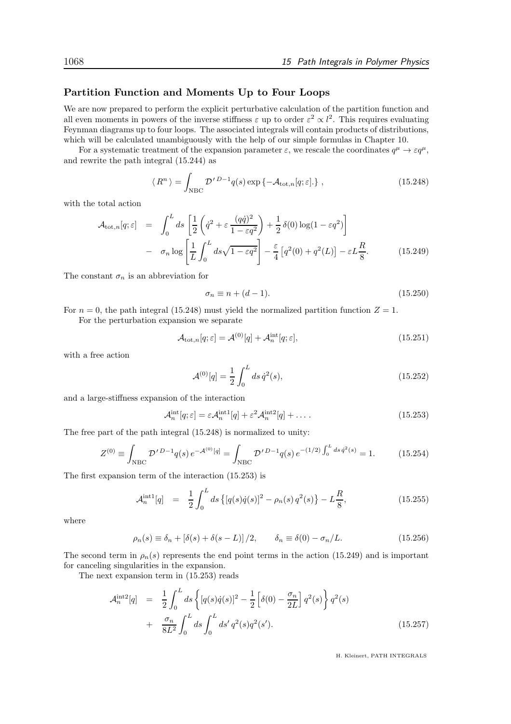#### Partition Function and Moments Up to Four Loops

We are now prepared to perform the explicit perturbative calculation of the partition function and all even moments in powers of the inverse stiffness  $\varepsilon$  up to order  $\varepsilon^2 \propto l^2$ . This requires evaluating Feynman diagrams up to four loops. The associated integrals will contain products of distributions, which will be calculated unambiguously with the help of our simple formulas in Chapter 10.

For a systematic treatment of the expansion parameter  $\varepsilon$ , we rescale the coordinates  $q^{\mu} \to \varepsilon q^{\mu}$ , and rewrite the path integral (15.244) as

$$
\langle R^n \rangle = \int_{\text{NBC}} \mathcal{D}'^{D-1} q(s) \exp \left\{ -\mathcal{A}_{\text{tot},n}[q;\varepsilon] \right\},\tag{15.248}
$$

with the total action

$$
\mathcal{A}_{\text{tot},n}[q;\varepsilon] = \int_0^L ds \left[ \frac{1}{2} \left( \dot{q}^2 + \varepsilon \frac{(q\dot{q})^2}{1 - \varepsilon q^2} \right) + \frac{1}{2} \delta(0) \log(1 - \varepsilon q^2) \right] - \sigma_n \log \left[ \frac{1}{L} \int_0^L ds \sqrt{1 - \varepsilon q^2} \right] - \frac{\varepsilon}{4} \left[ q^2(0) + q^2(L) \right] - \varepsilon L \frac{R}{8}.
$$
 (15.249)

The constant  $\sigma_n$  is an abbreviation for

$$
\sigma_n \equiv n + (d - 1). \tag{15.250}
$$

For  $n = 0$ , the path integral (15.248) must yield the normalized partition function  $Z = 1$ .

For the perturbation expansion we separate

$$
\mathcal{A}_{\text{tot},n}[q;\varepsilon] = \mathcal{A}^{(0)}[q] + \mathcal{A}_n^{\text{int}}[q;\varepsilon],\tag{15.251}
$$

with a free action

$$
\mathcal{A}^{(0)}[q] = \frac{1}{2} \int_0^L ds \, \dot{q}^2(s),\tag{15.252}
$$

and a large-stiffness expansion of the interaction

$$
\mathcal{A}_n^{\text{int}}[q;\varepsilon] = \varepsilon \mathcal{A}_n^{\text{int1}}[q] + \varepsilon^2 \mathcal{A}_n^{\text{int2}}[q] + \dots \tag{15.253}
$$

The free part of the path integral (15.248) is normalized to unity:

$$
Z^{(0)} \equiv \int_{\text{NBC}} \mathcal{D}'^{D-1} q(s) e^{-\mathcal{A}^{(0)}[q]} = \int_{\text{NBC}} \mathcal{D}'^{D-1} q(s) e^{-(1/2) \int_0^L ds \, \dot{q}^2(s)} = 1. \tag{15.254}
$$

The first expansion term of the interaction (15.253) is

$$
\mathcal{A}_n^{\text{int1}}[q] = \frac{1}{2} \int_0^L ds \left\{ [q(s)\dot{q}(s)]^2 - \rho_n(s) q^2(s) \right\} - L\frac{R}{8},\tag{15.255}
$$

where

$$
\rho_n(s) \equiv \delta_n + \left[\delta(s) + \delta(s - L)\right]/2, \qquad \delta_n \equiv \delta(0) - \sigma_n/L. \tag{15.256}
$$

The second term in  $\rho_n(s)$  represents the end point terms in the action (15.249) and is important for canceling singularities in the expansion.

The next expansion term in (15.253) reads

$$
\mathcal{A}_n^{\text{int2}}[q] = \frac{1}{2} \int_0^L ds \left\{ [q(s)\dot{q}(s)]^2 - \frac{1}{2} \left[ \delta(0) - \frac{\sigma_n}{2L} \right] q^2(s) \right\} q^2(s) + \frac{\sigma_n}{8L^2} \int_0^L ds \int_0^L ds' q^2(s) q^2(s'). \tag{15.257}
$$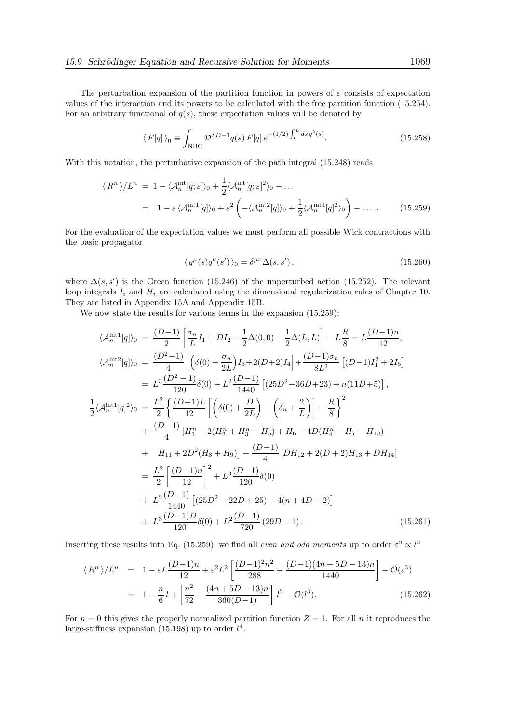The perturbation expansion of the partition function in powers of  $\varepsilon$  consists of expectation values of the interaction and its powers to be calculated with the free partition function (15.254). For an arbitrary functional of  $q(s)$ , these expectation values will be denoted by

$$
\langle F[q] \rangle_0 \equiv \int_{\text{NBC}} \mathcal{D}'^{D-1}q(s) \, F[q] \, e^{-(1/2) \int_0^L ds \, \dot{q}^2(s)}.
$$
 (15.258)

With this notation, the perturbative expansion of the path integral (15.248) reads

$$
\langle R^n \rangle / L^n = 1 - \langle \mathcal{A}_n^{\text{int}}[q; \varepsilon] \rangle_0 + \frac{1}{2} \langle \mathcal{A}_n^{\text{int}}[q; \varepsilon]^2 \rangle_0 - \dots
$$
  
= 1 - \varepsilon \langle \mathcal{A}\_n^{\text{int}}[q] \rangle\_0 + \varepsilon^2 \left( - \langle \mathcal{A}\_n^{\text{int}}[q] \rangle\_0 + \frac{1}{2} \langle \mathcal{A}\_n^{\text{int}}[q]^2 \rangle\_0 \right) - \dots \t(15.259)

For the evaluation of the expectation values we must perform all possible Wick contractions with the basic propagator

$$
\langle q^{\mu}(s)q^{\nu}(s')\rangle_0 = \delta^{\mu\nu}\Delta(s,s'),\tag{15.260}
$$

where  $\Delta(s, s')$  is the Green function (15.246) of the unperturbed action (15.252). The relevant loop integrals  $I_i$  and  $H_i$  are calculated using the dimensional regularization rules of Chapter 10. They are listed in Appendix 15A and Appendix 15B.

We now state the results for various terms in the expansion  $(15.259)$ :

$$
\langle \mathcal{A}_{n}^{\text{int1}}[q] \rangle_{0} = \frac{(D-1)}{2} \left[ \frac{\sigma_{n}}{L} I_{1} + D I_{2} - \frac{1}{2} \Delta(0,0) - \frac{1}{2} \Delta(L,L) \right] - L \frac{R}{8} = L \frac{(D-1)n}{12},
$$
  
\n
$$
\langle \mathcal{A}_{n}^{\text{int2}}[q] \rangle_{0} = \frac{(D^{2}-1)}{4} \left[ \left( \delta(0) + \frac{\sigma_{n}}{2L} \right) I_{3} + 2(D+2) I_{4} \right] + \frac{(D-1)\sigma_{n}}{8L^{2}} \left[ (D-1)I_{1}^{2} + 2I_{5} \right]
$$
  
\n
$$
= L^{3} \frac{(D^{2}-1)}{120} \delta(0) + L^{2} \frac{(D-1)}{1440} \left[ (25D^{2}+36D+23) + n(11D+5) \right],
$$
  
\n
$$
\frac{1}{2} \langle \mathcal{A}_{n}^{\text{int1}}[q]^{2} \rangle_{0} = \frac{L^{2}}{2} \left\{ \frac{(D-1)L}{12} \left[ \left( \delta(0) + \frac{D}{2L} \right) - \left( \delta_{n} + \frac{2}{L} \right) \right] - \frac{R}{8} \right\}^{2}
$$
  
\n
$$
+ \frac{(D-1)}{4} \left[ H_{1}^{n} - 2(H_{2}^{n} + H_{3}^{n} - H_{5}) + H_{6} - 4D(H_{4}^{n} - H_{7} - H_{10}) \right]
$$
  
\n
$$
+ H_{11} + 2D^{2}(H_{8} + H_{9}) \right] + \frac{(D-1)}{4} \left[ DH_{12} + 2(D+2)H_{13} + DH_{14} \right]
$$
  
\n
$$
= \frac{L^{2}}{2} \left[ \frac{(D-1)n}{12} \right]^{2} + L^{3} \frac{(D-1)}{120} \delta(0)
$$
  
\n
$$
+ L^{2} \frac{(D-1)}{1440} \left[ (25D^{2} - 22D + 25) + 4(n + 4D - 2) \right]
$$
  
\n

Inserting these results into Eq. (15.259), we find all *even and odd moments* up to order  $\varepsilon^2 \propto l^2$ 

$$
\langle R^n \rangle / L^n = 1 - \varepsilon L \frac{(D-1)n}{12} + \varepsilon^2 L^2 \left[ \frac{(D-1)^2 n^2}{288} + \frac{(D-1)(4n+5D-13)n}{1440} \right] - \mathcal{O}(\varepsilon^3)
$$
  
= 
$$
1 - \frac{n}{6} l + \left[ \frac{n^2}{72} + \frac{(4n+5D-13)n}{360(D-1)} \right] l^2 - \mathcal{O}(l^3).
$$
 (15.262)

For  $n = 0$  this gives the properly normalized partition function  $Z = 1$ . For all n it reproduces the large-stiffness expansion (15.198) up to order  $l^4$ .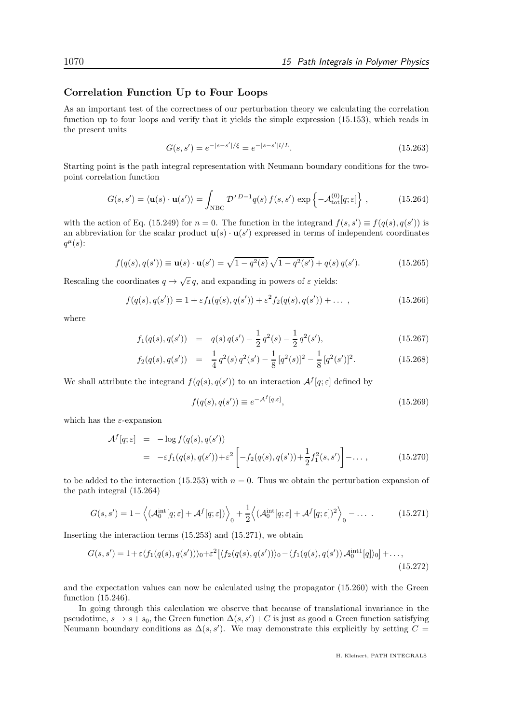#### Correlation Function Up to Four Loops

As an important test of the correctness of our perturbation theory we calculating the correlation function up to four loops and verify that it yields the simple expression (15.153), which reads in the present units

$$
G(s, s') = e^{-|s - s'|/\xi} = e^{-|s - s'|l/L}.
$$
\n(15.263)

Starting point is the path integral representation with Neumann boundary conditions for the twopoint correlation function

$$
G(s,s') = \langle \mathbf{u}(s) \cdot \mathbf{u}(s') \rangle = \int_{\text{NBC}} \mathcal{D}'^{D-1} q(s) f(s,s') \exp \left\{-\mathcal{A}_{\text{tot}}^{(0)}[q;\varepsilon] \right\},\tag{15.264}
$$

with the action of Eq. (15.249) for  $n = 0$ . The function in the integrand  $f(s, s') \equiv f(q(s), q(s'))$  is an abbreviation for the scalar product  $\mathbf{u}(s) \cdot \mathbf{u}(s')$  expressed in terms of independent coordinates  $q^{\mu}(s)$ :

$$
f(q(s), q(s')) \equiv \mathbf{u}(s) \cdot \mathbf{u}(s') = \sqrt{1 - q^2(s)} \sqrt{1 - q^2(s')} + q(s) q(s'). \tag{15.265}
$$

Rescaling the coordinates  $q \to \sqrt{\varepsilon} q$ , and expanding in powers of  $\varepsilon$  yields:

$$
f(q(s), q(s')) = 1 + \varepsilon f_1(q(s), q(s')) + \varepsilon^2 f_2(q(s), q(s')) + \dots,
$$
\n(15.266)

where

$$
f_1(q(s), q(s')) = q(s) q(s') - \frac{1}{2} q^2(s) - \frac{1}{2} q^2(s'),
$$
\n(15.267)

$$
f_2(q(s), q(s')) = \frac{1}{4}q^2(s)q^2(s') - \frac{1}{8}[q^2(s)]^2 - \frac{1}{8}[q^2(s')]^2.
$$
 (15.268)

We shall attribute the integrand  $f(q(s), q(s'))$  to an interaction  $\mathcal{A}^f[q; \varepsilon]$  defined by

$$
f(q(s), q(s')) \equiv e^{-\mathcal{A}^f[q;\varepsilon]},
$$
\n(15.269)

which has the  $\varepsilon$ -expansion

$$
\mathcal{A}^{f}[q;\varepsilon] = -\log f(q(s), q(s')) \n= -\varepsilon f_1(q(s), q(s')) + \varepsilon^2 \left[ -f_2(q(s), q(s')) + \frac{1}{2} f_1^2(s, s') \right] - \dots,
$$
\n(15.270)

to be added to the interaction (15.253) with  $n = 0$ . Thus we obtain the perturbation expansion of the path integral (15.264)

$$
G(s, s') = 1 - \left\langle (\mathcal{A}_0^{\text{int}}[q; \varepsilon] + \mathcal{A}^f[q; \varepsilon]) \right\rangle_0 + \frac{1}{2} \left\langle (\mathcal{A}_0^{\text{int}}[q; \varepsilon] + \mathcal{A}^f[q; \varepsilon])^2 \right\rangle_0 - \dots \tag{15.271}
$$

Inserting the interaction terms (15.253) and (15.271), we obtain

$$
G(s,s') = 1 + \varepsilon \langle f_1(q(s), q(s')) \rangle_0 + \varepsilon^2 \left[ \langle f_2(q(s), q(s')) \rangle_0 - \langle f_1(q(s), q(s')) \mathcal{A}_0^{\text{int1}}[q] \rangle_0 \right] + \dots,
$$
\n(15.272)

and the expectation values can now be calculated using the propagator (15.260) with the Green function (15.246).

In going through this calculation we observe that because of translational invariance in the pseudotime,  $s \to s + s_0$ , the Green function  $\Delta(s, s') + C$  is just as good a Green function satisfying Neumann boundary conditions as  $\Delta(s, s')$ . We may demonstrate this explicitly by setting  $C =$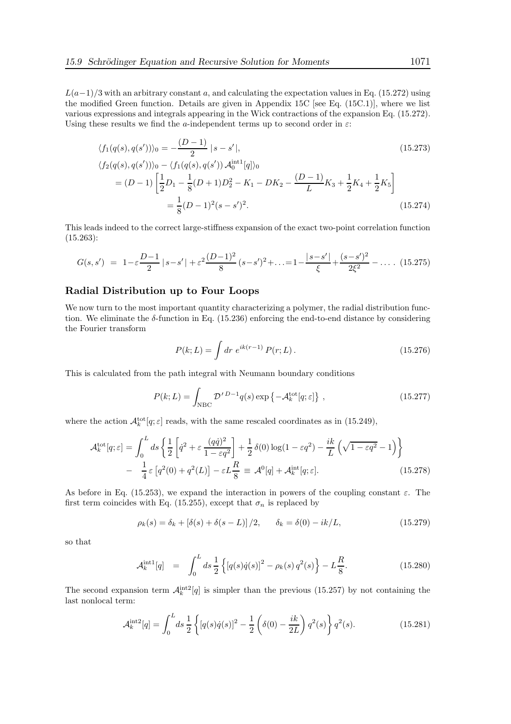$L(a-1)/3$  with an arbitrary constant a, and calculating the expectation values in Eq. (15.272) using the modified Green function. Details are given in Appendix 15C [see Eq. (15C.1)], where we list various expressions and integrals appearing in the Wick contractions of the expansion Eq. (15.272). Using these results we find the a-independent terms up to second order in  $\varepsilon$ :

$$
\langle f_1(q(s), q(s')) \rangle_0 = -\frac{(D-1)}{2} |s - s'|,
$$
\n
$$
\langle f_2(q(s), q(s')) \rangle_0 - \langle f_1(q(s), q(s')) \mathcal{A}_0^{\text{int1}}[q] \rangle_0
$$
\n
$$
= (D-1) \left[ \frac{1}{2} D_1 - \frac{1}{8} (D+1) D_2^2 - K_1 - D K_2 - \frac{(D-1)}{L} K_3 + \frac{1}{2} K_4 + \frac{1}{2} K_5 \right]
$$
\n
$$
= \frac{1}{8} (D-1)^2 (s - s')^2.
$$
\n(15.274)

This leads indeed to the correct large-stiffness expansion of the exact two-point correlation function  $(15.263):$ 

$$
G(s,s') = 1 - \varepsilon \frac{D-1}{2} |s-s'| + \varepsilon^2 \frac{(D-1)^2}{8} (s-s')^2 + \ldots = 1 - \frac{|s-s'|}{\xi} + \frac{(s-s')^2}{2\xi^2} - \ldots \quad (15.275)
$$

#### Radial Distribution up to Four Loops

We now turn to the most important quantity characterizing a polymer, the radial distribution function. We eliminate the  $\delta$ -function in Eq. (15.236) enforcing the end-to-end distance by considering the Fourier transform

$$
P(k;L) = \int dr \ e^{ik(r-1)} P(r;L). \qquad (15.276)
$$

This is calculated from the path integral with Neumann boundary conditions

$$
P(k;L) = \int_{\text{NBC}} \mathcal{D}'^{D-1} q(s) \exp\left\{-\mathcal{A}_k^{\text{tot}}[q;\varepsilon]\right\},\qquad(15.277)
$$

where the action  $\mathcal{A}_k^{\text{tot}}[q;\varepsilon]$  reads, with the same rescaled coordinates as in (15.249),

$$
\mathcal{A}_{k}^{\text{tot}}[q;\varepsilon] = \int_{0}^{L} ds \left\{ \frac{1}{2} \left[ \dot{q}^{2} + \varepsilon \frac{(qq)^{2}}{1 - \varepsilon q^{2}} \right] + \frac{1}{2} \delta(0) \log(1 - \varepsilon q^{2}) - \frac{ik}{L} \left( \sqrt{1 - \varepsilon q^{2}} - 1 \right) \right\}
$$

$$
- \frac{1}{4} \varepsilon \left[ q^{2}(0) + q^{2}(L) \right] - \varepsilon L \frac{R}{8} \equiv \mathcal{A}^{0}[q] + \mathcal{A}_{k}^{\text{int}}[q;\varepsilon]. \tag{15.278}
$$

As before in Eq. (15.253), we expand the interaction in powers of the coupling constant  $\varepsilon$ . The first term coincides with Eq. (15.255), except that  $\sigma_n$  is replaced by

$$
\rho_k(s) = \delta_k + [\delta(s) + \delta(s - L)]/2, \qquad \delta_k = \delta(0) - ik/L,
$$
\n(15.279)

so that

$$
\mathcal{A}_k^{\text{int1}}[q] = \int_0^L ds \, \frac{1}{2} \left\{ \left[ q(s) \dot{q}(s) \right]^2 - \rho_k(s) \, q^2(s) \right\} - L \frac{R}{8}.\tag{15.280}
$$

The second expansion term  $\mathcal{A}_k^{\text{int2}}[q]$  is simpler than the previous (15.257) by not containing the last nonlocal term:

$$
\mathcal{A}_k^{\text{int2}}[q] = \int_0^L ds \, \frac{1}{2} \left\{ [q(s)\dot{q}(s)]^2 - \frac{1}{2} \left( \delta(0) - \frac{ik}{2L} \right) q^2(s) \right\} q^2(s). \tag{15.281}
$$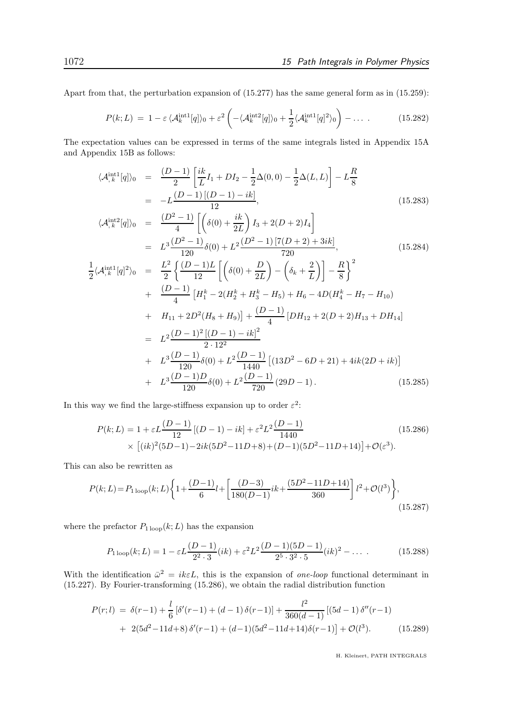Apart from that, the perturbation expansion of (15.277) has the same general form as in (15.259):

$$
P(k;L) = 1 - \varepsilon \langle \mathcal{A}_k^{\text{int1}}[q] \rangle_0 + \varepsilon^2 \left( -\langle \mathcal{A}_k^{\text{int2}}[q] \rangle_0 + \frac{1}{2} \langle \mathcal{A}_k^{\text{int1}}[q]^2 \rangle_0 \right) - \dots \tag{15.282}
$$

The expectation values can be expressed in terms of the same integrals listed in Appendix 15A and Appendix 15B as follows:

$$
\langle \mathcal{A}_{,k}^{\text{int1}}[q] \rangle_0 = \frac{(D-1)}{2} \left[ \frac{ik}{L} I_1 + D I_2 - \frac{1}{2} \Delta(0,0) - \frac{1}{2} \Delta(L,L) \right] - L \frac{R}{8}
$$
  
=  $-L \frac{(D-1)[(D-1) - ik]}{12}$ , (15.283)  
 $(L^{\text{int2}}[1]$ 

$$
\langle \mathcal{A}_{,k}^{\text{int12}}[q] \rangle_{0} = \frac{(D^{2}-1)}{4} \left[ \left( \delta(0) + \frac{ik}{2L} \right) I_{3} + 2(D+2) I_{4} \right]
$$
  
\n
$$
= L^{3} \frac{(D^{2}-1)}{120} \delta(0) + L^{2} \frac{(D^{2}-1) [7(D+2) + 3ik]}{720},
$$
(15.284)  
\n
$$
\frac{1}{2} \langle \mathcal{A}_{,k}^{\text{int1}}[q]^{2} \rangle_{0} = \frac{L^{2}}{2} \left\{ \frac{(D-1)L}{12} \left[ \left( \delta(0) + \frac{D}{2L} \right) - \left( \delta_{k} + \frac{2}{L} \right) \right] - \frac{R}{8} \right\}^{2}
$$
  
\n
$$
+ \frac{(D-1)}{2} [H^{k} - 2(H^{k} + H^{k} - H_{2}) + H_{C} - 4D(H^{k} - H_{2} - H_{10})]
$$
(15.284)

+ 
$$
\frac{(D-1)}{4} \left[ H_1^k - 2(H_2^k + H_3^k - H_5) + H_6 - 4D(H_4^k - H_7 - H_{10}) \right]
$$
  
+ 
$$
H_{11} + 2D^2(H_8 + H_9) + \frac{(D-1)}{4} [DH_{12} + 2(D+2)H_{13} + DH_{14}]
$$
  
= 
$$
L^2 \frac{(D-1)^2 [(D-1) - ik]^2}{2 \cdot 12^2}
$$
  
+ 
$$
L^3 \frac{(D-1)}{120} \delta(0) + L^2 \frac{(D-1)}{1440} [(13D^2 - 6D + 21) + 4ik(2D + ik)]
$$
  
+ 
$$
L^3 \frac{(D-1)D}{120} \delta(0) + L^2 \frac{(D-1)}{720} (29D - 1).
$$
 (15.285)

In this way we find the large-stiffness expansion up to order  $\varepsilon^2$ :

$$
P(k;L) = 1 + \varepsilon L \frac{(D-1)}{12} [(D-1) - ik] + \varepsilon^2 L^2 \frac{(D-1)}{1440} \qquad (15.286)
$$
  
×  $[(ik)^2(5D-1) - 2ik(5D^2-11D+8) + (D-1)(5D^2-11D+14)] + \mathcal{O}(\varepsilon^3).$ 

This can also be rewritten as

$$
P(k;L) = P_{1\text{loop}}(k;L)\left\{1 + \frac{(D-1)}{6}l + \left[\frac{(D-3)}{180(D-1)}ik + \frac{(5D^2 - 11D + 14)}{360}\right]l^2 + \mathcal{O}(l^3)\right\},\tag{15.287}
$$

where the prefactor  $P_{1 \text{loop}}(k;L)$  has the expansion

$$
P_{1\text{loop}}(k;L) = 1 - \varepsilon L \frac{(D-1)}{2^2 \cdot 3} (ik) + \varepsilon^2 L^2 \frac{(D-1)(5D-1)}{2^5 \cdot 3^2 \cdot 5} (ik)^2 - \dots \tag{15.288}
$$

With the identification  $\bar{\omega}^2 = i k \varepsilon L$ , this is the expansion of *one-loop* functional determinant in (15.227). By Fourier-transforming (15.286), we obtain the radial distribution function

$$
P(r;l) = \delta(r-1) + \frac{l}{6} [\delta'(r-1) + (d-1)\delta(r-1)] + \frac{l^2}{360(d-1)} [(5d-1)\delta''(r-1) + 2(5d^2 - 11d + 8)\delta'(r-1) + (d-1)(5d^2 - 11d + 14)\delta(r-1)] + \mathcal{O}(l^3).
$$
 (15.289)

H. Kleinert, PATH INTEGRALS

1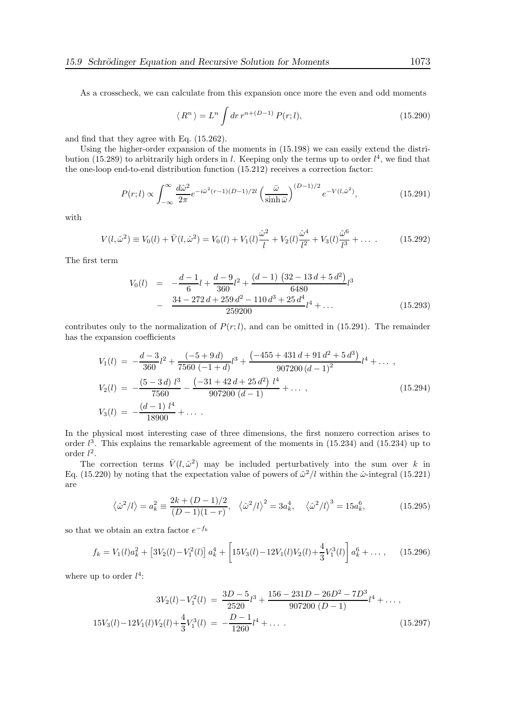As a crosscheck, we can calculate from this expansion once more the even and odd moments

$$
\langle R^n \rangle = L^n \int dr \, r^{n + (D-1)} P(r; l), \tag{15.290}
$$

and find that they agree with Eq. (15.262).

Using the higher-order expansion of the moments in (15.198) we can easily extend the distribution (15.289) to arbitrarily high orders in l. Keeping only the terms up to order  $l^4$ , we find that the one-loop end-to-end distribution function (15.212) receives a correction factor:

$$
P(r;l) \propto \int_{-\infty}^{\infty} \frac{d\hat{\omega}^2}{2\pi} e^{-i\hat{\omega}^2(r-1)(D-1)/2l} \left(\frac{\bar{\omega}}{\sinh\bar{\omega}}\right)^{(D-1)/2} e^{-V(l,\hat{\omega}^2)},\tag{15.291}
$$

with

$$
V(l, \hat{\omega}^2) \equiv V_0(l) + \bar{V}(l, \hat{\omega}^2) = V_0(l) + V_1(l)\frac{\hat{\omega}^2}{l} + V_2(l)\frac{\hat{\omega}^4}{l^2} + V_3(l)\frac{\hat{\omega}^6}{l^3} + \dots
$$
 (15.292)

The first term

$$
V_0(l) = -\frac{d-1}{6}l + \frac{d-9}{360}l^2 + \frac{(d-1)(32-13d+5d^2)}{6480}l^3
$$
  

$$
-\frac{34-272d+259d^2-110d^3+25d^4}{259200}l^4 + \dots
$$
(15.293)

contributes only to the normalization of  $P(r; l)$ , and can be omitted in (15.291). The remainder has the expansion coefficients

$$
V_1(l) = -\frac{d-3}{360}l^2 + \frac{(-5+9d)}{7560(-1+d)}l^3 + \frac{(-455+431d+91d^2+5d^3)}{907200(d-1)^2}l^4 + \dots,
$$
  
\n
$$
V_2(l) = -\frac{(5-3d)l^3}{7560} - \frac{(-31+42d+25d^2)l^4}{907200(d-1)} + \dots,
$$
  
\n
$$
V_3(l) = -\frac{(d-1)l^4}{18900} + \dots.
$$
\n(15.294)

In the physical most interesting case of three dimensions, the first nonzero correction arises to order  $l^3$ . This explains the remarkable agreement of the moments in  $(15.234)$  and  $(15.234)$  up to order  $l^2$ .

The correction terms  $\bar{V}(l, \hat{\omega}^2)$  may be included perturbatively into the sum over k in Eq. (15.220) by noting that the expectation value of powers of  $\hat{\omega}^2/l$  within the  $\hat{\omega}$ -integral (15.221) are

$$
\langle \hat{\omega}^2 / l \rangle = a_k^2 \equiv \frac{2k + (D - 1)/2}{(D - 1)(1 - r)}, \quad \langle \hat{\omega}^2 / l \rangle^2 = 3a_k^4, \quad \langle \hat{\omega}^2 / l \rangle^3 = 15a_k^6,
$$
 (15.295)

so that we obtain an extra factor  $e^{-f_k}$ 

$$
f_k = V_1(l)a_k^2 + [3V_2(l) - V_1^2(l)]a_k^4 + \left[15V_3(l) - 12V_1(l)V_2(l) + \frac{4}{3}V_1^3(l)\right]a_k^6 + \dots, \quad (15.296)
$$

where up to order  $l^4$ :

$$
3V_2(l) - V_1^2(l) = \frac{3D - 5}{2520}l^3 + \frac{156 - 231D - 26D^2 - 7D^3}{907200(D - 1)}l^4 + \dots,
$$
  

$$
15V_3(l) - 12V_1(l)V_2(l) + \frac{4}{3}V_1^3(l) = -\frac{D - 1}{1260}l^4 + \dots
$$
 (15.297)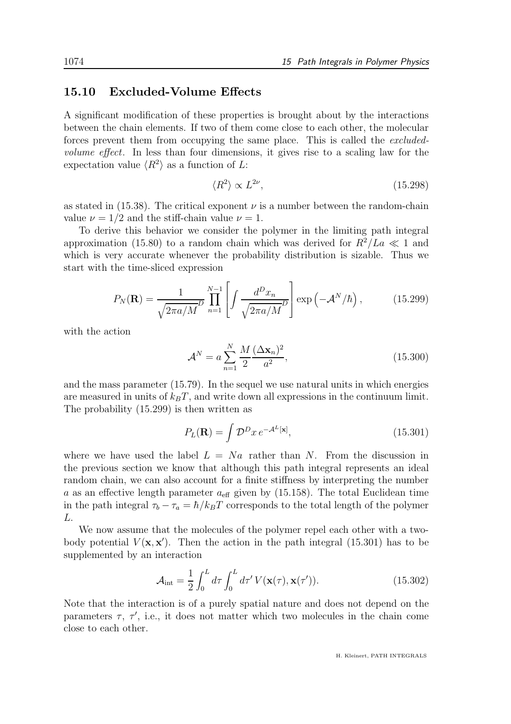#### 15.10 Excluded-Volume Effects

A significant modification of these properties is brought about by the interactions between the chain elements. If two of them come close to each other, the molecular forces prevent them from occupying the same place. This is called the excludedvolume effect. In less than four dimensions, it gives rise to a scaling law for the expectation value  $\langle R^2 \rangle$  as a function of L:

$$
\langle R^2 \rangle \propto L^{2\nu},\tag{15.298}
$$

as stated in  $(15.38)$ . The critical exponent  $\nu$  is a number between the random-chain value  $\nu = 1/2$  and the stiff-chain value  $\nu = 1$ .

To derive this behavior we consider the polymer in the limiting path integral approximation (15.80) to a random chain which was derived for  $R^2/La \ll 1$  and which is very accurate whenever the probability distribution is sizable. Thus we start with the time-sliced expression

$$
P_N(\mathbf{R}) = \frac{1}{\sqrt{2\pi a/M}} \prod_{n=1}^{N-1} \left[ \int \frac{d^D x_n}{\sqrt{2\pi a/M}} \right] \exp\left(-\mathcal{A}^N/\hbar\right),\tag{15.299}
$$

with the action

$$
\mathcal{A}^{N} = a \sum_{n=1}^{N} \frac{M}{2} \frac{(\Delta \mathbf{x}_{n})^{2}}{a^{2}},
$$
\n(15.300)

and the mass parameter (15.79). In the sequel we use natural units in which energies are measured in units of  $k_BT$ , and write down all expressions in the continuum limit. The probability (15.299) is then written as

$$
P_L(\mathbf{R}) = \int \mathcal{D}^D x \, e^{-\mathcal{A}^L[\mathbf{x}]},\tag{15.301}
$$

where we have used the label  $L = Na$  rather than N. From the discussion in the previous section we know that although this path integral represents an ideal random chain, we can also account for a finite stiffness by interpreting the number a as an effective length parameter  $a_{\text{eff}}$  given by (15.158). The total Euclidean time in the path integral  $\tau_b - \tau_a = \hbar / k_B T$  corresponds to the total length of the polymer L.

We now assume that the molecules of the polymer repel each other with a twobody potential  $V(\mathbf{x}, \mathbf{x}')$ . Then the action in the path integral (15.301) has to be supplemented by an interaction

$$
\mathcal{A}_{\text{int}} = \frac{1}{2} \int_0^L d\tau \int_0^L d\tau' V(\mathbf{x}(\tau), \mathbf{x}(\tau')). \qquad (15.302)
$$

Note that the interaction is of a purely spatial nature and does not depend on the parameters  $\tau$ ,  $\tau'$ , i.e., it does not matter which two molecules in the chain come close to each other.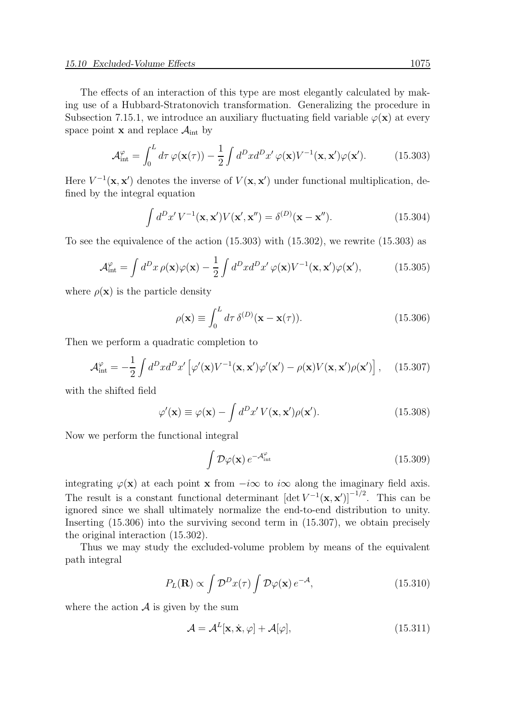The effects of an interaction of this type are most elegantly calculated by making use of a Hubbard-Stratonovich transformation. Generalizing the procedure in Subsection 7.15.1, we introduce an auxiliary fluctuating field variable  $\varphi(\mathbf{x})$  at every space point **x** and replace  $A_{int}$  by

$$
\mathcal{A}_{int}^{\varphi} = \int_0^L d\tau \, \varphi(\mathbf{x}(\tau)) - \frac{1}{2} \int d^D x d^D x' \, \varphi(\mathbf{x}) V^{-1}(\mathbf{x}, \mathbf{x}') \varphi(\mathbf{x}'). \tag{15.303}
$$

Here  $V^{-1}(\mathbf{x}, \mathbf{x}')$  denotes the inverse of  $V(\mathbf{x}, \mathbf{x}')$  under functional multiplication, defined by the integral equation

$$
\int d^D x' V^{-1}(\mathbf{x}, \mathbf{x}') V(\mathbf{x}', \mathbf{x}'') = \delta^{(D)}(\mathbf{x} - \mathbf{x}'').
$$
 (15.304)

To see the equivalence of the action  $(15.303)$  with  $(15.302)$ , we rewrite  $(15.303)$  as

$$
\mathcal{A}_{int}^{\varphi} = \int d^D x \,\rho(\mathbf{x})\varphi(\mathbf{x}) - \frac{1}{2} \int d^D x d^D x' \,\varphi(\mathbf{x}) V^{-1}(\mathbf{x}, \mathbf{x}') \varphi(\mathbf{x}'),\tag{15.305}
$$

where  $\rho(\mathbf{x})$  is the particle density

$$
\rho(\mathbf{x}) \equiv \int_0^L d\tau \, \delta^{(D)}(\mathbf{x} - \mathbf{x}(\tau)).
$$
\n(15.306)

Then we perform a quadratic completion to

$$
\mathcal{A}^{\varphi}_{\text{int}} = -\frac{1}{2} \int d^D x d^D x' \left[ \varphi'(\mathbf{x}) V^{-1}(\mathbf{x}, \mathbf{x}') \varphi'(\mathbf{x}') - \rho(\mathbf{x}) V(\mathbf{x}, \mathbf{x}') \rho(\mathbf{x}') \right], \quad (15.307)
$$

with the shifted field

$$
\varphi'(\mathbf{x}) \equiv \varphi(\mathbf{x}) - \int d^D x' V(\mathbf{x}, \mathbf{x}') \rho(\mathbf{x}'). \qquad (15.308)
$$

Now we perform the functional integral

$$
\int \mathcal{D}\varphi(\mathbf{x}) e^{-\mathcal{A}_{int}^{\varphi}} \tag{15.309}
$$

integrating  $\varphi(\mathbf{x})$  at each point **x** from  $-i\infty$  to  $i\infty$  along the imaginary field axis. The result is a constant functional determinant  $[\det V^{-1}(\mathbf{x}, \mathbf{x}')]^{-1/2}$ . This can be ignored since we shall ultimately normalize the end-to-end distribution to unity. Inserting (15.306) into the surviving second term in (15.307), we obtain precisely the original interaction (15.302).

Thus we may study the excluded-volume problem by means of the equivalent path integral

$$
P_L(\mathbf{R}) \propto \int \mathcal{D}^D x(\tau) \int \mathcal{D}\varphi(\mathbf{x}) e^{-\mathcal{A}}, \qquad (15.310)
$$

where the action  $\mathcal A$  is given by the sum

$$
\mathcal{A} = \mathcal{A}^{L}[\mathbf{x}, \dot{\mathbf{x}}, \varphi] + \mathcal{A}[\varphi],
$$
\n(15.311)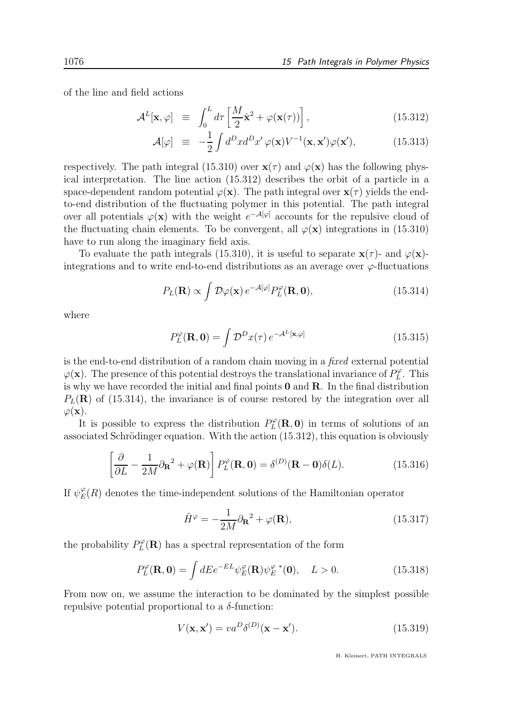of the line and field actions

$$
\mathcal{A}^{L}[\mathbf{x}, \varphi] \equiv \int_{0}^{L} d\tau \left[ \frac{M}{2} \dot{\mathbf{x}}^{2} + \varphi(\mathbf{x}(\tau)) \right], \qquad (15.312)
$$

$$
\mathcal{A}[\varphi] \equiv -\frac{1}{2} \int d^D x d^D x' \varphi(\mathbf{x}) V^{-1}(\mathbf{x}, \mathbf{x}') \varphi(\mathbf{x}'), \qquad (15.313)
$$

respectively. The path integral (15.310) over  $\mathbf{x}(\tau)$  and  $\varphi(\mathbf{x})$  has the following physical interpretation. The line action (15.312) describes the orbit of a particle in a space-dependent random potential  $\varphi(\mathbf{x})$ . The path integral over  $\mathbf{x}(\tau)$  yields the endto-end distribution of the fluctuating polymer in this potential. The path integral over all potentials  $\varphi(\mathbf{x})$  with the weight  $e^{-\mathcal{A}[\varphi]}$  accounts for the repulsive cloud of the fluctuating chain elements. To be convergent, all  $\varphi(\mathbf{x})$  integrations in (15.310) have to run along the imaginary field axis.

To evaluate the path integrals (15.310), it is useful to separate  $\mathbf{x}(\tau)$ - and  $\varphi(\mathbf{x})$ integrations and to write end-to-end distributions as an average over  $\varphi$ -fluctuations

$$
P_L(\mathbf{R}) \propto \int \mathcal{D}\varphi(\mathbf{x}) e^{-\mathcal{A}[\varphi]} P_L^{\varphi}(\mathbf{R}, \mathbf{0}), \qquad (15.314)
$$

where

$$
P_L^{\varphi}(\mathbf{R}, \mathbf{0}) = \int \mathcal{D}^D x(\tau) e^{-\mathcal{A}^L[\mathbf{x}, \varphi]}
$$
 (15.315)

is the end-to-end distribution of a random chain moving in a fixed external potential  $\varphi(\mathbf{x})$ . The presence of this potential destroys the translational invariance of  $P_L^{\varphi}$  $L^{\varphi}$ . This is why we have recorded the initial and final points  $0$  and  $R$ . In the final distribution  $P_L(\mathbf{R})$  of (15.314), the invariance is of course restored by the integration over all  $\varphi(\mathbf{x})$ .

It is possible to express the distribution  $P_L^{\varphi}$  $L<sup>\varphi</sup>(\mathbf{R}, \mathbf{0})$  in terms of solutions of an associated Schrödinger equation. With the action  $(15.312)$ , this equation is obviously

$$
\left[\frac{\partial}{\partial L} - \frac{1}{2M} \partial_{\mathbf{R}}^2 + \varphi(\mathbf{R})\right] P_L^{\varphi}(\mathbf{R}, \mathbf{0}) = \delta^{(D)}(\mathbf{R} - \mathbf{0}) \delta(L). \tag{15.316}
$$

If  $\psi_E^{\varphi}(R)$  denotes the time-independent solutions of the Hamiltonian operator

$$
\hat{H}^{\varphi} = -\frac{1}{2M} \partial_{\mathbf{R}}^2 + \varphi(\mathbf{R}),\tag{15.317}
$$

the probability  $P_L^{\varphi}$  $L<sup>\varphi</sup>(\mathbf{R})$  has a spectral representation of the form

$$
P_L^{\varphi}(\mathbf{R}, \mathbf{0}) = \int dE e^{-EL} \psi_E^{\varphi}(\mathbf{R}) \psi_E^{\varphi \,*}(\mathbf{0}), \quad L > 0.
$$
 (15.318)

From now on, we assume the interaction to be dominated by the simplest possible repulsive potential proportional to a  $\delta$ -function:

$$
V(\mathbf{x}, \mathbf{x}') = va^D \delta^{(D)}(\mathbf{x} - \mathbf{x}').
$$
\n(15.319)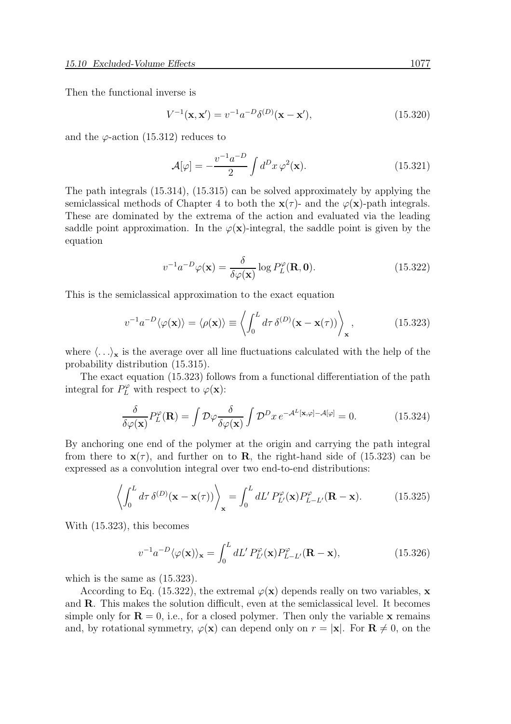Then the functional inverse is

$$
V^{-1}(\mathbf{x}, \mathbf{x}') = v^{-1} a^{-D} \delta^{(D)}(\mathbf{x} - \mathbf{x}'), \tag{15.320}
$$

and the  $\varphi$ -action (15.312) reduces to

$$
\mathcal{A}[\varphi] = -\frac{v^{-1}a^{-D}}{2} \int d^D x \,\varphi^2(\mathbf{x}).\tag{15.321}
$$

The path integrals (15.314), (15.315) can be solved approximately by applying the semiclassical methods of Chapter 4 to both the  $\mathbf{x}(\tau)$ - and the  $\varphi(\mathbf{x})$ -path integrals. These are dominated by the extrema of the action and evaluated via the leading saddle point approximation. In the  $\varphi(\mathbf{x})$ -integral, the saddle point is given by the equation

$$
v^{-1}a^{-D}\varphi(\mathbf{x}) = \frac{\delta}{\delta\varphi(\mathbf{x})}\log P_L^{\varphi}(\mathbf{R}, \mathbf{0}).\tag{15.322}
$$

This is the semiclassical approximation to the exact equation

$$
v^{-1}a^{-D}\langle\varphi(\mathbf{x})\rangle = \langle\rho(\mathbf{x})\rangle \equiv \left\langle \int_0^L d\tau \,\delta^{(D)}(\mathbf{x} - \mathbf{x}(\tau)) \right\rangle_\mathbf{x},\tag{15.323}
$$

where  $\langle \ldots \rangle_{\mathbf{x}}$  is the average over all line fluctuations calculated with the help of the probability distribution (15.315).

The exact equation (15.323) follows from a functional differentiation of the path integral for  $P_L^{\varphi}$  with respect to  $\varphi(\mathbf{x})$ :

$$
\frac{\delta}{\delta \varphi(\mathbf{x})} P_L^{\varphi}(\mathbf{R}) = \int \mathcal{D}\varphi \frac{\delta}{\delta \varphi(\mathbf{x})} \int \mathcal{D}^D x \, e^{-\mathcal{A}^L[\mathbf{x}, \varphi] - \mathcal{A}[\varphi]} = 0. \tag{15.324}
$$

By anchoring one end of the polymer at the origin and carrying the path integral from there to  $\mathbf{x}(\tau)$ , and further on to **R**, the right-hand side of (15.323) can be expressed as a convolution integral over two end-to-end distributions:

$$
\left\langle \int_0^L d\tau \, \delta^{(D)}(\mathbf{x} - \mathbf{x}(\tau)) \right\rangle_{\mathbf{x}} = \int_0^L dL' P_{L'}^{\varphi}(\mathbf{x}) P_{L-L'}^{\varphi}(\mathbf{R} - \mathbf{x}). \tag{15.325}
$$

With (15.323), this becomes

$$
v^{-1}a^{-D}\langle\varphi(\mathbf{x})\rangle_{\mathbf{x}} = \int_0^L dL' P_{L'}^{\varphi}(\mathbf{x}) P_{L-L'}^{\varphi}(\mathbf{R}-\mathbf{x}),\tag{15.326}
$$

which is the same as (15.323).

According to Eq. (15.322), the extremal  $\varphi(\mathbf{x})$  depends really on two variables, x and R. This makes the solution difficult, even at the semiclassical level. It becomes simple only for  $\mathbf{R} = 0$ , i.e., for a closed polymer. Then only the variable x remains and, by rotational symmetry,  $\varphi(\mathbf{x})$  can depend only on  $r = |\mathbf{x}|$ . For  $\mathbf{R} \neq 0$ , on the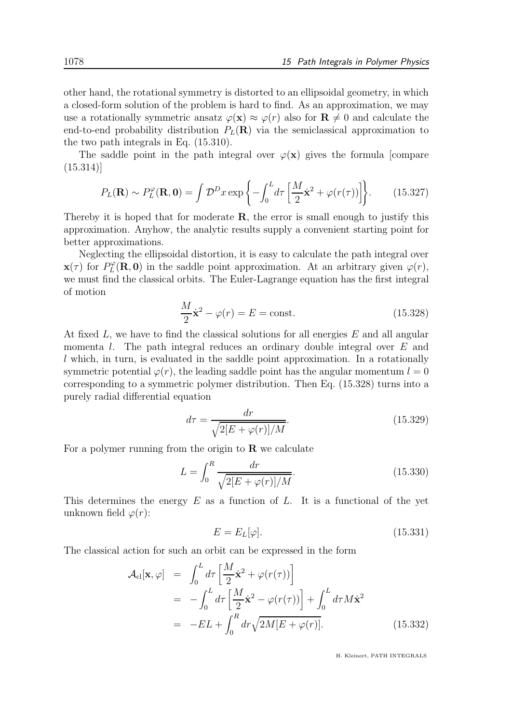other hand, the rotational symmetry is distorted to an ellipsoidal geometry, in which a closed-form solution of the problem is hard to find. As an approximation, we may use a rotationally symmetric ansatz  $\varphi(\mathbf{x}) \approx \varphi(r)$  also for  $\mathbf{R} \neq 0$  and calculate the end-to-end probability distribution  $P_L(\mathbf{R})$  via the semiclassical approximation to the two path integrals in Eq. (15.310).

The saddle point in the path integral over  $\varphi(\mathbf{x})$  gives the formula [compare  $(15.314)$ 

$$
P_L(\mathbf{R}) \sim P_L^{\varphi}(\mathbf{R}, \mathbf{0}) = \int \mathcal{D}^D x \exp\left\{-\int_0^L d\tau \left[\frac{M}{2}\dot{\mathbf{x}}^2 + \varphi(r(\tau))\right]\right\}.
$$
 (15.327)

Thereby it is hoped that for moderate  $\bf{R}$ , the error is small enough to justify this approximation. Anyhow, the analytic results supply a convenient starting point for better approximations.

Neglecting the ellipsoidal distortion, it is easy to calculate the path integral over  $\mathbf{x}(\tau)$  for  $P_L^{\varphi}$  $L<sup>\varphi</sup>(\mathbf{R}, \mathbf{0})$  in the saddle point approximation. At an arbitrary given  $\varphi(r)$ , we must find the classical orbits. The Euler-Lagrange equation has the first integral of motion

$$
\frac{M}{2}\dot{\mathbf{x}}^2 - \varphi(r) = E = \text{const.}\tag{15.328}
$$

At fixed L, we have to find the classical solutions for all energies E and all angular momenta l. The path integral reduces an ordinary double integral over E and l which, in turn, is evaluated in the saddle point approximation. In a rotationally symmetric potential  $\varphi(r)$ , the leading saddle point has the angular momentum  $l = 0$ corresponding to a symmetric polymer distribution. Then Eq. (15.328) turns into a purely radial differential equation

$$
d\tau = \frac{dr}{\sqrt{2[E + \varphi(r)]/M}}.\tag{15.329}
$$

For a polymer running from the origin to  $\bf{R}$  we calculate

$$
L = \int_0^R \frac{dr}{\sqrt{2[E + \varphi(r)]/M}}.
$$
\n(15.330)

This determines the energy  $E$  as a function of  $L$ . It is a functional of the yet unknown field  $\varphi(r)$ :

$$
E = E_L[\varphi].\tag{15.331}
$$

The classical action for such an orbit can be expressed in the form

$$
\mathcal{A}_{cl}[\mathbf{x}, \varphi] = \int_0^L d\tau \left[ \frac{M}{2} \dot{\mathbf{x}}^2 + \varphi(r(\tau)) \right]
$$
  
\n
$$
= -\int_0^L d\tau \left[ \frac{M}{2} \dot{\mathbf{x}}^2 - \varphi(r(\tau)) \right] + \int_0^L d\tau M \dot{\mathbf{x}}^2
$$
  
\n
$$
= -EL + \int_0^R dr \sqrt{2M[E + \varphi(r)]}. \qquad (15.332)
$$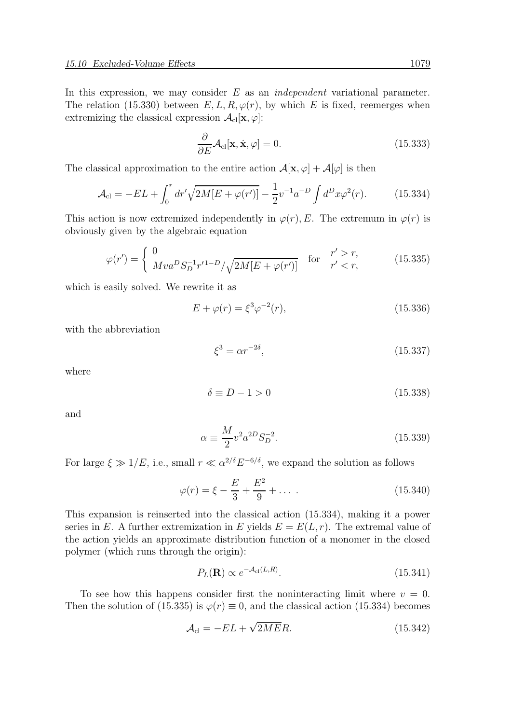In this expression, we may consider  $E$  as an *independent* variational parameter. The relation (15.330) between  $E, L, R, \varphi(r)$ , by which E is fixed, reemerges when extremizing the classical expression  $\mathcal{A}_{\text{cl}}[\mathbf{x}, \varphi]$ :

$$
\frac{\partial}{\partial E} \mathcal{A}_{cl}[\mathbf{x}, \dot{\mathbf{x}}, \varphi] = 0. \tag{15.333}
$$

The classical approximation to the entire action  $\mathcal{A}[\mathbf{x}, \varphi] + \mathcal{A}[\varphi]$  is then

$$
\mathcal{A}_{\rm cl} = -EL + \int_0^r dr' \sqrt{2M[E + \varphi(r')] - \frac{1}{2} v^{-1} a^{-D} \int d^D x \varphi^2(r)}.
$$
 (15.334)

This action is now extremized independently in  $\varphi(r)$ , E. The extremum in  $\varphi(r)$  is obviously given by the algebraic equation

$$
\varphi(r') = \begin{cases} 0 & \text{for } r' > r, \\ Mva^D S_D^{-1} r'^{1-D} / \sqrt{2M[E + \varphi(r')]} & \text{for } r' < r, \end{cases} \tag{15.335}
$$

which is easily solved. We rewrite it as

$$
E + \varphi(r) = \xi^3 \varphi^{-2}(r),
$$
\n(15.336)

with the abbreviation

$$
\xi^3 = \alpha r^{-2\delta},\tag{15.337}
$$

where

$$
\delta \equiv D - 1 > 0 \tag{15.338}
$$

and

$$
\alpha \equiv \frac{M}{2} v^2 a^{2D} S_D^{-2}.
$$
\n(15.339)

For large  $\xi \gg 1/E$ , i.e., small  $r \ll \alpha^{2/\delta} E^{-6/\delta}$ , we expand the solution as follows

$$
\varphi(r) = \xi - \frac{E}{3} + \frac{E^2}{9} + \dots \tag{15.340}
$$

This expansion is reinserted into the classical action (15.334), making it a power series in E. A further extremization in E yields  $E = E(L, r)$ . The extremal value of the action yields an approximate distribution function of a monomer in the closed polymer (which runs through the origin):

$$
P_L(\mathbf{R}) \propto e^{-\mathcal{A}_{\rm cl}(L,R)}.\tag{15.341}
$$

To see how this happens consider first the noninteracting limit where  $v = 0$ . Then the solution of (15.335) is  $\varphi(r) \equiv 0$ , and the classical action (15.334) becomes

$$
\mathcal{A}_{\rm cl} = -EL + \sqrt{2ME}R. \tag{15.342}
$$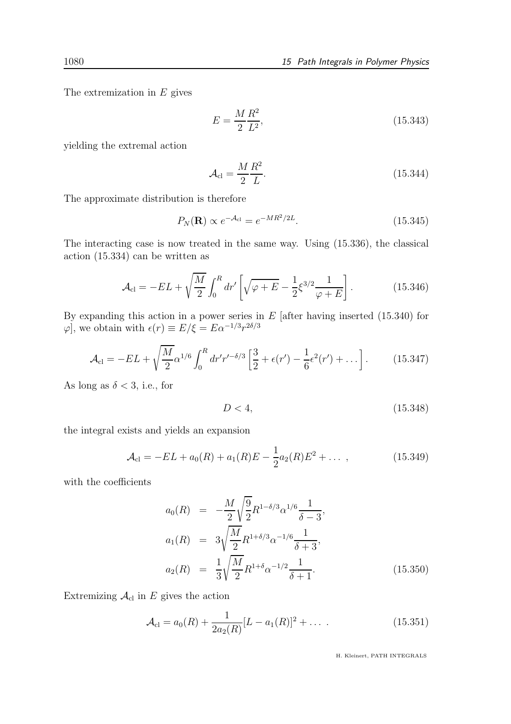The extremization in  $E$  gives

$$
E = \frac{M}{2} \frac{R^2}{L^2},\tag{15.343}
$$

yielding the extremal action

$$
\mathcal{A}_{\rm cl} = \frac{M}{2} \frac{R^2}{L}.\tag{15.344}
$$

The approximate distribution is therefore

$$
P_N(\mathbf{R}) \propto e^{-\mathcal{A}_{\rm cl}} = e^{-MR^2/2L}.
$$
\n(15.345)

The interacting case is now treated in the same way. Using (15.336), the classical action (15.334) can be written as

$$
\mathcal{A}_{\rm cl} = -EL + \sqrt{\frac{M}{2}} \int_0^R dr' \left[ \sqrt{\varphi + E} - \frac{1}{2} \xi^{3/2} \frac{1}{\varphi + E} \right].
$$
 (15.346)

By expanding this action in a power series in  $E$  [after having inserted  $(15.340)$  for  $\varphi$ , we obtain with  $\epsilon(r) \equiv E/\xi = E\alpha^{-1/3}r^{2\delta/3}$ 

$$
\mathcal{A}_{\rm cl} = -EL + \sqrt{\frac{M}{2}} \alpha^{1/6} \int_0^R dr' r'^{-\delta/3} \left[ \frac{3}{2} + \epsilon(r') - \frac{1}{6} \epsilon^2(r') + \dots \right]. \tag{15.347}
$$

As long as  $\delta < 3$ , i.e., for

$$
D < 4,\tag{15.348}
$$

the integral exists and yields an expansion

$$
\mathcal{A}_{\rm cl} = -EL + a_0(R) + a_1(R)E - \frac{1}{2}a_2(R)E^2 + \dots \,, \tag{15.349}
$$

with the coefficients

$$
a_0(R) = -\frac{M}{2} \sqrt{\frac{9}{2}} R^{1-\delta/3} \alpha^{1/6} \frac{1}{\delta - 3},
$$
  
\n
$$
a_1(R) = 3 \sqrt{\frac{M}{2}} R^{1+\delta/3} \alpha^{-1/6} \frac{1}{\delta + 3},
$$
  
\n
$$
a_2(R) = \frac{1}{3} \sqrt{\frac{M}{2}} R^{1+\delta} \alpha^{-1/2} \frac{1}{\delta + 1}.
$$
\n(15.350)

Extremizing  $\mathcal{A}_{\text{cl}}$  in E gives the action

$$
\mathcal{A}_{\rm cl} = a_0(R) + \frac{1}{2a_2(R)} [L - a_1(R)]^2 + \dots \tag{15.351}
$$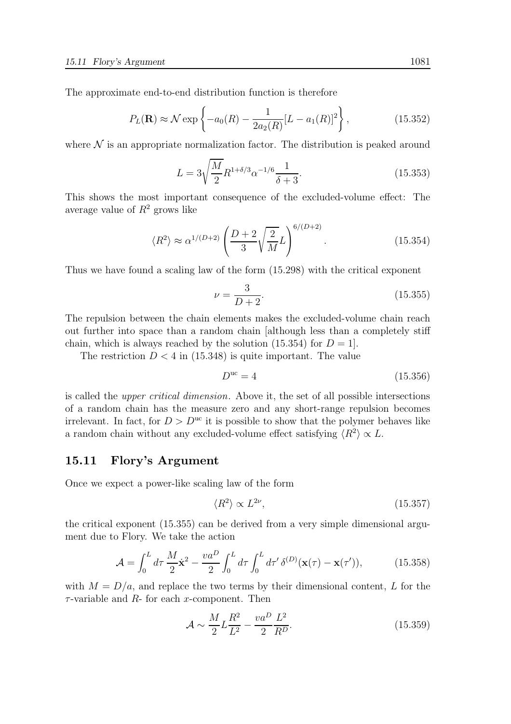The approximate end-to-end distribution function is therefore

$$
P_L(\mathbf{R}) \approx \mathcal{N} \exp\left\{-a_0(R) - \frac{1}{2a_2(R)}[L - a_1(R)]^2\right\},\tag{15.352}
$$

where  $\mathcal N$  is an appropriate normalization factor. The distribution is peaked around

$$
L = 3\sqrt{\frac{M}{2}}R^{1+\delta/3}\alpha^{-1/6}\frac{1}{\delta+3}.\tag{15.353}
$$

This shows the most important consequence of the excluded-volume effect: The average value of  $R^2$  grows like

$$
\langle R^2 \rangle \approx \alpha^{1/(D+2)} \left( \frac{D+2}{3} \sqrt{\frac{2}{M}} L \right)^{6/(D+2)}.
$$
 (15.354)

Thus we have found a scaling law of the form (15.298) with the critical exponent

$$
\nu = \frac{3}{D+2}.\tag{15.355}
$$

The repulsion between the chain elements makes the excluded-volume chain reach out further into space than a random chain [although less than a completely stiff chain, which is always reached by the solution  $(15.354)$  for  $D = 1$ .

The restriction  $D < 4$  in (15.348) is quite important. The value

$$
D^{\rm uc} = 4\tag{15.356}
$$

is called the upper critical dimension. Above it, the set of all possible intersections of a random chain has the measure zero and any short-range repulsion becomes irrelevant. In fact, for  $D > D^{\text{uc}}$  it is possible to show that the polymer behaves like a random chain without any excluded-volume effect satisfying  $\langle R^2 \rangle \propto L$ .

#### 15.11 Flory's Argument

Once we expect a power-like scaling law of the form

$$
\langle R^2 \rangle \propto L^{2\nu},\tag{15.357}
$$

the critical exponent (15.355) can be derived from a very simple dimensional argument due to Flory. We take the action

$$
\mathcal{A} = \int_0^L d\tau \, \frac{M}{2} \dot{\mathbf{x}}^2 - \frac{va^D}{2} \int_0^L d\tau \int_0^L d\tau' \, \delta^{(D)}(\mathbf{x}(\tau) - \mathbf{x}(\tau')), \tag{15.358}
$$

with  $M = D/a$ , and replace the two terms by their dimensional content, L for the  $\tau$ -variable and  $R$ - for each x-component. Then

$$
\mathcal{A} \sim \frac{M}{2} L \frac{R^2}{L^2} - \frac{va^D}{2} \frac{L^2}{R^D}.
$$
\n(15.359)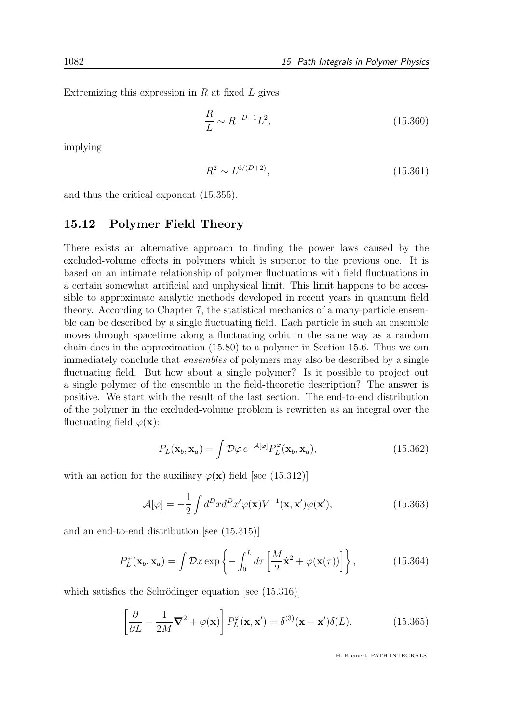Extremizing this expression in  $R$  at fixed  $L$  gives

$$
\frac{R}{L} \sim R^{-D-1} L^2,\tag{15.360}
$$

implying

$$
R^2 \sim L^{6/(D+2)},\tag{15.361}
$$

and thus the critical exponent (15.355).

#### 15.12 Polymer Field Theory

There exists an alternative approach to finding the power laws caused by the excluded-volume effects in polymers which is superior to the previous one. It is based on an intimate relationship of polymer fluctuations with field fluctuations in a certain somewhat artificial and unphysical limit. This limit happens to be accessible to approximate analytic methods developed in recent years in quantum field theory. According to Chapter 7, the statistical mechanics of a many-particle ensemble can be described by a single fluctuating field. Each particle in such an ensemble moves through spacetime along a fluctuating orbit in the same way as a random chain does in the approximation (15.80) to a polymer in Section 15.6. Thus we can immediately conclude that ensembles of polymers may also be described by a single fluctuating field. But how about a single polymer? Is it possible to project out a single polymer of the ensemble in the field-theoretic description? The answer is positive. We start with the result of the last section. The end-to-end distribution of the polymer in the excluded-volume problem is rewritten as an integral over the fluctuating field  $\varphi(\mathbf{x})$ :

$$
P_L(\mathbf{x}_b, \mathbf{x}_a) = \int \mathcal{D}\varphi \, e^{-\mathcal{A}[\varphi]} P_L^{\varphi}(\mathbf{x}_b, \mathbf{x}_a), \tag{15.362}
$$

with an action for the auxiliary  $\varphi(\mathbf{x})$  field [see (15.312)]

$$
\mathcal{A}[\varphi] = -\frac{1}{2} \int d^D x d^D x' \varphi(\mathbf{x}) V^{-1}(\mathbf{x}, \mathbf{x}') \varphi(\mathbf{x}'), \qquad (15.363)
$$

and an end-to-end distribution [see (15.315)]

$$
P_L^{\varphi}(\mathbf{x}_b, \mathbf{x}_a) = \int \mathcal{D}x \exp\left\{-\int_0^L d\tau \left[\frac{M}{2}\dot{\mathbf{x}}^2 + \varphi(\mathbf{x}(\tau))\right]\right\},\tag{15.364}
$$

which satisfies the Schrödinger equation [see  $(15.316)$ ]

$$
\left[\frac{\partial}{\partial L} - \frac{1}{2M}\nabla^2 + \varphi(\mathbf{x})\right] P_L^{\varphi}(\mathbf{x}, \mathbf{x}') = \delta^{(3)}(\mathbf{x} - \mathbf{x}')\delta(L). \tag{15.365}
$$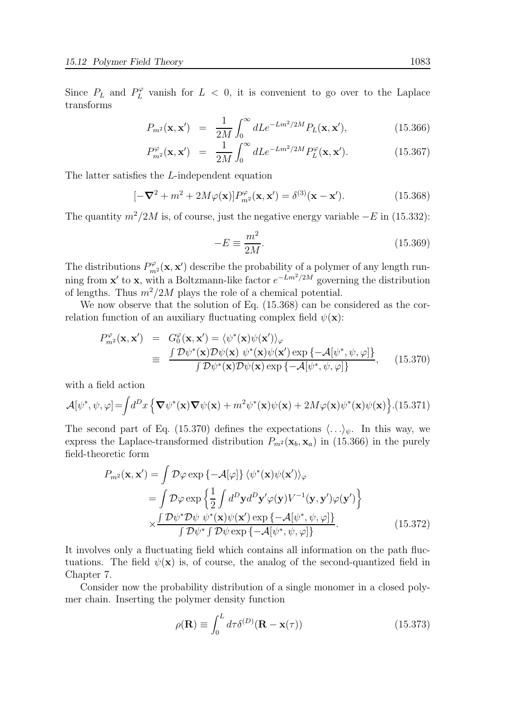Since  $P_L$  and  $P_L^{\varphi}$  vanish for  $L < 0$ , it is convenient to go over to the Laplace transforms

$$
P_{m^2}(\mathbf{x}, \mathbf{x}') = \frac{1}{2M} \int_0^\infty dL e^{-Lm^2/2M} P_L(\mathbf{x}, \mathbf{x}'), \qquad (15.366)
$$

$$
P_{m^2}^{\varphi}(\mathbf{x}, \mathbf{x}') = \frac{1}{2M} \int_0^{\infty} dL e^{-Lm^2/2M} P_L^{\varphi}(\mathbf{x}, \mathbf{x}'). \qquad (15.367)
$$

The latter satisfies the L-independent equation

$$
[-\nabla^2 + m^2 + 2M\varphi(\mathbf{x})]P_{m^2}^{\varphi}(\mathbf{x}, \mathbf{x}') = \delta^{(3)}(\mathbf{x} - \mathbf{x}'). \qquad (15.368)
$$

The quantity  $m^2/2M$  is, of course, just the negative energy variable  $-E$  in (15.332):

$$
-E \equiv \frac{m^2}{2M}.\tag{15.369}
$$

The distributions  $P_{m}^{\varphi}(\mathbf{x}, \mathbf{x}')$  describe the probability of a polymer of any length running from **x'** to **x**, with a Boltzmann-like factor  $e^{-Lm^2/2M}$  governing the distribution of lengths. Thus  $m^2/2M$  plays the role of a chemical potential.

We now observe that the solution of Eq. (15.368) can be considered as the correlation function of an auxiliary fluctuating complex field  $\psi(\mathbf{x})$ :

$$
P_{m^2}^{\varphi}(\mathbf{x}, \mathbf{x}') = G_0^{\varphi}(\mathbf{x}, \mathbf{x}') = \langle \psi^*(\mathbf{x}) \psi(\mathbf{x}') \rangle_{\varphi}
$$
  
\n
$$
\equiv \frac{\int \mathcal{D}\psi^*(\mathbf{x}) \mathcal{D}\psi(\mathbf{x}) \psi^*(\mathbf{x}) \psi(\mathbf{x}') \exp \{-\mathcal{A}[\psi^*, \psi, \varphi] \}}{\int \mathcal{D}\psi^*(\mathbf{x}) \mathcal{D}\psi(\mathbf{x}) \exp \{-\mathcal{A}[\psi^*, \psi, \varphi] \}}, \quad (15.370)
$$

with a field action

$$
\mathcal{A}[\psi^*, \psi, \varphi] = \int d^D x \left\{ \nabla \psi^*(\mathbf{x}) \nabla \psi(\mathbf{x}) + m^2 \psi^*(\mathbf{x}) \psi(\mathbf{x}) + 2M\varphi(\mathbf{x}) \psi^*(\mathbf{x}) \psi(\mathbf{x}) \right\} . (15.371)
$$

The second part of Eq. (15.370) defines the expectations  $\langle \ldots \rangle_{\psi}$ . In this way, we express the Laplace-transformed distribution  $P_{m^2}(\mathbf{x}_b, \mathbf{x}_a)$  in (15.366) in the purely field-theoretic form

$$
P_{m^2}(\mathbf{x}, \mathbf{x}') = \int \mathcal{D}\varphi \exp\left\{-\mathcal{A}[\varphi]\right\} \langle \psi^*(\mathbf{x})\psi(\mathbf{x}') \rangle_{\varphi}
$$
  
\n
$$
= \int \mathcal{D}\varphi \exp\left\{\frac{1}{2} \int d^D \mathbf{y} d^D \mathbf{y}' \varphi(\mathbf{y}) V^{-1}(\mathbf{y}, \mathbf{y}') \varphi(\mathbf{y}')\right\}
$$
  
\n
$$
\times \frac{\int \mathcal{D}\psi^* \mathcal{D}\psi \ \psi^*(\mathbf{x})\psi(\mathbf{x}') \exp\left\{-\mathcal{A}[\psi^*, \psi, \varphi]\right\}}{\int \mathcal{D}\psi^* \int \mathcal{D}\psi \exp\left\{-\mathcal{A}[\psi^*, \psi, \varphi]\right\}}.
$$
 (15.372)

It involves only a fluctuating field which contains all information on the path fluctuations. The field  $\psi(\mathbf{x})$  is, of course, the analog of the second-quantized field in Chapter 7.

Consider now the probability distribution of a single monomer in a closed polymer chain. Inserting the polymer density function

$$
\rho(\mathbf{R}) \equiv \int_0^L d\tau \delta^{(D)}(\mathbf{R} - \mathbf{x}(\tau))
$$
\n(15.373)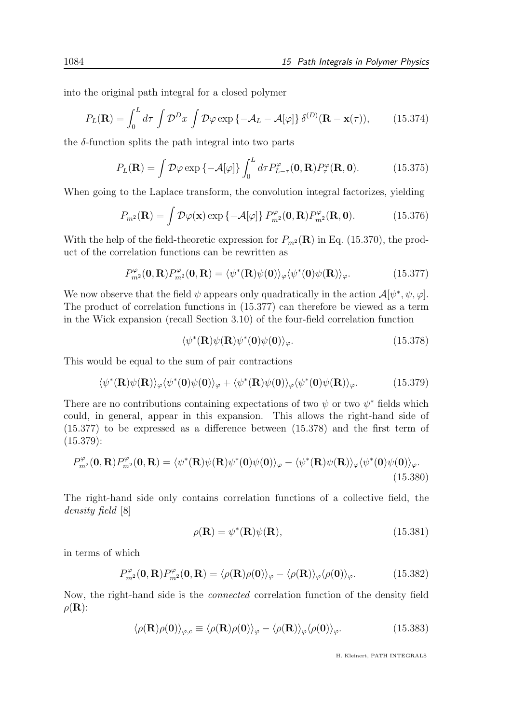into the original path integral for a closed polymer

$$
P_L(\mathbf{R}) = \int_0^L d\tau \int \mathcal{D}^D x \int \mathcal{D}\varphi \exp\left\{-\mathcal{A}_L - \mathcal{A}[\varphi]\right\} \delta^{(D)}(\mathbf{R} - \mathbf{x}(\tau)),\tag{15.374}
$$

the  $\delta$ -function splits the path integral into two parts

$$
P_L(\mathbf{R}) = \int \mathcal{D}\varphi \exp\left\{-\mathcal{A}[\varphi]\right\} \int_0^L d\tau P_{L-\tau}^{\varphi}(\mathbf{0}, \mathbf{R}) P_{\tau}^{\varphi}(\mathbf{R}, \mathbf{0}). \tag{15.375}
$$

When going to the Laplace transform, the convolution integral factorizes, yielding

$$
P_{m^2}(\mathbf{R}) = \int \mathcal{D}\varphi(\mathbf{x}) \exp\left\{-\mathcal{A}[\varphi]\right\} P_{m^2}^{\varphi}(\mathbf{0}, \mathbf{R}) P_{m^2}^{\varphi}(\mathbf{R}, \mathbf{0}). \tag{15.376}
$$

With the help of the field-theoretic expression for  $P_{m^2}(\mathbf{R})$  in Eq. (15.370), the product of the correlation functions can be rewritten as

$$
P_{m^2}^{\varphi}(\mathbf{0}, \mathbf{R}) P_{m^2}^{\varphi}(\mathbf{0}, \mathbf{R}) = \langle \psi^*(\mathbf{R}) \psi(\mathbf{0}) \rangle_{\varphi} \langle \psi^*(\mathbf{0}) \psi(\mathbf{R}) \rangle_{\varphi}.
$$
 (15.377)

We now observe that the field  $\psi$  appears only quadratically in the action  $\mathcal{A}[\psi^*, \psi, \varphi]$ . The product of correlation functions in (15.377) can therefore be viewed as a term in the Wick expansion (recall Section 3.10) of the four-field correlation function

$$
\langle \psi^*(\mathbf{R})\psi(\mathbf{R})\psi^*(0)\psi(0)\rangle_{\varphi}.\tag{15.378}
$$

This would be equal to the sum of pair contractions

$$
\langle \psi^*(\mathbf{R})\psi(\mathbf{R})\rangle_{\varphi} \langle \psi^*(0)\psi(0)\rangle_{\varphi} + \langle \psi^*(\mathbf{R})\psi(0)\rangle_{\varphi} \langle \psi^*(0)\psi(\mathbf{R})\rangle_{\varphi}.
$$
 (15.379)

There are no contributions containing expectations of two  $\psi$  or two  $\psi^*$  fields which could, in general, appear in this expansion. This allows the right-hand side of (15.377) to be expressed as a difference between (15.378) and the first term of (15.379):

$$
P_{m^2}^{\varphi}(\mathbf{0}, \mathbf{R}) P_{m^2}^{\varphi}(\mathbf{0}, \mathbf{R}) = \langle \psi^*(\mathbf{R}) \psi(\mathbf{R}) \psi^*(\mathbf{0}) \psi(\mathbf{0}) \rangle_{\varphi} - \langle \psi^*(\mathbf{R}) \psi(\mathbf{R}) \rangle_{\varphi} \langle \psi^*(\mathbf{0}) \psi(\mathbf{0}) \rangle_{\varphi}.
$$
\n(15.380)

The right-hand side only contains correlation functions of a collective field, the density field [8]

$$
\rho(\mathbf{R}) = \psi^*(\mathbf{R})\psi(\mathbf{R}),\tag{15.381}
$$

in terms of which

$$
P_{m^2}^{\varphi}(\mathbf{0}, \mathbf{R}) P_{m^2}^{\varphi}(\mathbf{0}, \mathbf{R}) = \langle \rho(\mathbf{R}) \rho(\mathbf{0}) \rangle_{\varphi} - \langle \rho(\mathbf{R}) \rangle_{\varphi} \langle \rho(\mathbf{0}) \rangle_{\varphi}.
$$
 (15.382)

Now, the right-hand side is the connected correlation function of the density field  $\rho(\mathbf{R})$ :

$$
\langle \rho(\mathbf{R}) \rho(\mathbf{0}) \rangle_{\varphi,c} \equiv \langle \rho(\mathbf{R}) \rho(\mathbf{0}) \rangle_{\varphi} - \langle \rho(\mathbf{R}) \rangle_{\varphi} \langle \rho(\mathbf{0}) \rangle_{\varphi}.
$$
 (15.383)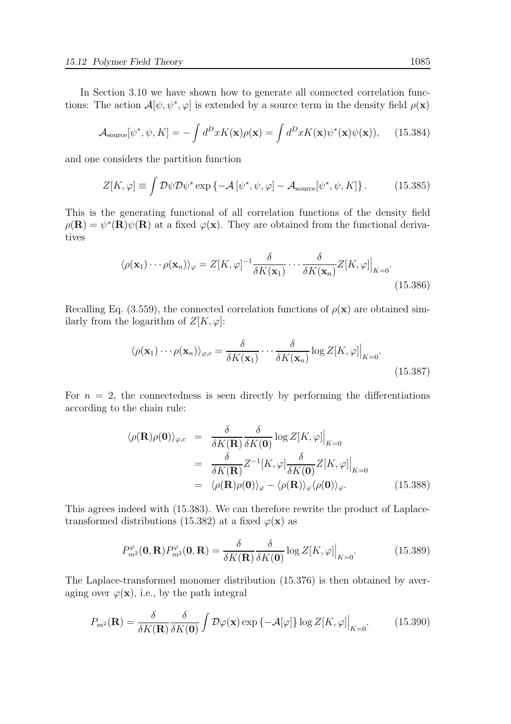In Section 3.10 we have shown how to generate all connected correlation functions: The action  $\mathcal{A}[\psi, \psi^*, \varphi]$  is extended by a source term in the density field  $\rho(\mathbf{x})$ 

$$
\mathcal{A}_{\text{source}}[\psi^*, \psi, K] = -\int d^D x K(\mathbf{x}) \rho(\mathbf{x}) = \int d^D x K(\mathbf{x}) \psi^*(\mathbf{x}) \psi(\mathbf{x})), \quad (15.384)
$$

and one considers the partition function

$$
Z[K, \varphi] \equiv \int \mathcal{D}\psi \mathcal{D}\psi^* \exp\left\{-\mathcal{A}\left[\psi^*, \psi, \varphi\right] - \mathcal{A}_{\text{source}}[\psi^*, \psi, K]\right\}.
$$
 (15.385)

This is the generating functional of all correlation functions of the density field  $\rho(\mathbf{R}) = \psi^*(\mathbf{R})\psi(\mathbf{R})$  at a fixed  $\varphi(\mathbf{x})$ . They are obtained from the functional derivatives

$$
\langle \rho(\mathbf{x}_1) \cdots \rho(\mathbf{x}_n) \rangle_{\varphi} = Z[K, \varphi]^{-1} \frac{\delta}{\delta K(\mathbf{x}_1)} \cdots \frac{\delta}{\delta K(\mathbf{x}_n)} Z[K, \varphi] \Big|_{K=0}.
$$
\n(15.386)

Recalling Eq. (3.559), the connected correlation functions of  $\rho(\mathbf{x})$  are obtained similarly from the logarithm of  $Z[K, \varphi]$ :

$$
\langle \rho(\mathbf{x}_1) \cdots \rho(\mathbf{x}_n) \rangle_{\varphi,c} = \frac{\delta}{\delta K(\mathbf{x}_1)} \cdots \frac{\delta}{\delta K(\mathbf{x}_n)} \log Z[K, \varphi] \Big|_{K=0}.
$$
\n(15.387)

For  $n = 2$ , the connectedness is seen directly by performing the differentiations according to the chain rule:

$$
\langle \rho(\mathbf{R}) \rho(\mathbf{0}) \rangle_{\varphi,c} = \frac{\delta}{\delta K(\mathbf{R})} \frac{\delta}{\delta K(\mathbf{0})} \log Z[K, \varphi] \Big|_{K=0}
$$
  
= 
$$
\frac{\delta}{\delta K(\mathbf{R})} Z^{-1}[K, \varphi] \frac{\delta}{\delta K(\mathbf{0})} Z[K, \varphi] \Big|_{K=0}
$$
  
= 
$$
\langle \rho(\mathbf{R}) \rho(\mathbf{0}) \rangle_{\varphi} - \langle \rho(\mathbf{R}) \rangle_{\varphi} \langle \rho(\mathbf{0}) \rangle_{\varphi}.
$$
 (15.388)

This agrees indeed with (15.383). We can therefore rewrite the product of Laplacetransformed distributions (15.382) at a fixed  $\varphi(\mathbf{x})$  as

$$
P_{m^2}^{\varphi}(\mathbf{0}, \mathbf{R}) P_{m^2}^{\varphi}(\mathbf{0}, \mathbf{R}) = \frac{\delta}{\delta K(\mathbf{R})} \frac{\delta}{\delta K(\mathbf{0})} \log Z[K, \varphi] \Big|_{K=0}.
$$
 (15.389)

The Laplace-transformed monomer distribution (15.376) is then obtained by averaging over  $\varphi(\mathbf{x})$ , i.e., by the path integral

$$
P_{m^2}(\mathbf{R}) = \frac{\delta}{\delta K(\mathbf{R})} \frac{\delta}{\delta K(\mathbf{0})} \int \mathcal{D}\varphi(\mathbf{x}) \exp\left\{-\mathcal{A}[\varphi]\right\} \log Z[K, \varphi]\Big|_{K=0}.\tag{15.390}
$$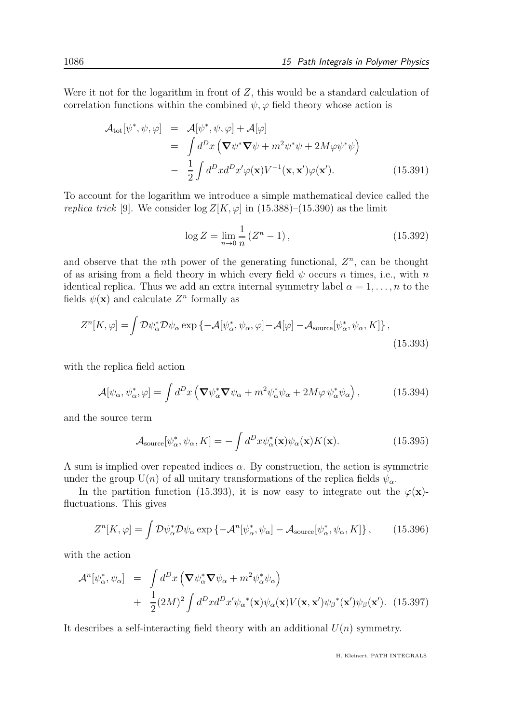Were it not for the logarithm in front of  $Z$ , this would be a standard calculation of correlation functions within the combined  $\psi$ ,  $\varphi$  field theory whose action is

$$
\mathcal{A}_{\text{tot}}[\psi^*, \psi, \varphi] = \mathcal{A}[\psi^*, \psi, \varphi] + \mathcal{A}[\varphi]
$$
  
\n
$$
= \int d^D x \left( \nabla \psi^* \nabla \psi + m^2 \psi^* \psi + 2M \varphi \psi^* \psi \right)
$$
  
\n
$$
- \frac{1}{2} \int d^D x d^D x' \varphi(\mathbf{x}) V^{-1}(\mathbf{x}, \mathbf{x}') \varphi(\mathbf{x}'). \qquad (15.391)
$$

To account for the logarithm we introduce a simple mathematical device called the replica trick [9]. We consider  $\log Z[K, \varphi]$  in (15.388)–(15.390) as the limit

$$
\log Z = \lim_{n \to 0} \frac{1}{n} (Z^n - 1), \tag{15.392}
$$

and observe that the *n*th power of the generating functional,  $Z<sup>n</sup>$ , can be thought of as arising from a field theory in which every field  $\psi$  occurs n times, i.e., with n identical replica. Thus we add an extra internal symmetry label  $\alpha = 1, \ldots, n$  to the fields  $\psi(\mathbf{x})$  and calculate  $Z^n$  formally as

$$
Z^{n}[K,\varphi] = \int \mathcal{D}\psi_{\alpha}^{*} \mathcal{D}\psi_{\alpha} \exp \{-\mathcal{A}[\psi_{\alpha}^{*}, \psi_{\alpha}, \varphi] - \mathcal{A}[\varphi] - \mathcal{A}_{\text{source}}[\psi_{\alpha}^{*}, \psi_{\alpha}, K] \},\tag{15.393}
$$

with the replica field action

$$
\mathcal{A}[\psi_{\alpha}, \psi_{\alpha}^*, \varphi] = \int d^D x \left( \nabla \psi_{\alpha}^* \nabla \psi_{\alpha} + m^2 \psi_{\alpha}^* \psi_{\alpha} + 2M\varphi \, \psi_{\alpha}^* \psi_{\alpha} \right), \tag{15.394}
$$

and the source term

$$
\mathcal{A}_{\text{source}}[\psi_{\alpha}^*, \psi_{\alpha}, K] = -\int d^D x \psi_{\alpha}^*(\mathbf{x}) \psi_{\alpha}(\mathbf{x}) K(\mathbf{x}). \tag{15.395}
$$

A sum is implied over repeated indices  $\alpha$ . By construction, the action is symmetric under the group U(n) of all unitary transformations of the replica fields  $\psi_{\alpha}$ .

In the partition function (15.393), it is now easy to integrate out the  $\varphi(\mathbf{x})$ fluctuations. This gives

$$
Z^{n}[K,\varphi] = \int \mathcal{D}\psi_{\alpha}^{*} \mathcal{D}\psi_{\alpha} \exp \left\{ -\mathcal{A}^{n}[\psi_{\alpha}^{*},\psi_{\alpha}] - \mathcal{A}_{\text{source}}[\psi_{\alpha}^{*},\psi_{\alpha},K] \right\},\qquad(15.396)
$$

with the action

$$
\mathcal{A}^{n}[\psi_{\alpha}^{*}, \psi_{\alpha}] = \int d^{D}x \left( \nabla \psi_{\alpha}^{*} \nabla \psi_{\alpha} + m^{2} \psi_{\alpha}^{*} \psi_{\alpha} \right) \n+ \frac{1}{2} (2M)^{2} \int d^{D}x d^{D}x' \psi_{\alpha}^{*}(\mathbf{x}) \psi_{\alpha}(\mathbf{x}) V(\mathbf{x}, \mathbf{x}') \psi_{\beta}^{*}(\mathbf{x}') \psi_{\beta}(\mathbf{x}'). \quad (15.397)
$$

It describes a self-interacting field theory with an additional  $U(n)$  symmetry.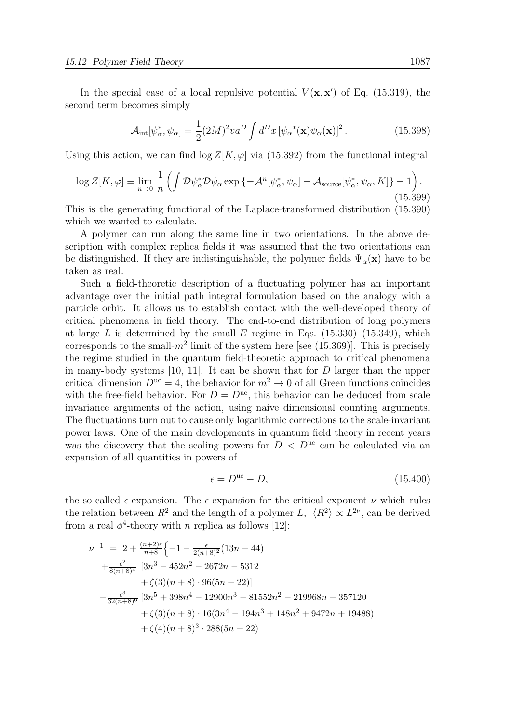In the special case of a local repulsive potential  $V(\mathbf{x}, \mathbf{x}')$  of Eq. (15.319), the second term becomes simply

$$
\mathcal{A}_{\rm int}[\psi_{\alpha}^*, \psi_{\alpha}] = \frac{1}{2} (2M)^2 v a^D \int d^D x \left[ \psi_{\alpha}^*(\mathbf{x}) \psi_{\alpha}(\mathbf{x}) \right]^2.
$$
 (15.398)

Using this action, we can find  $\log Z[K, \varphi]$  via (15.392) from the functional integral

$$
\log Z[K,\varphi] \equiv \lim_{n \to 0} \frac{1}{n} \left( \int \mathcal{D}\psi_{\alpha}^* \mathcal{D}\psi_{\alpha} \exp \left\{ -\mathcal{A}^n[\psi_{\alpha}^*, \psi_{\alpha}] - \mathcal{A}_{\text{source}}[\psi_{\alpha}^*, \psi_{\alpha}, K] \right\} - 1 \right). \tag{15.399}
$$

This is the generating functional of the Laplace-transformed distribution (15.390) which we wanted to calculate.

A polymer can run along the same line in two orientations. In the above description with complex replica fields it was assumed that the two orientations can be distinguished. If they are indistinguishable, the polymer fields  $\Psi_{\alpha}(\mathbf{x})$  have to be taken as real.

Such a field-theoretic description of a fluctuating polymer has an important advantage over the initial path integral formulation based on the analogy with a particle orbit. It allows us to establish contact with the well-developed theory of critical phenomena in field theory. The end-to-end distribution of long polymers at large L is determined by the small- $E$  regime in Eqs. (15.330)–(15.349), which corresponds to the small- $m^2$  limit of the system here [see (15.369)]. This is precisely the regime studied in the quantum field-theoretic approach to critical phenomena in many-body systems [10, 11]. It can be shown that for  $D$  larger than the upper critical dimension  $D^{uc} = 4$ , the behavior for  $m^2 \to 0$  of all Green functions coincides with the free-field behavior. For  $D = D<sup>uc</sup>$ , this behavior can be deduced from scale invariance arguments of the action, using naive dimensional counting arguments. The fluctuations turn out to cause only logarithmic corrections to the scale-invariant power laws. One of the main developments in quantum field theory in recent years was the discovery that the scaling powers for  $D < D<sup>uc</sup>$  can be calculated via an expansion of all quantities in powers of

$$
\epsilon = D^{\text{uc}} - D,\tag{15.400}
$$

the so-called  $\epsilon$ -expansion. The  $\epsilon$ -expansion for the critical exponent  $\nu$  which rules the relation between  $R^2$  and the length of a polymer L,  $\langle R^2 \rangle \propto L^{2\nu}$ , can be derived from a real  $\phi^4$ -theory with n replica as follows [12]:

$$
\nu^{-1} = 2 + \frac{(n+2)\epsilon}{n+8} \left\{ -1 - \frac{\epsilon}{2(n+8)^2} (13n+44) + \frac{\epsilon^2}{8(n+8)^4} [3n^3 - 452n^2 - 2672n - 5312 + \zeta(3)(n+8) \cdot 96(5n+22)] + \frac{\epsilon^3}{32(n+8)^6} [3n^5 + 398n^4 - 12900n^3 - 81552n^2 - 219968n - 357120 + \zeta(3)(n+8) \cdot 16(3n^4 - 194n^3 + 148n^2 + 9472n + 19488) + \zeta(4)(n+8)^3 \cdot 288(5n+22)
$$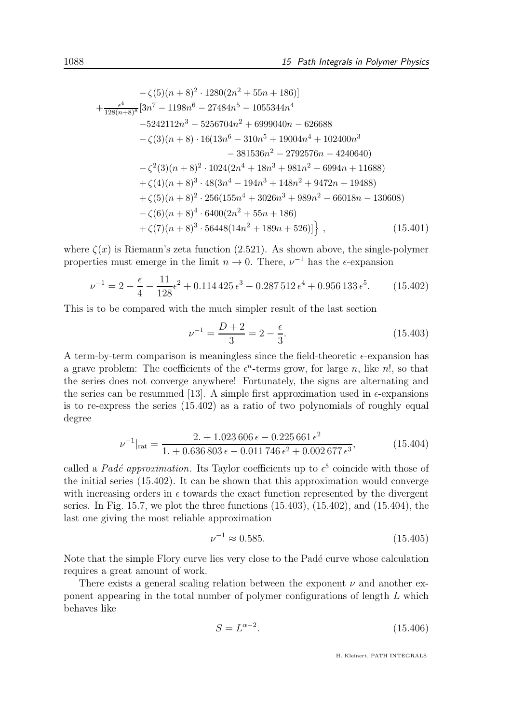$$
-\zeta(5)(n+8)^2 \cdot 1280(2n^2+55n+186)
$$
  
+ 
$$
\frac{\epsilon^4}{128(n+8)^8} [3n^7 - 1198n^6 - 27484n^5 - 1055344n^4
$$
  
-5242112n<sup>3</sup> - 5256704n<sup>2</sup> + 6999040n - 626688  
- 
$$
\zeta(3)(n+8) \cdot 16(13n^6 - 310n^5 + 19004n^4 + 102400n^3
$$
  
- 381536n<sup>2</sup> - 2792576n - 4240640)  
- 
$$
\zeta^2(3)(n+8)^2 \cdot 1024(2n^4 + 18n^3 + 981n^2 + 6994n + 11688)
$$
  
+ 
$$
\zeta(4)(n+8)^3 \cdot 48(3n^4 - 194n^3 + 148n^2 + 9472n + 19488)
$$
  
+ 
$$
\zeta(5)(n+8)^2 \cdot 256(155n^4 + 3026n^3 + 989n^2 - 66018n - 130608)
$$
  
- 
$$
\zeta(6)(n+8)^4 \cdot 6400(2n^2 + 55n + 186)
$$
  
+ 
$$
\zeta(7)(n+8)^3 \cdot 56448(14n^2 + 189n + 526)]
$$
, (15.401)

where  $\zeta(x)$  is Riemann's zeta function (2.521). As shown above, the single-polymer properties must emerge in the limit  $n \to 0$ . There,  $\nu^{-1}$  has the  $\epsilon$ -expansion

$$
\nu^{-1} = 2 - \frac{\epsilon}{4} - \frac{11}{128}\epsilon^2 + 0.114425\epsilon^3 - 0.287512\epsilon^4 + 0.956133\epsilon^5. \tag{15.402}
$$

This is to be compared with the much simpler result of the last section

$$
\nu^{-1} = \frac{D+2}{3} = 2 - \frac{\epsilon}{3}.
$$
\n(15.403)

A term-by-term comparison is meaningless since the field-theoretic  $\epsilon$ -expansion has a grave problem: The coefficients of the  $\epsilon^n$ -terms grow, for large n, like n!, so that the series does not converge anywhere! Fortunately, the signs are alternating and the series can be resummed [13]. A simple first approximation used in  $\epsilon$ -expansions is to re-express the series (15.402) as a ratio of two polynomials of roughly equal degree

$$
\nu^{-1}|_{\text{rat}} = \frac{2. + 1.023\,606\,\epsilon - 0.225\,661\,\epsilon^2}{1. + 0.636\,803\,\epsilon - 0.011\,746\,\epsilon^2 + 0.002\,677\,\epsilon^3},\tag{15.404}
$$

called a *Padé approximation*. Its Taylor coefficients up to  $\epsilon^5$  coincide with those of the initial series (15.402). It can be shown that this approximation would converge with increasing orders in  $\epsilon$  towards the exact function represented by the divergent series. In Fig. 15.7, we plot the three functions (15.403), (15.402), and (15.404), the last one giving the most reliable approximation

$$
\nu^{-1} \approx 0.585. \tag{15.405}
$$

Note that the simple Flory curve lies very close to the Padé curve whose calculation requires a great amount of work.

There exists a general scaling relation between the exponent  $\nu$  and another exponent appearing in the total number of polymer configurations of length L which behaves like

$$
S = L^{\alpha - 2}.\tag{15.406}
$$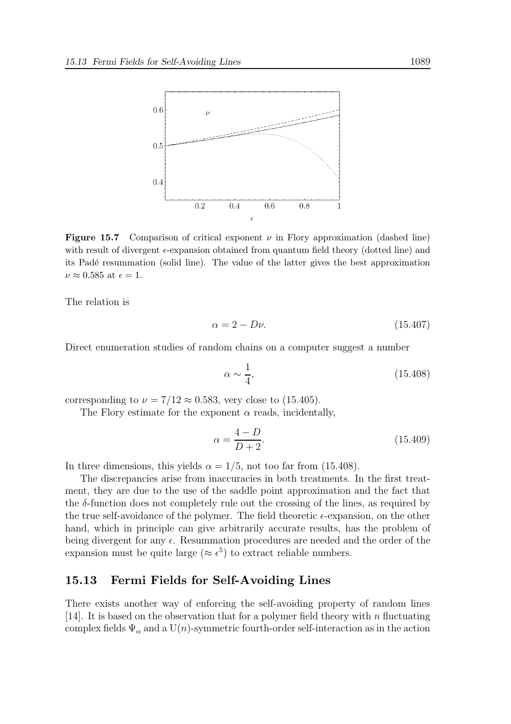

**Figure 15.7** Comparison of critical exponent  $\nu$  in Flory approximation (dashed line) with result of divergent  $\epsilon$ -expansion obtained from quantum field theory (dotted line) and its Padé resummation (solid line). The value of the latter gives the best approximation  $\nu \approx 0.585$  at  $\epsilon = 1$ .

The relation is

$$
\alpha = 2 - D\nu. \tag{15.407}
$$

Direct enumeration studies of random chains on a computer suggest a number

$$
\alpha \sim \frac{1}{4},\tag{15.408}
$$

corresponding to  $\nu = 7/12 \approx 0.583$ , very close to (15.405).

The Flory estimate for the exponent  $\alpha$  reads, incidentally,

$$
\alpha = \frac{4 - D}{D + 2}.\tag{15.409}
$$

In three dimensions, this yields  $\alpha = 1/5$ , not too far from (15.408).

The discrepancies arise from inaccuracies in both treatments. In the first treatment, they are due to the use of the saddle point approximation and the fact that the  $\delta$ -function does not completely rule out the crossing of the lines, as required by the true self-avoidance of the polymer. The field theoretic  $\epsilon$ -expansion, on the other hand, which in principle can give arbitrarily accurate results, has the problem of being divergent for any  $\epsilon$ . Resummation procedures are needed and the order of the expansion must be quite large ( $\approx \epsilon^5$ ) to extract reliable numbers.

#### 15.13 Fermi Fields for Self-Avoiding Lines

There exists another way of enforcing the self-avoiding property of random lines [14]. It is based on the observation that for a polymer field theory with n fluctuating complex fields  $\Psi_{\alpha}$  and a U(n)-symmetric fourth-order self-interaction as in the action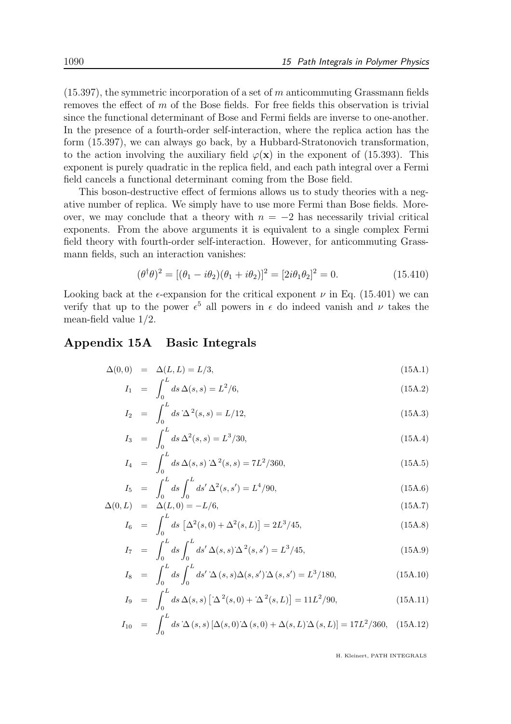$(15.397)$ , the symmetric incorporation of a set of m anticommuting Grassmann fields removes the effect of  $m$  of the Bose fields. For free fields this observation is trivial since the functional determinant of Bose and Fermi fields are inverse to one-another. In the presence of a fourth-order self-interaction, where the replica action has the form (15.397), we can always go back, by a Hubbard-Stratonovich transformation, to the action involving the auxiliary field  $\varphi(\mathbf{x})$  in the exponent of (15.393). This exponent is purely quadratic in the replica field, and each path integral over a Fermi field cancels a functional determinant coming from the Bose field.

This boson-destructive effect of fermions allows us to study theories with a negative number of replica. We simply have to use more Fermi than Bose fields. Moreover, we may conclude that a theory with  $n = -2$  has necessarily trivial critical exponents. From the above arguments it is equivalent to a single complex Fermi field theory with fourth-order self-interaction. However, for anticommuting Grassmann fields, such an interaction vanishes:

$$
(\theta^{\dagger}\theta)^{2} = [(\theta_{1} - i\theta_{2})(\theta_{1} + i\theta_{2})]^{2} = [2i\theta_{1}\theta_{2}]^{2} = 0.
$$
 (15.410)

Looking back at the  $\epsilon$ -expansion for the critical exponent  $\nu$  in Eq. (15.401) we can verify that up to the power  $\epsilon^5$  all powers in  $\epsilon$  do indeed vanish and  $\nu$  takes the mean-field value 1/2.

#### Appendix 15A Basic Integrals

$$
\Delta(0,0) = \Delta(L,L) = L/3,\tag{15A.1}
$$

$$
I_1 = \int_0^L ds \,\Delta(s,s) = L^2/6,\tag{15A.2}
$$

$$
I_2 = \int_0^L ds \,\Delta^2(s,s) = L/12,\tag{15A.3}
$$

$$
I_3 = \int_0^L ds \,\Delta^2(s,s) = L^3/30,\tag{15A.4}
$$

$$
I_4 = \int_0^L ds \,\Delta(s,s) \,\Delta^2(s,s) = 7L^2/360,\tag{15A.5}
$$

$$
I_5 = \int_0^L ds \int_0^L ds' \Delta^2(s, s') = L^4/90,
$$
\n(15A.6)

$$
\Delta(0, L) = \Delta(L, 0) = -L/6,\tag{15A.7}
$$

$$
I_6 = \int_0^L ds \left[ \Delta^2(s, 0) + \Delta^2(s, L) \right] = 2L^3/45,
$$
\n(15A.8)

$$
I_7 = \int_0^L ds \int_0^L ds' \, \Delta(s, s) \, \Delta^2(s, s') = L^3/45,\tag{15A.9}
$$

$$
I_8 = \int_0^L ds \int_0^L ds' \Delta(s, s) \Delta(s, s') \Delta(s, s') = L^3 / 180,
$$
\n(15A.10)

$$
I_9 = \int_0^L ds \,\Delta(s,s) \left[ \Delta^2(s,0) + \Delta^2(s,L) \right] = 11L^2/90,\tag{15A.11}
$$

$$
I_{10} = \int_0^L ds \,\Delta(s,s) \left[ \Delta(s,0) \,\Delta(s,0) + \Delta(s,L) \,\Delta(s,L) \right] = 17L^2/360, \quad (15A.12)
$$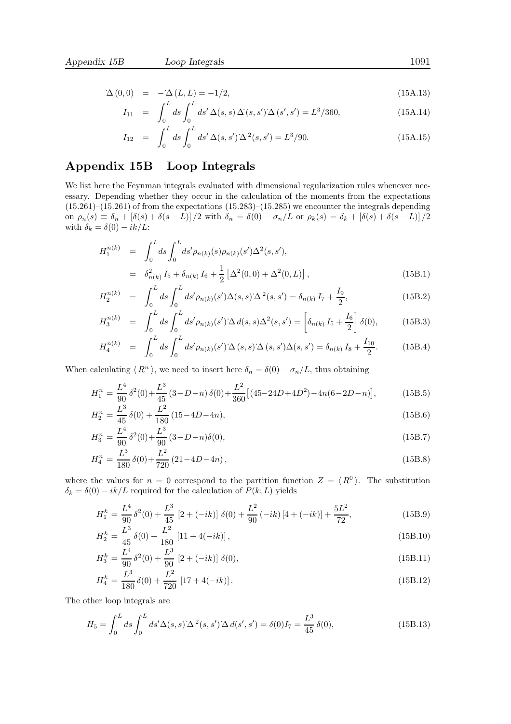$$
\Delta(0,0) = -\Delta(L,L) = -1/2, \qquad (15A.13)
$$

$$
I_{11} = \int_0^L ds \int_0^L ds' \Delta(s, s) \Delta(s, s') \Delta(s', s') = L^3/360,
$$
\n(15A.14)

$$
I_{12} = \int_0^L ds \int_0^L ds' \,\Delta(s, s') \,\Delta^2(s, s') = L^3/90. \tag{15A.15}
$$

## Appendix 15B Loop Integrals

We list here the Feynman integrals evaluated with dimensional regularization rules whenever necessary. Depending whether they occur in the calculation of the moments from the expectations  $(15.261)$ – $(15.261)$  of from the expectations  $(15.283)$ – $(15.285)$  we encounter the integrals depending on  $\rho_n(s) \equiv \delta_n + [\delta(s) + \delta(s - L)]/2$  with  $\delta_n = \delta(0) - \sigma_n/L$  or  $\rho_k(s) = \delta_k + [\delta(s) + \delta(s - L)]/2$ with  $\delta_k = \delta(0) - ik/L$ :

$$
H_1^{n(k)} = \int_0^L ds \int_0^L ds' \rho_{n(k)}(s) \rho_{n(k)}(s') \Delta^2(s, s'),
$$
  
=  $\delta_{n(k)}^2 I_5 + \delta_{n(k)} I_6 + \frac{1}{2} [\Delta^2(0, 0) + \Delta^2(0, L)],$  (15B.1)

$$
H_2^{n(k)} = \int_0^L ds \int_0^L ds' \rho_{n(k)}(s') \Delta(s, s) \Delta^2(s, s') = \delta_{n(k)} I_7 + \frac{I_9}{2},
$$
\n(15B.2)

$$
H_3^{n(k)} = \int_0^L ds \int_0^L ds' \rho_{n(k)}(s') \Delta d(s, s) \Delta^2(s, s') = \left[\delta_{n(k)} I_5 + \frac{I_6}{2}\right] \delta(0), \tag{15B.3}
$$

$$
H_4^{n(k)} = \int_0^L ds \int_0^L ds' \rho_{n(k)}(s') \Delta(s, s) \Delta(s, s') \Delta(s, s') = \delta_{n(k)} I_8 + \frac{I_{10}}{2}.
$$
 (15B.4)

When calculating  $\langle R^n \rangle$ , we need to insert here  $\delta_n = \delta(0) - \sigma_n/L$ , thus obtaining

$$
H_1^n = \frac{L^4}{90} \delta^2(0) + \frac{L^3}{45} (3 - D - n) \delta(0) + \frac{L^2}{360} \left[ (45 - 24D + 4D^2) - 4n(6 - 2D - n) \right],\tag{15B.5}
$$

$$
H_2^n = \frac{L^3}{45} \delta(0) + \frac{L^2}{180} (15 - 4D - 4n),
$$
\n(15B.6)

$$
H_3^n = \frac{L^4}{90} \delta^2(0) + \frac{L^3}{90} (3 - D - n) \delta(0),
$$
\n(15B.7)

$$
H_4^n = \frac{L^3}{180} \delta(0) + \frac{L^2}{720} (21 - 4D - 4n),
$$
\n(15B.8)

where the values for  $n = 0$  correspond to the partition function  $Z = \langle R^0 \rangle$ . The substitution  $\delta_k = \delta(0) - ik/L$  required for the calculation of  $P(k;L)$  yields

$$
H_1^k = \frac{L^4}{90} \delta^2(0) + \frac{L^3}{45} \left[2 + (-ik)\right] \delta(0) + \frac{L^2}{90} (-ik) \left[4 + (-ik)\right] + \frac{5L^2}{72},\tag{15B.9}
$$

$$
H_2^k = \frac{L^3}{45} \delta(0) + \frac{L^2}{180} [11 + 4(-ik)],
$$
\n(15B.10)

$$
H_3^k = \frac{L^4}{90} \delta^2(0) + \frac{L^3}{90} \left[2 + (-ik)\right] \delta(0),\tag{15B.11}
$$

$$
H_4^k = \frac{L^3}{180} \delta(0) + \frac{L^2}{720} [17 + 4(-ik)].
$$
\n(15B.12)

The other loop integrals are

$$
H_5 = \int_0^L ds \int_0^L ds' \Delta(s, s) \Delta^2(s, s') \Delta d(s', s') = \delta(0)I_7 = \frac{L^3}{45} \delta(0),
$$
\n(15B.13)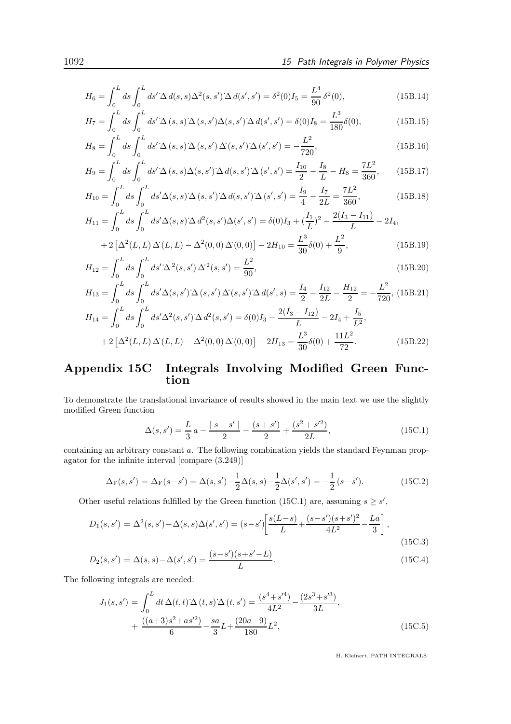72

$$
H_6 = \int_0^L ds \int_0^L ds' \Delta d(s, s) \Delta^2(s, s') \Delta d(s', s') = \delta^2(0) I_5 = \frac{L^4}{90} \delta^2(0),
$$
\n(15B.14)

$$
H_7 = \int_0^L ds \int_0^L ds' \Delta(s, s) \Delta(s, s') \Delta(s, s') \Delta(d(s', s') = \delta(0)I_8 = \frac{L^3}{180} \delta(0),
$$
(15B.15)

$$
H_8 = \int_0^L ds \int_0^L ds' \Delta(s, s) \Delta(s, s') \Delta(s, s') \Delta(s', s') = -\frac{L^2}{720},
$$
\n(15B.16)

$$
H_9 = \int_0^L ds \int_0^L ds' \Delta(s, s) \Delta(s, s') \Delta(d(s, s') \Delta(s', s') = \frac{I_{10}}{2} - \frac{I_8}{L} - H_8 = \frac{7L^2}{360},\qquad(15B.17)
$$

$$
H_{10} = \int_0^L ds \int_0^L ds' \Delta(s, s) \Delta(s, s') \Delta(d(s, s') \Delta(s', s') = \frac{I_9}{4} - \frac{I_7}{2L} = \frac{7L^2}{360},
$$
(15B.18)

$$
H_{11} = \int_0^L ds \int_0^L ds' \Delta(s, s) \Delta d^2(s, s') \Delta(s', s') = \delta(0)I_3 + (\frac{I_1}{L})^2 - \frac{2(I_3 - I_{11})}{L} - 2I_4,
$$
  
+2[ $\Delta^2(L, L) \Delta(L, L) - \Delta^2(0, 0) \Delta(0, 0)$ ] - 2H<sub>10</sub> =  $\frac{L^3}{30}\delta(0) + \frac{L^2}{9}$ , (15B.19)

$$
H_{12} = \int_0^L ds \int_0^L ds' \Delta^2(s, s') \Delta^2(s, s') = \frac{L^2}{90},
$$
\n(15B.20)

$$
H_{13} = \int_0^L ds \int_0^L ds' \Delta(s, s') \Delta(s, s') \Delta(s, s') \Delta(d(s', s) = \frac{I_4}{2} - \frac{I_{12}}{2L} - \frac{H_{12}}{2} = -\frac{L^2}{720}, (15B.21)
$$
  
\n
$$
H_{14} = \int_0^L ds \int_0^L ds' \Delta^2(s, s') \Delta d^2(s, s') = \delta(0)I_3 - \frac{2(I_3 - I_{12})}{L} - 2I_4 + \frac{I_5}{L^2},
$$
  
\n
$$
+ 2\left[\Delta^2(L, L) \Delta(L, L) - \Delta^2(0, 0) \Delta(0, 0)\right] - 2H_{13} = \frac{L^3}{30}\delta(0) + \frac{11L^2}{72}.
$$
 (15B.22)

#### Appendix 15C Integrals Involving Modified Green Function

To demonstrate the translational invariance of results showed in the main text we use the slightly modified Green function

$$
\Delta(s, s') = \frac{L}{3} a - \frac{|s - s'|}{2} - \frac{(s + s')}{2} + \frac{(s^2 + s'^2)}{2L},\tag{15C.1}
$$

containing an arbitrary constant a. The following combination yields the standard Feynman propagator for the infinite interval [compare (3.249)]

$$
\Delta_{\mathcal{F}}(s, s') = \Delta_{\mathcal{F}}(s - s') = \Delta(s, s') - \frac{1}{2}\Delta(s, s) - \frac{1}{2}\Delta(s', s') = -\frac{1}{2}(s - s'). \tag{15C.2}
$$

Other useful relations fulfilled by the Green function (15C.1) are, assuming  $s \geq s'$ ,

$$
D_1(s, s') = \Delta^2(s, s') - \Delta(s, s)\Delta(s', s') = (s - s') \left[ \frac{s(L - s)}{L} + \frac{(s - s')(s + s')^2}{4L^2} - \frac{La}{3} \right],
$$
\n(15C.3)

$$
D_2(s, s') = \Delta(s, s) - \Delta(s', s') = \frac{(s - s')(s + s' - L)}{L}.
$$
\n(15C.4)

The following integrals are needed:

$$
J_1(s, s') = \int_0^L dt \,\Delta(t, t) \,\Delta(t, s) \,\Delta(t, s') = \frac{(s^4 + s'^4)}{4L^2} - \frac{(2s^3 + s'^3)}{3L},
$$

$$
+ \frac{((a+3)s^2 + as'^2)}{6} - \frac{sa}{3}L + \frac{(20a - 9)}{180}L^2,
$$
(15C.5)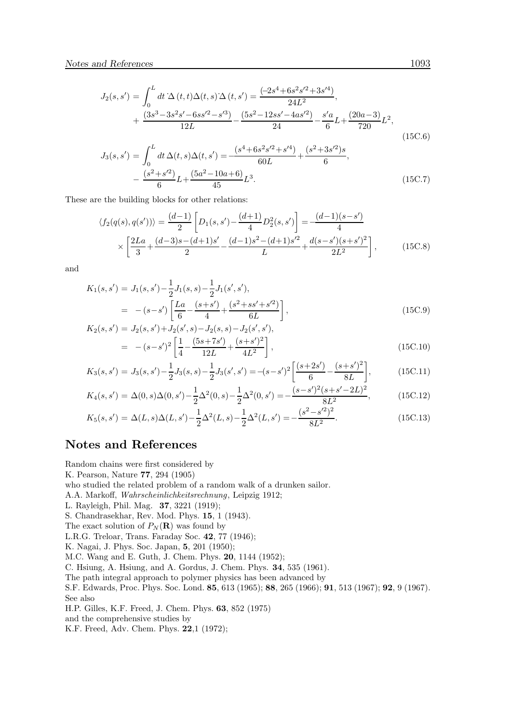$$
J_2(s, s') = \int_0^L dt \,\Delta(t, t) \Delta(t, s) \Delta(t, s') = \frac{(-2s^4 + 6s^2s'^2 + 3s'^4)}{24L^2},
$$
  
+ 
$$
\frac{(3s^3 - 3s^2s' - 6ss'^2 - s'^3)}{12L} - \frac{(5s^2 - 12ss' - 4as'^2)}{24} - \frac{s'a}{6}L + \frac{(20a - 3)}{720}L^2,
$$
  

$$
J_3(s, s') = \int_0^L dt \,\Delta(t, s) \Delta(t, s') = -\frac{(s^4 + 6s^2s'^2 + s'^4)}{60L} + \frac{(s^2 + 3s'^2)s}{6},
$$
  
- 
$$
\frac{(s^2 + s'^2)}{6}L + \frac{(5a^2 - 10a + 6)}{45}L^3.
$$
 (15C.7)

These are the building blocks for other relations:

−

$$
\langle f_2(q(s), q(s')) \rangle = \frac{(d-1)}{2} \left[ D_1(s, s') - \frac{(d+1)}{4} D_2^2(s, s') \right] = -\frac{(d-1)(s-s')}{4}
$$

$$
\times \left[ \frac{2La}{3} + \frac{(d-3)s - (d+1)s'}{2} - \frac{(d-1)s^2 - (d+1)s'^2}{L} + \frac{d(s-s')(s+s')^2}{2L^2} \right],
$$
(15C.8)

and

$$
K_1(s, s') = J_1(s, s') - \frac{1}{2}J_1(s, s) - \frac{1}{2}J_1(s', s'),
$$
  
=  $-(s-s')\left[\frac{La}{6} - \frac{(s+s')}{4} + \frac{(s^2+ss'+s'^2)}{6L}\right],$   

$$
K_2(s, s') = J_2(s, s') + J_2(s', s) - J_2(s, s) - J_2(s', s'),
$$
 (15C.9)

$$
s, s') = J_2(s, s') + J_2(s', s) - J_2(s, s) - J_2(s', s'),
$$
  
= 
$$
-(s - s')^2 \left[ \frac{1}{4} - \frac{(5s + 7s')}{12L} + \frac{(s + s')^2}{4L^2} \right],
$$
 (15C.10)

$$
K_3(s,s') = J_3(s,s') - \frac{1}{2}J_3(s,s) - \frac{1}{2}J_3(s',s') = -(s-s')^2 \left[ \frac{(s+2s')}{6} - \frac{(s+s')^2}{8L} \right],\tag{15C.11}
$$

$$
K_4(s, s') = \Delta(0, s)\Delta(0, s') - \frac{1}{2}\Delta^2(0, s) - \frac{1}{2}\Delta^2(0, s') = -\frac{(s - s')^2(s + s' - 2L)^2}{8L^2},
$$
(15C.12)

$$
K_5(s, s') = \Delta(L, s)\Delta(L, s') - \frac{1}{2}\Delta^2(L, s) - \frac{1}{2}\Delta^2(L, s') = -\frac{(s^2 - s'^2)^2}{8L^2}.
$$
\n(15C.13)

#### Notes and References

Random chains were first considered by

K. Pearson, Nature 77, 294 (1905)

who studied the related problem of a random walk of a drunken sailor.

A.A. Markoff, Wahrscheinlichkeitsrechnung, Leipzig 1912;

L. Rayleigh, Phil. Mag. 37, 3221 (1919);

S. Chandrasekhar, Rev. Mod. Phys. 15, 1 (1943).

The exact solution of  $P_N(\mathbf{R})$  was found by

L.R.G. Treloar, Trans. Faraday Soc. 42, 77 (1946);

K. Nagai, J. Phys. Soc. Japan, 5, 201 (1950);

M.C. Wang and E. Guth, J. Chem. Phys. 20, 1144 (1952);

C. Hsiung, A. Hsiung, and A. Gordus, J. Chem. Phys. 34, 535 (1961).

The path integral approach to polymer physics has been advanced by

S.F. Edwards, Proc. Phys. Soc. Lond. 85, 613 (1965); 88, 265 (1966); 91, 513 (1967); 92, 9 (1967). See also

H.P. Gilles, K.F. Freed, J. Chem. Phys. 63, 852 (1975)

and the comprehensive studies by

K.F. Freed, Adv. Chem. Phys. 22,1 (1972);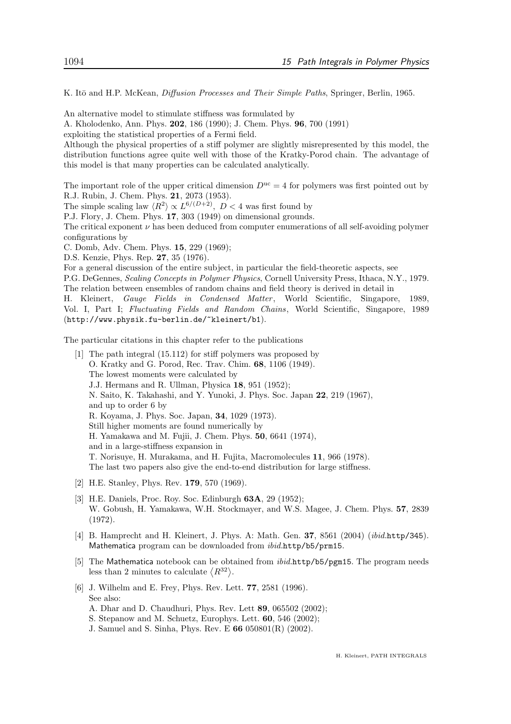K. Itō and H.P. McKean, Diffusion Processes and Their Simple Paths, Springer, Berlin, 1965.

An alternative model to stimulate stiffness was formulated by

A. Kholodenko, Ann. Phys. 202, 186 (1990); J. Chem. Phys. 96, 700 (1991)

exploiting the statistical properties of a Fermi field.

Although the physical properties of a stiff polymer are slightly misrepresented by this model, the distribution functions agree quite well with those of the Kratky-Porod chain. The advantage of this model is that many properties can be calculated analytically.

The important role of the upper critical dimension  $D^{uc} = 4$  for polymers was first pointed out by R.J. Rubin, J. Chem. Phys. 21, 2073 (1953).

The simple scaling law  $\langle R^2 \rangle \propto L^{6/(D+2)}$ ,  $D < 4$  was first found by

P.J. Flory, J. Chem. Phys. 17, 303 (1949) on dimensional grounds.

The critical exponent  $\nu$  has been deduced from computer enumerations of all self-avoiding polymer configurations by

C. Domb, Adv. Chem. Phys. 15, 229 (1969);

D.S. Kenzie, Phys. Rep. 27, 35 (1976).

For a general discussion of the entire subject, in particular the field-theoretic aspects, see

P.G. DeGennes, Scaling Concepts in Polymer Physics, Cornell University Press, Ithaca, N.Y., 1979. The relation between ensembles of random chains and field theory is derived in detail in

H. Kleinert, Gauge Fields in Condensed Matter , World Scientific, Singapore, 1989, Vol. I, Part I; Fluctuating Fields and Random Chains, World Scientific, Singapore, 1989 (http://www.physik.fu-berlin.de/~kleinert/b1).

The particular citations in this chapter refer to the publications

- [1] The path integral (15.112) for stiff polymers was proposed by O. Kratky and G. Porod, Rec. Trav. Chim. 68, 1106 (1949). The lowest moments were calculated by J.J. Hermans and R. Ullman, Physica 18, 951 (1952); N. Saito, K. Takahashi, and Y. Yunoki, J. Phys. Soc. Japan 22, 219 (1967), and up to order 6 by R. Koyama, J. Phys. Soc. Japan, 34, 1029 (1973). Still higher moments are found numerically by H. Yamakawa and M. Fujii, J. Chem. Phys. 50, 6641 (1974), and in a large-stiffness expansion in T. Norisuye, H. Murakama, and H. Fujita, Macromolecules 11, 966 (1978). The last two papers also give the end-to-end distribution for large stiffness.
- [2] H.E. Stanley, Phys. Rev. 179, 570 (1969).
- [3] H.E. Daniels, Proc. Roy. Soc. Edinburgh 63A, 29 (1952); W. Gobush, H. Yamakawa, W.H. Stockmayer, and W.S. Magee, J. Chem. Phys. 57, 2839 (1972).
- [4] B. Hamprecht and H. Kleinert, J. Phys. A: Math. Gen. 37, 8561 (2004) (ibid.http/345). Mathematica program can be downloaded from ibid.http/b5/prm15.
- [5] The Mathematica notebook can be obtained from *ibid.http/b5/pgm15*. The program needs less than 2 minutes to calculate  $\langle R^{32} \rangle$ .
- [6] J. Wilhelm and E. Frey, Phys. Rev. Lett. 77, 2581 (1996). See also: A. Dhar and D. Chaudhuri, Phys. Rev. Lett 89, 065502 (2002);
	- S. Stepanow and M. Schuetz, Europhys. Lett. 60, 546 (2002);
	- J. Samuel and S. Sinha, Phys. Rev. E 66 050801(R) (2002).